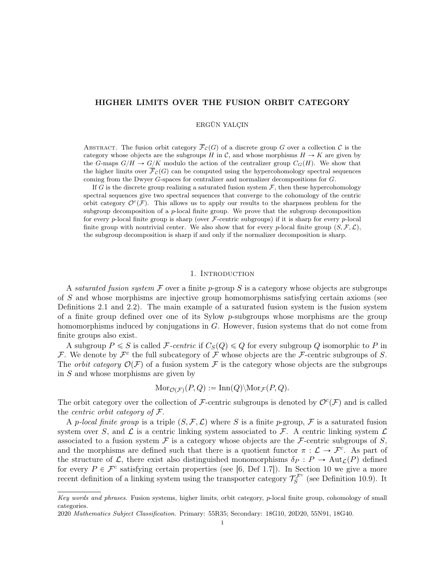# HIGHER LIMITS OVER THE FUSION ORBIT CATEGORY

## ERGÜN YALÇIN

ABSTRACT. The fusion orbit category  $\overline{\mathcal{F}}_{\mathcal{C}}(G)$  of a discrete group G over a collection C is the category whose objects are the subgroups H in C, and whose morphisms  $H \to K$  are given by the G-maps  $G/H \to G/K$  modulo the action of the centralizer group  $C_G(H)$ . We show that the higher limits over  $\overline{\mathcal{F}}_{\mathcal{C}}(G)$  can be computed using the hypercohomology spectral sequences coming from the Dwyer G-spaces for centralizer and normalizer decompositions for G.

If G is the discrete group realizing a saturated fusion system  $F$ , then these hypercohomology spectral sequences give two spectral sequences that converge to the cohomology of the centric orbit category  $\mathcal{O}^c(\mathcal{F})$ . This allows us to apply our results to the sharpness problem for the subgroup decomposition of a  $p$ -local finite group. We prove that the subgroup decomposition for every p-local finite group is sharp (over  $\mathcal{F}\text{-centric subgroups}$ ) if it is sharp for every p-local finite group with nontrivial center. We also show that for every p-local finite group  $(S, \mathcal{F}, \mathcal{L})$ , the subgroup decomposition is sharp if and only if the normalizer decomposition is sharp.

# 1. Introduction

A saturated fusion system F over a finite p-group S is a category whose objects are subgroups of S and whose morphisms are injective group homomorphisms satisfying certain axioms (see Definitions 2.1 and 2.2). The main example of a saturated fusion system is the fusion system of a finite group defined over one of its Sylow p-subgroups whose morphisms are the group homomorphisms induced by conjugations in G. However, fusion systems that do not come from finite groups also exist.

A subgroup  $P \leq S$  is called F-centric if  $C_S(Q) \leq Q$  for every subgroup Q isomorphic to P in F. We denote by  $\mathcal{F}^c$  the full subcategory of  $\mathcal F$  whose objects are the F-centric subgroups of S. The *orbit category*  $\mathcal{O}(\mathcal{F})$  of a fusion system F is the category whose objects are the subgroups in S and whose morphisms are given by

$$
\mathrm{Mor}_{\mathcal{O}(\mathcal{F})}(P,Q) := \mathrm{Inn}(Q) \backslash \mathrm{Mor}_{\mathcal{F}}(P,Q).
$$

The orbit category over the collection of F-centric subgroups is denoted by  $\mathcal{O}^c(\mathcal{F})$  and is called the *centric orbit category of*  $\mathcal{F}$ .

A p-local finite group is a triple  $(S, \mathcal{F}, \mathcal{L})$  where S is a finite p-group, F is a saturated fusion system over S, and  $\mathcal L$  is a centric linking system associated to  $\mathcal F$ . A centric linking system  $\mathcal L$ associated to a fusion system  $\mathcal F$  is a category whose objects are the  $\mathcal F$ -centric subgroups of  $S$ , and the morphisms are defined such that there is a quotient functor  $\pi : \mathcal{L} \to \mathcal{F}^c$ . As part of the structure of L, there exist also distinguished monomorphisms  $\delta_P : P \to \text{Aut}_{\mathcal{L}}(P)$  defined for every  $P \in \mathcal{F}^c$  satisfying certain properties (see [6, Def 1.7]). In Section 10 we give a more recent definition of a linking system using the transporter category  $\mathcal{T}_{S}^{\mathcal{F}^c}$  (see Definition 10.9). It

Key words and phrases. Fusion systems, higher limits, orbit category, p-local finite group, cohomology of small categories.

<sup>2020</sup> Mathematics Subject Classification. Primary: 55R35; Secondary: 18G10, 20D20, 55N91, 18G40.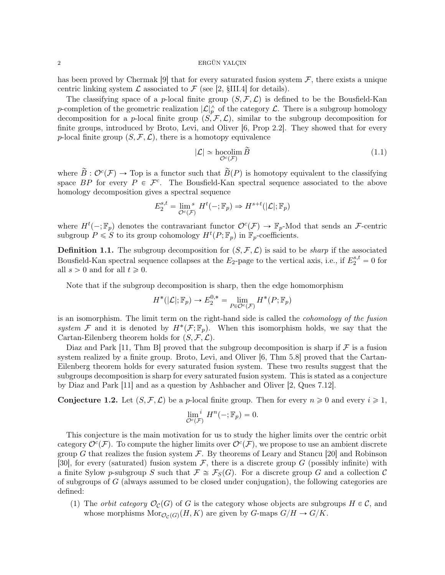has been proved by Chermak [9] that for every saturated fusion system  $\mathcal{F}$ , there exists a unique centric linking system  $\mathcal L$  associated to  $\mathcal F$  (see [2, §III.4] for details).

The classifying space of a p-local finite group  $(S, \mathcal{F}, \mathcal{L})$  is defined to be the Bousfield-Kan p-completion of the geometric realization  $|\mathcal{L}|_p^{\wedge}$  of the category  $\mathcal{L}$ . There is a subgroup homology decomposition for a p-local finite group  $(S, \mathcal{F}, \mathcal{L})$ , similar to the subgroup decomposition for finite groups, introduced by Broto, Levi, and Oliver [6, Prop 2.2]. They showed that for every p-local finite group  $(S, \mathcal{F}, \mathcal{L})$ , there is a homotopy equivalence

$$
|\mathcal{L}| \simeq \mathop{\text{hocolim}}\limits_{\mathcal{O}^c(\mathcal{F})} \widetilde{B}
$$
 (1.1)

where  $\widetilde{B}: \mathcal{O}^c(\mathcal{F}) \to \text{Top}$  is a functor such that  $\widetilde{B}(P)$  is homotopy equivalent to the classifying space BP for every  $P \in \mathcal{F}^c$ . The Bousfield-Kan spectral sequence associated to the above homology decomposition gives a spectral sequence

$$
E_2^{s,t} = \lim_{\mathcal{O}^c(\mathcal{F})} H^t(-;\mathbb{F}_p) \Rightarrow H^{s+t}(|\mathcal{L}|;\mathbb{F}_p)
$$

where  $H^t(-; \mathbb{F}_p)$  denotes the contravariant functor  $\mathcal{O}^c(\mathcal{F}) \to \mathbb{F}_p$ -Mod that sends an  $\mathcal{F}$ -centric subgroup  $P \leqslant S$  to its group cohomology  $H^t(P; \mathbb{F}_p)$  in  $\mathbb{F}_p$ -coefficients.

**Definition 1.1.** The subgroup decomposition for  $(S, \mathcal{F}, \mathcal{L})$  is said to be *sharp* if the associated Bousfield-Kan spectral sequence collapses at the  $E_2$ -page to the vertical axis, i.e., if  $E_2^{s,t} = 0$  for all  $s > 0$  and for all  $t \geq 0$ .

Note that if the subgroup decomposition is sharp, then the edge homomorphism

$$
H^*(|\mathcal{L}|; \mathbb{F}_p) \to E_2^{0,*} = \lim_{P \in \mathcal{O}^c(\mathcal{F})} H^*(P; \mathbb{F}_p)
$$

is an isomorphism. The limit term on the right-hand side is called the cohomology of the fusion system F and it is denoted by  $H^*(\mathcal{F}; \mathbb{F}_p)$ . When this isomorphism holds, we say that the Cartan-Eilenberg theorem holds for  $(S, \mathcal{F}, \mathcal{L})$ .

Diaz and Park [11, Thm B] proved that the subgroup decomposition is sharp if  $\mathcal F$  is a fusion system realized by a finite group. Broto, Levi, and Oliver [6, Thm 5.8] proved that the Cartan-Eilenberg theorem holds for every saturated fusion system. These two results suggest that the subgroups decomposition is sharp for every saturated fusion system. This is stated as a conjecture by Diaz and Park [11] and as a question by Ashbacher and Oliver [2, Ques 7.12].

**Conjecture 1.2.** Let  $(S, \mathcal{F}, \mathcal{L})$  be a p-local finite group. Then for every  $n \geq 0$  and every  $i \geq 1$ ,

$$
\lim_{\mathcal{O}^c(\mathcal{F})} H^n(-;\mathbb{F}_p) = 0.
$$

This conjecture is the main motivation for us to study the higher limits over the centric orbit category  $\mathcal{O}^c(\mathcal{F})$ . To compute the higher limits over  $\mathcal{O}^c(\mathcal{F})$ , we propose to use an ambient discrete group G that realizes the fusion system  $\mathcal{F}$ . By theorems of Leary and Stancu [20] and Robinson [30], for every (saturated) fusion system  $\mathcal F$ , there is a discrete group  $G$  (possibly infinite) with a finite Sylow p-subgroup S such that  $\mathcal{F} \cong \mathcal{F}_S(G)$ . For a discrete group G and a collection C of subgroups of G (always assumed to be closed under conjugation), the following categories are defined:

(1) The *orbit category*  $\mathcal{O}_{\mathcal{C}}(G)$  of G is the category whose objects are subgroups  $H \in \mathcal{C}$ , and whose morphisms  $\text{Mor}_{\mathcal{O}_{\mathcal{C}}(G)}(H, K)$  are given by G-maps  $G/H \to G/K$ .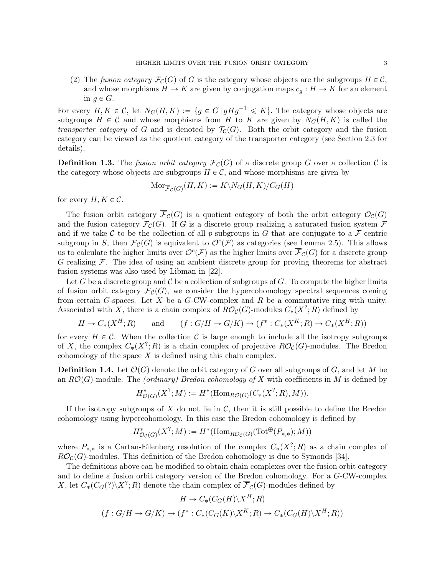(2) The fusion category  $\mathcal{F}_{\mathcal{C}}(G)$  of G is the category whose objects are the subgroups  $H \in \mathcal{C}$ , and whose morphisms  $H \to K$  are given by conjugation maps  $c_g : H \to K$  for an element in  $q \in G$ .

For every  $H, K \in \mathcal{C}$ , let  $N_G(H, K) := \{g \in G \mid gHg^{-1} \leq K\}$ . The category whose objects are subgroups  $H \in \mathcal{C}$  and whose morphisms from H to K are given by  $N_G(H, K)$  is called the transporter category of G and is denoted by  $\mathcal{T}_{\mathcal{C}}(G)$ . Both the orbit category and the fusion category can be viewed as the quotient category of the transporter category (see Section 2.3 for details).

**Definition 1.3.** The fusion orbit category  $\overline{\mathcal{F}}_{\mathcal{C}}(G)$  of a discrete group G over a collection C is the category whose objects are subgroups  $H \in \mathcal{C}$ , and whose morphisms are given by

$$
\mathrm{Mor}_{\overline{\mathcal{F}}_{\mathcal{C}}(G)}(H,K):=K\backslash N_G(H,K)/C_G(H)
$$

for every  $H, K \in \mathcal{C}$ .

The fusion orbit category  $\overline{\mathcal{F}}_{\mathcal{C}}(G)$  is a quotient category of both the orbit category  $\mathcal{O}_{\mathcal{C}}(G)$ and the fusion category  $\mathcal{F}_{\mathcal{C}}(G)$ . If G is a discrete group realizing a saturated fusion system  $\mathcal{F}$ and if we take C to be the collection of all p-subgroups in G that are conjugate to a F-centric subgroup in S, then  $\overline{\mathcal{F}}_{\mathcal{C}}(G)$  is equivalent to  $\mathcal{O}^c(\mathcal{F})$  as categories (see Lemma 2.5). This allows us to calculate the higher limits over  $\mathcal{O}^c(\mathcal{F})$  as the higher limits over  $\overline{\mathcal{F}}_{\mathcal{C}}(G)$  for a discrete group G realizing  $\mathcal F$ . The idea of using an ambient discrete group for proving theorems for abstract fusion systems was also used by Libman in [22].

Let G be a discrete group and C be a collection of subgroups of G. To compute the higher limits of fusion orbit category  $\overline{\mathcal{F}}_{\mathcal{C}}(G)$ , we consider the hypercohomology spectral sequences coming from certain G-spaces. Let  $X$  be a G-CW-complex and R be a commutative ring with unity. Associated with X, there is a chain complex of  $R\mathcal{O}_{\mathcal{C}}(G)$ -modules  $C_*(X^?;R)$  defined by

$$
H \to C_*(X^H; R)
$$
 and  $(f: G/H \to G/K) \to (f^*: C_*(X^K; R) \to C_*(X^H; R))$ 

for every  $H \in \mathcal{C}$ . When the collection  $\mathcal{C}$  is large enough to include all the isotropy subgroups of X, the complex  $C_*(X^?;R)$  is a chain complex of projective  $R\mathcal{O}_{\mathcal{C}}(G)$ -modules. The Bredon cohomology of the space  $X$  is defined using this chain complex.

**Definition 1.4.** Let  $\mathcal{O}(G)$  denote the orbit category of G over all subgroups of G, and let M be an  $RO(G)$ -module. The (ordinary) Bredon cohomology of X with coefficients in M is defined by

$$
H^*_{\mathcal{O}(G)}(X^?; M) := H^*(\mathrm{Hom}_{R\mathcal{O}(G)}(C_*(X^?; R), M)).
$$

If the isotropy subgroups of X do not lie in  $\mathcal{C}$ , then it is still possible to define the Bredon cohomology using hypercohomology. In this case the Bredon cohomology is defined by

$$
H^*_{\mathcal{O}_{\mathcal{C}}(G)}(X^?;M) := H^*(\mathrm{Hom}_{R\mathcal{O}_{\mathcal{C}}(G)}(\mathrm{Tot}^{\oplus}(P_{*,*});M))
$$

where  $P_{*,*}$  is a Cartan-Eilenberg resolution of the complex  $C_*(X^?;R)$  as a chain complex of  $R\mathcal{O}_{\mathcal{C}}(G)$ -modules. This definition of the Bredon cohomology is due to Symonds [34].

The definitions above can be modified to obtain chain complexes over the fusion orbit category and to define a fusion orbit category version of the Bredon cohomology. For a G-CW-complex X, let  $C_*(C_G(?)\backslash X^?; R)$  denote the chain complex of  $\overline{\mathcal{F}}_{\mathcal{C}}(G)$ -modules defined by

$$
H \to C_*(C_G(H)\backslash X^H; R)
$$
  

$$
(f: G/H \to G/K) \to (f^*: C_*(C_G(K)\backslash X^K; R) \to C_*(C_G(H)\backslash X^H; R))
$$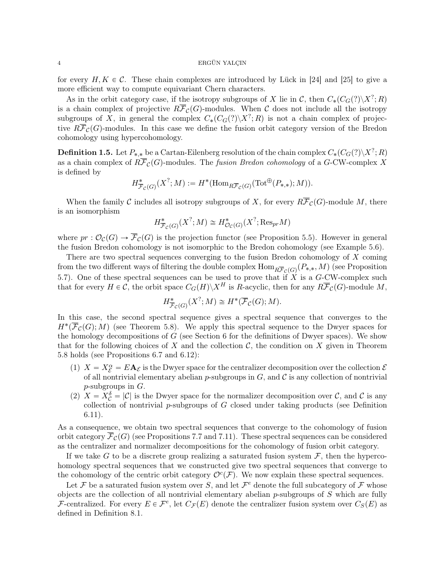for every  $H, K \in \mathcal{C}$ . These chain complexes are introduced by Lück in [24] and [25] to give a more efficient way to compute equivariant Chern characters.

As in the orbit category case, if the isotropy subgroups of X lie in C, then  $C_*(C_G(?)\langle X^?;R)$ is a chain complex of projective  $R\overline{\mathcal{F}}_{\mathcal{C}}(G)$ -modules. When C does not include all the isotropy subgroups of X, in general the complex  $C_*(C_G(?)\backslash X^?;R)$  is not a chain complex of projective  $R\overline{\mathcal{F}}_{\mathcal{C}}(G)$ -modules. In this case we define the fusion orbit category version of the Bredon cohomology using hypercohomology.

**Definition 1.5.** Let  $P_{*,*}$  be a Cartan-Eilenberg resolution of the chain complex  $C_*(C_G(?)\backslash X^?;R)$ as a chain complex of  $R\overline{\mathcal{F}}_{\mathcal{C}}(G)$ -modules. The fusion Bredon cohomology of a G-CW-complex X is defined by

$$
H^*_{\overline{\mathcal{F}}_{\mathcal{C}}(G)}(X^?;M) := H^*(\mathrm{Hom}_{R\overline{\mathcal{F}}_{\mathcal{C}}(G)}(\mathrm{Tot}^{\oplus}(P_{*,*});M)).
$$

When the family C includes all isotropy subgroups of X, for every  $R\overline{\mathcal{F}}_{\mathcal{C}}(G)$ -module M, there is an isomorphism

$$
H^*_{\overline{\mathcal{F}}_{\mathcal{C}}(G)}(X^?; M) \cong H^*_{\mathcal{O}_{\mathcal{C}}(G)}(X^?; \text{Res}_{pr}M)
$$

where  $pr: \mathcal{O}_{\mathcal{C}}(G) \to \overline{\mathcal{F}}_{\mathcal{C}}(G)$  is the projection functor (see Proposition 5.5). However in general the fusion Bredon cohomology is not isomorphic to the Bredon cohomology (see Example 5.6).

There are two spectral sequences converging to the fusion Bredon cohomology of  $X$  coming from the two different ways of filtering the double complex  $\mathrm{Hom}_{R\overline{\mathcal{F}}_\mathcal{C}(G)}(P_{*,*},M)$  (see Proposition 5.7). One of these spectral sequences can be used to prove that if  $X$  is a  $G-CW$ -complex such that for every  $H \in \mathcal{C}$ , the orbit space  $C_G(H)\backslash X^H$  is R-acyclic, then for any  $R\overline{\mathcal{F}}_{\mathcal{C}}(G)$ -module M,

$$
H^*_{\overline{\mathcal{F}}_{\mathcal{C}}(G)}(X^?; M) \cong H^*(\overline{\mathcal{F}}_{\mathcal{C}}(G); M).
$$

In this case, the second spectral sequence gives a spectral sequence that converges to the  $H^*(\overline{\mathcal{F}}_{\mathcal{C}}(G);M)$  (see Theorem 5.8). We apply this spectral sequence to the Dwyer spaces for the homology decompositions of  $G$  (see Section 6 for the definitions of Dwyer spaces). We show that for the following choices of X and the collection  $\mathcal{C}$ , the condition on X given in Theorem 5.8 holds (see Propositions 6.7 and 6.12):

- (1)  $X = X_{\mathcal{E}}^{\alpha} = E \mathbf{A}_{\mathcal{E}}$  is the Dwyer space for the centralizer decomposition over the collection  $\mathcal{E}$ of all nontrivial elementary abelian  $p$ -subgroups in  $G$ , and  $\mathcal C$  is any collection of nontrivial  $p$ -subgroups in  $G$ .
- (2)  $X = X_C^{\delta} = |\mathcal{C}|$  is the Dwyer space for the normalizer decomposition over  $\mathcal{C}$ , and  $\mathcal{C}$  is any collection of nontrivial  $p$ -subgroups of  $G$  closed under taking products (see Definition 6.11).

As a consequence, we obtain two spectral sequences that converge to the cohomology of fusion orbit category  $\overline{\mathcal{F}}_{\mathcal{C}}(G)$  (see Propositions 7.7 and 7.11). These spectral sequences can be considered as the centralizer and normalizer decompositions for the cohomology of fusion orbit category.

If we take G to be a discrete group realizing a saturated fusion system  $\mathcal{F}$ , then the hypercohomology spectral sequences that we constructed give two spectral sequences that converge to the cohomology of the centric orbit category  $\mathcal{O}^c(\mathcal{F})$ . We now explain these spectral sequences.

Let F be a saturated fusion system over S, and let  $\mathcal{F}^e$  denote the full subcategory of F whose objects are the collection of all nontrivial elementary abelian  $p$ -subgroups of  $S$  which are fully F-centralized. For every  $E \in \mathcal{F}^e$ , let  $C_{\mathcal{F}}(E)$  denote the centralizer fusion system over  $C_S(E)$  as defined in Definition 8.1.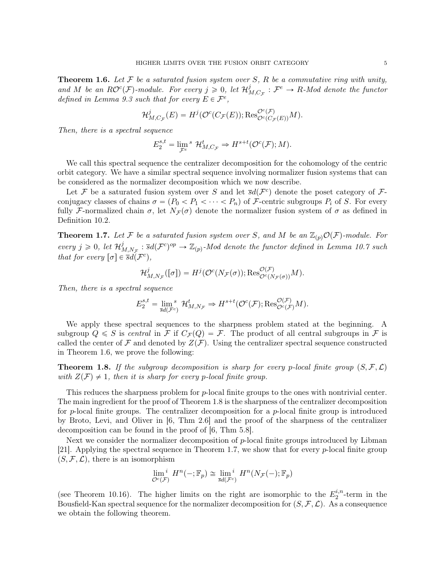**Theorem 1.6.** Let  $\mathcal F$  be a saturated fusion system over  $S$ ,  $R$  be a commutative ring with unity, and M be an  $R\mathcal{O}^{c}(\mathcal{F})$ -module. For every  $j \geqslant 0$ , let  $\mathcal{H}_{N}^{j}$  $\mathcal{F}_{M,C_{\mathcal{F}}}^{j}: \mathcal{F}^{e} \rightarrow R$ -Mod denote the functor defined in Lemma 9.3 such that for every  $E \in \mathcal{F}^e$ ,

$$
\mathcal{H}^j_{M,C_{\mathcal{F}}}(E)=H^j(\mathcal{O}^c(C_{\mathcal{F}}(E));\text{Res}^{\mathcal{O}^c(\mathcal{F})}_{\mathcal{O}^c(C_{\mathcal{F}}(E))}M).
$$

Then, there is a spectral sequence

$$
E_2^{s,t} = \lim_{\mathcal{F}^e} {}^s\mathcal{H}^t_{M,C_{\mathcal{F}}} \Rightarrow H^{s+t}(\mathcal{O}^c(\mathcal{F});M).
$$

We call this spectral sequence the centralizer decomposition for the cohomology of the centric orbit category. We have a similar spectral sequence involving normalizer fusion systems that can be considered as the normalizer decomposition which we now describe.

Let F be a saturated fusion system over S and let  $\bar{s}d(\mathcal{F}^c)$  denote the poset category of Fconjugacy classes of chains  $\sigma = (P_0 < P_1 < \cdots < P_n)$  of F-centric subgroups  $P_i$  of S. For every fully F-normalized chain  $\sigma$ , let  $N_{\mathcal{F}}(\sigma)$  denote the normalizer fusion system of  $\sigma$  as defined in Definition 10.2.

**Theorem 1.7.** Let F be a saturated fusion system over S, and M be an  $\mathbb{Z}_{(p)}\mathcal{O}(\mathcal{F})$ -module. For every  $j \geqslant 0$ , let  $\mathcal{H}^j_{\Lambda}$  $\mathcal{L}_{M,N_{\mathcal{F}}}^{j} : \overline{s}d(\mathcal{F}^{c})^{op} \to \mathbb{Z}_{(p)}$ -Mod denote the functor defined in Lemma 10.7 such that for every  $[\sigma] \in \overline{s}d(\mathcal{F}^c)$ ,

$$
\mathcal{H}^j_{M,N_{\mathcal{F}}}([\sigma]) = H^j(\mathcal{O}^c(N_{\mathcal{F}}(\sigma)); \text{Res}_{\mathcal{O}^c(N_{\mathcal{F}}(\sigma))}^{\mathcal{O}(\mathcal{F})}M).
$$

Then, there is a spectral sequence

$$
E_2^{s,t} = \lim_{\bar{s}d(\mathcal{F}^c)} \mathcal{H}_{M,N_{\mathcal{F}}}^t \Rightarrow H^{s+t}(\mathcal{O}^c(\mathcal{F}); \text{Res}_{\mathcal{O}^c(\mathcal{F})}^{\mathcal{O}(\mathcal{F})} M).
$$

We apply these spectral sequences to the sharpness problem stated at the beginning. A subgroup  $Q \leq S$  is central in F if  $C_{\mathcal{F}}(Q) = \mathcal{F}$ . The product of all central subgroups in F is called the center of  $\mathcal F$  and denoted by  $Z(\mathcal F)$ . Using the centralizer spectral sequence constructed in Theorem 1.6, we prove the following:

**Theorem 1.8.** If the subgroup decomposition is sharp for every p-local finite group  $(S, \mathcal{F}, \mathcal{L})$ with  $Z(F) \neq 1$ , then it is sharp for every p-local finite group.

This reduces the sharpness problem for p-local finite groups to the ones with nontrivial center. The main ingredient for the proof of Theorem 1.8 is the sharpness of the centralizer decomposition for p-local finite groups. The centralizer decomposition for a p-local finite group is introduced by Broto, Levi, and Oliver in [6, Thm 2.6] and the proof of the sharpness of the centralizer decomposition can be found in the proof of [6, Thm 5.8].

Next we consider the normalizer decomposition of p-local finite groups introduced by Libman [21]. Applying the spectral sequence in Theorem 1.7, we show that for every  $p$ -local finite group  $(S, \mathcal{F}, \mathcal{L})$ , there is an isomorphism

$$
\lim_{\mathcal{O}^c(\mathcal{F})} \, H^n(-; \mathbb{F}_p) \cong \lim_{\overline{s}d(\mathcal{F}^c)} \, H^n(N_{\mathcal{F}}(-); \mathbb{F}_p)
$$

(see Theorem 10.16). The higher limits on the right are isomorphic to the  $E_2^{i,n}$  $i^{n}$ -term in the Bousfield-Kan spectral sequence for the normalizer decomposition for  $(S, \mathcal{F}, \mathcal{L})$ . As a consequence we obtain the following theorem.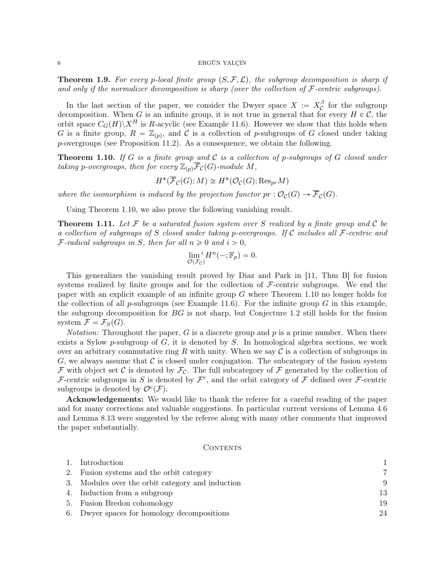**Theorem 1.9.** For every p-local finite group  $(S, \mathcal{F}, \mathcal{L})$ , the subgroup decomposition is sharp if and only if the normalizer decomposition is sharp (over the collection of  $\mathcal{F}\text{-centric subgroups}$ ).

In the last section of the paper, we consider the Dwyer space  $X := X_C^{\beta}$  $\int_{c}^{\rho}$  for the subgroup decomposition. When G is an infinite group, it is not true in general that for every  $H \in \mathcal{C}$ , the orbit space  $C_G(H)\backslash X^H$  is R-acyclic (see Example 11.6). However we show that this holds when G is a finite group,  $R = \mathbb{Z}_{(p)}$ , and C is a collection of p-subgroups of G closed under taking p-overgroups (see Proposition 11.2). As a consequence, we obtain the following.

**Theorem 1.10.** If G is a finite group and C is a collection of p-subgroups of G closed under taking p-overgroups, then for every  $\mathbb{Z}_{(p)}\overline{\mathcal{F}}_{\mathcal{C}}(G)$ -module M,

$$
H^*(\overline{\mathcal{F}}_{\mathcal{C}}(G); M) \cong H^*(\mathcal{O}_{\mathcal{C}}(G); \text{Res}_{pr} M)
$$

where the isomorphism is induced by the projection functor  $pr : \mathcal{O}_{\mathcal{C}}(G) \to \overline{\mathcal{F}}_{\mathcal{C}}(G)$ .

Using Theorem 1.10, we also prove the following vanishing result.

**Theorem 1.11.** Let F be a saturated fusion system over S realized by a finite group and C be a collection of subgroups of S closed under taking p-overgroups. If C includes all  $\mathcal{F}\text{-centric}$  and *F*-radical subgroups in *S*, then for all  $n \geq 0$  and  $i > 0$ ,

$$
\lim_{\mathcal{O}(\mathcal{F}_{\mathcal{C}})} i H^{n}(-;\mathbb{F}_p) = 0.
$$

This generalizes the vanishing result proved by Diaz and Park in [11, Thm B] for fusion systems realized by finite groups and for the collection of  $\mathcal F$ -centric subgroups. We end the paper with an explicit example of an infinite group G where Theorem 1.10 no longer holds for the collection of all p-subgroups (see Example 11.6). For the infinite group  $G$  in this example, the subgroup decomposition for  $BG$  is not sharp, but Conjecture 1.2 still holds for the fusion system  $\mathcal{F} = \mathcal{F}_S(G)$ .

*Notation:* Throughout the paper, G is a discrete group and  $p$  is a prime number. When there exists a Sylow p-subgroup of  $G$ , it is denoted by  $S$ . In homological algebra sections, we work over an arbitrary commutative ring R with unity. When we say  $\mathcal C$  is a collection of subgroups in G, we always assume that  $\mathcal C$  is closed under conjugation. The subcategory of the fusion system F with object set C is denoted by  $\mathcal{F}_{\mathcal{C}}$ . The full subcategory of F generated by the collection of F-centric subgroups in S is denoted by  $\mathcal{F}^c$ , and the orbit category of F defined over F-centric subgroups is denoted by  $\mathcal{O}^c(\mathcal{F})$ .

Acknowledgements: We would like to thank the referee for a careful reading of the paper and for many corrections and valuable suggestions. In particular current versions of Lemma 4.6 and Lemma 8.13 were suggested by the referee along with many other comments that improved the paper substantially.

## CONTENTS

| 1. Introduction                                  | 1  |
|--------------------------------------------------|----|
| 2. Fusion systems and the orbit category         | 7  |
| 3. Modules over the orbit category and induction | 9  |
| 4. Induction from a subgroup                     | 13 |
| 5. Fusion Bredon cohomology                      | 19 |
| 6. Dwyer spaces for homology decompositions      | 24 |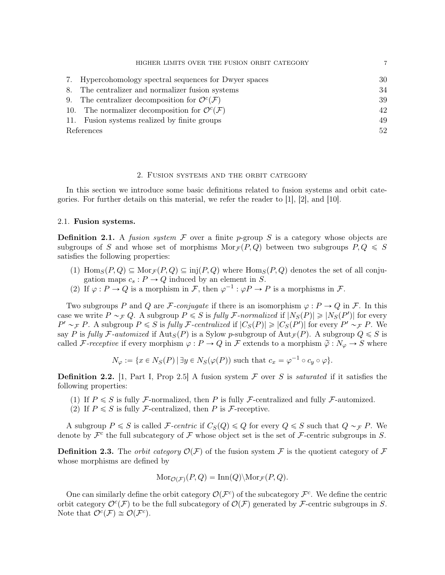|            | HIGHER LIMITS OVER THE FUSION ORBIT CATEGORY                      |    |
|------------|-------------------------------------------------------------------|----|
|            | 7. Hypercohomology spectral sequences for Dwyer spaces            | 30 |
|            | 8. The centralizer and normalizer fusion systems                  | 34 |
|            | 9. The centralizer decomposition for $\mathcal{O}^c(\mathcal{F})$ | 39 |
|            | 10. The normalizer decomposition for $\mathcal{O}^c(\mathcal{F})$ | 42 |
|            | 11. Fusion systems realized by finite groups                      | 49 |
| References |                                                                   | 52 |

# 2. Fusion systems and the orbit category

In this section we introduce some basic definitions related to fusion systems and orbit categories. For further details on this material, we refer the reader to [1], [2], and [10].

# 2.1. Fusion systems.

**Definition 2.1.** A fusion system F over a finite p-group S is a category whose objects are subgroups of S and whose set of morphisms  $Mor_{\mathcal{F}}(P, Q)$  between two subgroups  $P, Q \leq S$ satisfies the following properties:

- (1)  $\text{Hom}_S(P,Q) \subseteq \text{Mor}_{\mathcal{F}}(P,Q) \subseteq \text{inj}(P,Q)$  where  $\text{Hom}_S(P,Q)$  denotes the set of all conjugation maps  $c_s : P \to Q$  induced by an element in S.
- (2) If  $\varphi : P \to Q$  is a morphism in F, then  $\varphi^{-1} : \varphi P \to P$  is a morphisms in F.

Two subgroups P and Q are F-conjugate if there is an isomorphism  $\varphi : P \to Q$  in F. In this case we write  $P \sim_{\mathcal{F}} Q$ . A subgroup  $P \leq S$  is fully F-normalized if  $|N_S(P)| \geq |N_S(P')|$  for every  $P' \sim_{\mathcal{F}} P$ . A subgroup  $P \leq S$  is fully F-centralized if  $|C_S(P)| \geq |C_S(P')|$  for every  $P' \sim_{\mathcal{F}} P$ . We say P is fully F-automized if  $Aut_S(P)$  is a Sylow p-subgroup of  $Aut_{\mathcal{F}}(P)$ . A subgroup  $Q \leq S$  is called F-receptive if every morphism  $\varphi : P \to Q$  in F extends to a morphism  $\tilde{\varphi} : N_{\varphi} \to S$  where

$$
N_{\varphi} := \{ x \in N_S(P) \mid \exists y \in N_S(\varphi(P)) \text{ such that } c_x = \varphi^{-1} \circ c_y \circ \varphi \}.
$$

**Definition 2.2.** [1, Part I, Prop 2.5] A fusion system  $\mathcal F$  over S is *saturated* if it satisfies the following properties:

- (1) If  $P \leq S$  is fully F-normalized, then P is fully F-centralized and fully F-automized.
- (2) If  $P \leq S$  is fully *F*-centralized, then *P* is *F*-receptive.

A subgroup  $P \leq S$  is called F-centric if  $C_S(Q) \leq Q$  for every  $Q \leq S$  such that  $Q \sim_{\mathcal{F}} P$ . We denote by  $\mathcal{F}^c$  the full subcategory of  $\mathcal F$  whose object set is the set of  $\mathcal F$ -centric subgroups in S.

**Definition 2.3.** The *orbit category*  $\mathcal{O}(\mathcal{F})$  of the fusion system F is the quotient category of F whose morphisms are defined by

$$
Mor_{\mathcal{O}(\mathcal{F})}(P,Q) = \text{Inn}(Q) \setminus \text{Mor}_{\mathcal{F}}(P,Q).
$$

One can similarly define the orbit category  $\mathcal{O}(\mathcal{F}^c)$  of the subcategory  $\mathcal{F}^c$ . We define the centric orbit category  $\mathcal{O}^c(\mathcal{F})$  to be the full subcategory of  $\mathcal{O}(\mathcal{F})$  generated by F-centric subgroups in S. Note that  $\mathcal{O}^c(\mathcal{F}) \cong \mathcal{O}(\mathcal{F}^c)$ .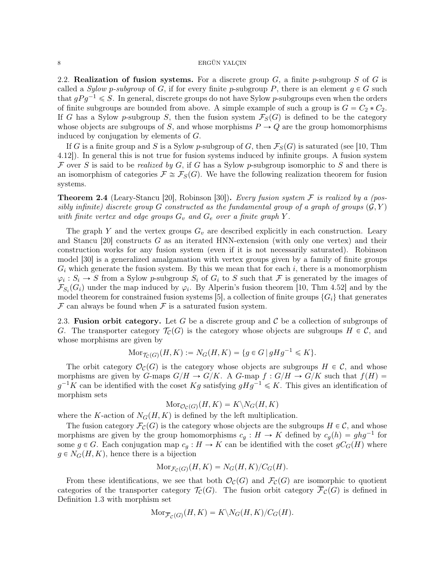2.2. Realization of fusion systems. For a discrete group  $G$ , a finite p-subgroup S of G is called a Sylow p-subgroup of G, if for every finite p-subgroup P, there is an element  $g \in G$  such that  $gPg^{-1} \leq S$ . In general, discrete groups do not have Sylow p-subgroups even when the orders of finite subgroups are bounded from above. A simple example of such a group is  $G = C_2 * C_2$ . If G has a Sylow p-subgroup S, then the fusion system  $\mathcal{F}_{S}(G)$  is defined to be the category whose objects are subgroups of S, and whose morphisms  $P \to Q$  are the group homomorphisms induced by conjugation by elements of G.

If G is a finite group and S is a Sylow p-subgroup of G, then  $\mathcal{F}_S(G)$  is saturated (see [10, Thm 4.12]). In general this is not true for fusion systems induced by infinite groups. A fusion system F over S is said to be realized by G, if G has a Sylow p-subgroup isomorphic to S and there is an isomorphism of categories  $\mathcal{F} \cong \mathcal{F}_S(G)$ . We have the following realization theorem for fusion systems.

**Theorem 2.4** (Leary-Stancu [20], Robinson [30]). Every fusion system F is realized by a (possibly infinite) discrete group G constructed as the fundamental group of a graph of groups  $(\mathcal{G}, Y)$ with finite vertex and edge groups  $G_v$  and  $G_e$  over a finite graph Y.

The graph Y and the vertex groups  $G_v$  are described explicitly in each construction. Leary and Stancu [20] constructs G as an iterated HNN-extension (with only one vertex) and their construction works for any fusion system (even if it is not necessarily saturated). Robinson model [30] is a generalized amalgamation with vertex groups given by a family of finite groups  $G_i$  which generate the fusion system. By this we mean that for each i, there is a monomorphism  $\varphi_i: S_i \to S$  from a Sylow p-subgroup  $S_i$  of  $G_i$  to S such that F is generated by the images of  $\mathcal{F}_{S_i}(G_i)$  under the map induced by  $\varphi_i$ . By Alperin's fusion theorem [10, Thm 4.52] and by the model theorem for constrained fusion systems [5], a collection of finite groups  $\{G_i\}$  that generates  $\mathcal F$  can always be found when  $\mathcal F$  is a saturated fusion system.

2.3. Fusion orbit category. Let G be a discrete group and C be a collection of subgroups of G. The transporter category  $\mathcal{T}_{\mathcal{C}}(G)$  is the category whose objects are subgroups  $H \in \mathcal{C}$ , and whose morphisms are given by

$$
\text{Mor}_{\mathcal{T}_{\mathcal{C}}(G)}(H, K) := N_G(H, K) = \{ g \in G \mid gHg^{-1} \leq K \}.
$$

The orbit category  $\mathcal{O}_{\mathcal{C}}(G)$  is the category whose objects are subgroups  $H \in \mathcal{C}$ , and whose morphisms are given by G-maps  $G/H \to G/K$ . A G-map  $f : G/H \to G/K$  such that  $f(H) =$  $g^{-1}K$  can be identified with the coset  $Kg$  satisfying  $gHg^{-1} \leqslant K$ . This gives an identification of morphism sets

$$
\mathrm{Mor}_{\mathcal{O}_{\mathcal{C}}(G)}(H,K)=K\backslash N_{G}(H,K)
$$

where the K-action of  $N_G(H, K)$  is defined by the left multiplication.

The fusion category  $\mathcal{F}_{\mathcal{C}}(G)$  is the category whose objects are the subgroups  $H \in \mathcal{C}$ , and whose morphisms are given by the group homomorphisms  $c_g: H \to K$  defined by  $c_g(h) = ghg^{-1}$  for some  $g \in G$ . Each conjugation map  $c_g : H \to K$  can be identified with the coset  $gC_G(H)$  where  $g \in N_G(H, K)$ , hence there is a bijection

$$
Mor_{\mathcal{F}_C(G)}(H,K) = N_G(H,K)/C_G(H).
$$

From these identifications, we see that both  $\mathcal{O}_{\mathcal{C}}(G)$  and  $\mathcal{F}_{\mathcal{C}}(G)$  are isomorphic to quotient categories of the transporter category  $\mathcal{T}_{\mathcal{C}}(G)$ . The fusion orbit category  $\overline{\mathcal{F}}_{\mathcal{C}}(G)$  is defined in Definition 1.3 with morphism set

$$
\text{Mor}_{\overline{\mathcal{F}}_{\mathcal{C}}(G)}(H,K)=K\backslash N_G(H,K)/C_G(H).
$$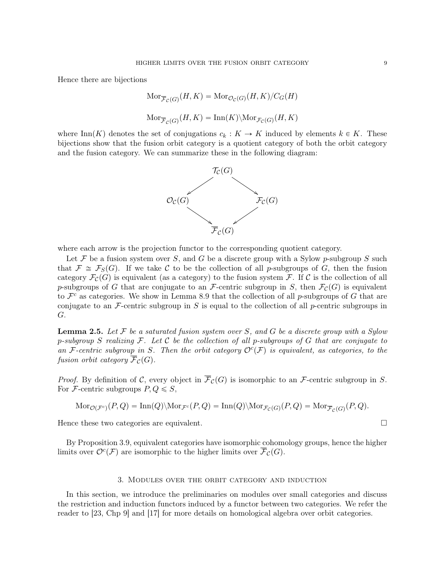Hence there are bijections

$$
Mor_{\overline{\mathcal{F}}_{\mathcal{C}}(G)}(H, K) = Mor_{\mathcal{O}_{\mathcal{C}}(G)}(H, K)/C_G(H)
$$
  

$$
Mor_{\overline{\mathcal{F}}_{\mathcal{C}}(G)}(H, K) = Inn(K) \setminus Mor_{\mathcal{F}_{\mathcal{C}}(G)}(H, K)
$$

where Inn(K) denotes the set of conjugations  $c_k : K \to K$  induced by elements  $k \in K$ . These bijections show that the fusion orbit category is a quotient category of both the orbit category and the fusion category. We can summarize these in the following diagram:



where each arrow is the projection functor to the corresponding quotient category.

Let  $\mathcal F$  be a fusion system over S, and G be a discrete group with a Sylow p-subgroup S such that  $\mathcal{F} \cong \mathcal{F}_S(G)$ . If we take C to be the collection of all p-subgroups of G, then the fusion category  $\mathcal{F}_{\mathcal{C}}(G)$  is equivalent (as a category) to the fusion system F. If C is the collection of all p-subgroups of G that are conjugate to an F-centric subgroup in S, then  $\mathcal{F}_{\mathcal{C}}(G)$  is equivalent to  $\mathcal{F}^c$  as categories. We show in Lemma 8.9 that the collection of all p-subgroups of G that are conjugate to an  $\mathcal F$ -centric subgroup in S is equal to the collection of all p-centric subgroups in G.

**Lemma 2.5.** Let  $\mathcal F$  be a saturated fusion system over S, and G be a discrete group with a Sylow p-subgroup S realizing  $\mathcal F$ . Let C be the collection of all p-subgroups of G that are conjugate to an F-centric subgroup in S. Then the orbit category  $\mathcal{O}^c(\mathcal{F})$  is equivalent, as categories, to the fusion orbit category  $\overline{\mathcal{F}}_{\mathcal{C}}(G)$ .

*Proof.* By definition of C, every object in  $\overline{\mathcal{F}}_{\mathcal{C}}(G)$  is isomorphic to an F-centric subgroup in S. For F-centric subgroups  $P, Q \leq S$ ,

$$
\text{Mor}_{\mathcal{O}(\mathcal{F}^c)}(P,Q) = \text{Inn}(Q) \setminus \text{Mor}_{\mathcal{F}^c}(P,Q) = \text{Inn}(Q) \setminus \text{Mor}_{\mathcal{F}_c(G)}(P,Q) = \text{Mor}_{\overline{\mathcal{F}}_c(G)}(P,Q).
$$

Hence these two categories are equivalent.

By Proposition 3.9, equivalent categories have isomorphic cohomology groups, hence the higher limits over  $\mathcal{O}^c(\mathcal{F})$  are isomorphic to the higher limits over  $\overline{\mathcal{F}}_{\mathcal{C}}(G)$ .

# 3. Modules over the orbit category and induction

In this section, we introduce the preliminaries on modules over small categories and discuss the restriction and induction functors induced by a functor between two categories. We refer the reader to [23, Chp 9] and [17] for more details on homological algebra over orbit categories.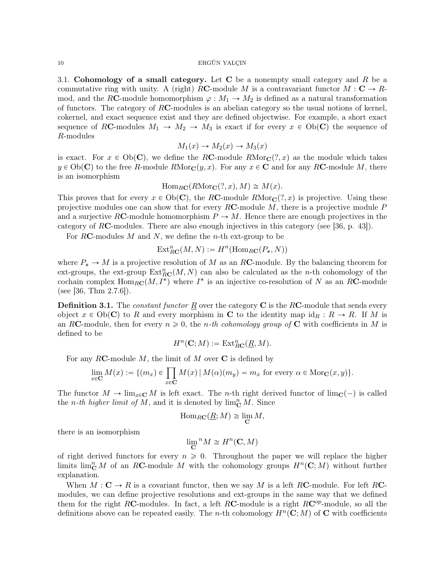3.1. Cohomology of a small category. Let C be a nonempty small category and R be a commutative ring with unity. A (right) RC-module M is a contravariant functor  $M : \mathbf{C} \to R$ mod, and the RC-module homomorphism  $\varphi : M_1 \to M_2$  is defined as a natural transformation of functors. The category of RC-modules is an abelian category so the usual notions of kernel, cokernel, and exact sequence exist and they are defined objectwise. For example, a short exact sequence of RC-modules  $M_1 \rightarrow M_2 \rightarrow M_3$  is exact if for every  $x \in Ob(\mathbb{C})$  the sequence of R-modules

$$
M_1(x) \to M_2(x) \to M_3(x)
$$

is exact. For  $x \in Ob(C)$ , we define the RC-module RMor<sub>C</sub> $(?, x)$  as the module which takes  $y \in Ob(\mathbf{C})$  to the free R-module  $RMor_{\mathbf{C}}(y, x)$ . For any  $x \in \mathbf{C}$  and for any RC-module M, there is an isomorphism

 $\text{Hom}_{R\mathbf{C}}(R\text{Mor}_{\mathbf{C}}(?, x), M) \cong M(x).$ 

This proves that for every  $x \in Ob(C)$ , the RC-module  $RMor_C(?, x)$  is projective. Using these projective modules one can show that for every  $R\mathbf{C}\text{-module }M$ , there is a projective module P and a surjective RC-module homomorphism  $P \to M$ . Hence there are enough projectives in the category of RC-modules. There are also enough injectives in this category (see [36, p. 43]).

For RC-modules  $M$  and  $N$ , we define the *n*-th ext-group to be

$$
\operatorname{Ext}^n_{R\mathbf{C}}(M,N) := H^n(\operatorname{Hom}_{R\mathbf{C}}(P_*,N))
$$

where  $P_* \to M$  is a projective resolution of M as an RC-module. By the balancing theorem for ext-groups, the ext-group  $\text{Ext}_{R\textbf{C}}^n(M, N)$  can also be calculated as the n-th cohomology of the cochain complex  $\text{Hom}_{RC}(M, I^*)$  where  $I^*$  is an injective co-resolution of N as an RC-module (see [36, Thm  $2.7.6$ ]).

**Definition 3.1.** The *constant functor* R over the category  $C$  is the RC-module that sends every object  $x \in Ob(C)$  to R and every morphism in C to the identity map  $id_R : R \to R$ . If M is an RC-module, then for every  $n \geqslant 0$ , the *n*-th cohomology group of C with coefficients in M is defined to be

$$
H^n(\mathbf{C};M):=\operatorname{Ext}^n_{R\mathbf{C}}(\underline{R},M).
$$

For any 
$$
R\mathbf{C}
$$
-module  $M$ , the limit of  $M$  over  $\mathbf{C}$  is defined by\n
$$
\lim_{x \in \mathbf{C}} M(x) := \{ (m_x) \in \prod_{x \in \mathbf{C}} M(x) \mid M(\alpha)(m_y) = m_x \text{ for every } \alpha \in \text{Mor}_{\mathbf{C}}(x, y) \}.
$$

The functor  $M \to \lim_{x \in \mathbb{C}} M$  is left exact. The *n*-th right derived functor of  $\lim_{\mathbb{C}} (-)$  is called the *n*-th higher limit of M, and it is denoted by  $\lim_{\mathbb{C}} M$ . Since

$$
\operatorname{Hom}_{R\mathbf{C}}(\underline{R};M)\cong \lim_{\mathbf{C}}M,
$$

there is an isomorphism

$$
\lim\limits_{\mathbf{C}}{}^n M \cong H^n(\mathbf{C},M)
$$

of right derived functors for every  $n \geq 0$ . Throughout the paper we will replace the higher limits  $\lim_{\mathbb{C}} M$  of an RC-module M with the cohomology groups  $H^n(\mathbb{C}; M)$  without further explanation.

When  $M : \mathbf{C} \to R$  is a covariant functor, then we say M is a left RC-module. For left RCmodules, we can define projective resolutions and ext-groups in the same way that we defined them for the right RC-modules. In fact, a left RC-module is a right  $RC^{op}$ -module, so all the definitions above can be repeated easily. The *n*-th cohomology  $H<sup>n</sup>(\mathbf{C}; M)$  of **C** with coefficients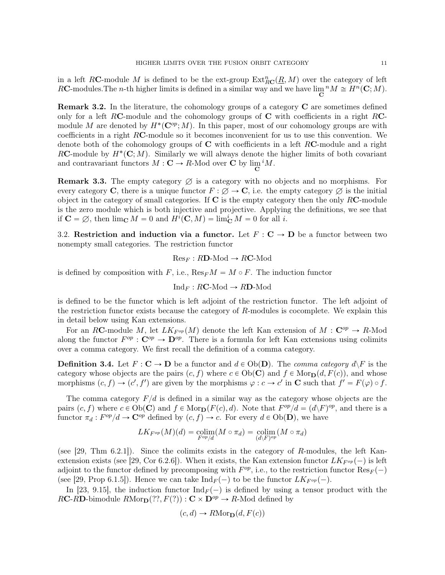in a left RC-module M is defined to be the ext-group  $\text{Ext}_{R\textbf{C}}^n(\underline{R}, M)$  over the category of left RC-modules. The *n*-th higher limits is defined in a similar way and we have  $\lim_{\mathbf{C}} {}^n M \cong H^n(\mathbf{C}; M)$ .

Remark 3.2. In the literature, the cohomology groups of a category C are sometimes defined only for a left RC-module and the cohomology groups of  $C$  with coefficients in a right RCmodule M are denoted by  $H^*(\mathbb{C}^{op};M)$ . In this paper, most of our cohomology groups are with coefficients in a right  $RC$ -module so it becomes inconvenient for us to use this convention. We denote both of the cohomology groups of  $C$  with coefficients in a left RC-module and a right RC-module by  $H^*(\mathbb{C};M)$ . Similarly we will always denote the higher limits of both covariant and contravariant functors  $M : \mathbf{C} \to R$ -Mod over **C** by  $\lim_{\mathbf{C}} {}^{i} M$ .

**Remark 3.3.** The empty category  $\varnothing$  is a category with no objects and no morphisms. For every category C, there is a unique functor  $F : \emptyset \to \mathbb{C}$ , i.e. the empty category  $\emptyset$  is the initial object in the category of small categories. If  $C$  is the empty category then the only  $RC$ -module is the zero module which is both injective and projective. Applying the definitions, we see that if  $\mathbf{C} = \emptyset$ , then  $\lim_{\mathbf{C}} M = 0$  and  $H^{i}(\mathbf{C}, M) = \lim_{\mathbf{C}}^{i} M = 0$  for all i.

3.2. Restriction and induction via a functor. Let  $F : \mathbf{C} \to \mathbf{D}$  be a functor between two nonempty small categories. The restriction functor

 $Res_F : R\mathbf{D}\text{-Mod} \to R\mathbf{C}\text{-Mod}$ 

is defined by composition with F, i.e.,  $\text{Res}_{F}M = M \circ F$ . The induction functor

$$
\mathrm{Ind}_F : R\mathbf{C}\text{-Mod} \to R\mathbf{D}\text{-Mod}
$$

is defined to be the functor which is left adjoint of the restriction functor. The left adjoint of the restriction functor exists because the category of R-modules is cocomplete. We explain this in detail below using Kan extensions.

For an RC-module M, let  $LK_{F^{op}}(M)$  denote the left Kan extension of  $M : \mathbb{C}^{op} \to R$ -Mod along the functor  $F^{op}: \mathbf{C}^{op} \to \mathbf{D}^{op}$ . There is a formula for left Kan extensions using colimits over a comma category. We first recall the definition of a comma category.

**Definition 3.4.** Let  $F: \mathbf{C} \to \mathbf{D}$  be a functor and  $d \in Ob(\mathbf{D})$ . The *comma category*  $d\vee F$  is the category whose objects are the pairs  $(c, f)$  where  $c \in Ob(C)$  and  $f \in Mor_{D}(d, F(c))$ , and whose morphisms  $(c, f) \to (c', f')$  are given by the morphisms  $\varphi : c \to c'$  in **C** such that  $f' = F(\varphi) \circ f$ .

The comma category  $F/d$  is defined in a similar way as the category whose objects are the pairs  $(c, f)$  where  $c \in Ob(C)$  and  $f \in Mor_{\mathbf{D}}(F(c), d)$ . Note that  $F^{op}/d = (d \ F)^{op}$ , and there is a functor  $\pi_d : F^{op}/d \to \mathbf{C}^{op}$  defined by  $(c, f) \to c$ . For every  $d \in Ob(\mathbf{D})$ , we have

$$
LK_{F^{op}}(M)(d) = \underset{F^{op}/d}{\text{colim}}(M \circ \pi_d) = \underset{(d\setminus F)^{op}}{\text{colim}}(M \circ \pi_d)
$$

(see [29, Thm 6.2.1]). Since the colimits exists in the category of  $R$ -modules, the left Kanextension exists (see [29, Cor 6.2.6]). When it exists, the Kan extension functor  $LK_{F^{op}}(-)$  is left adjoint to the functor defined by precomposing with  $F^{op}$ , i.e., to the restriction functor  $\text{Res}_F(-)$ (see [29, Prop 6.1.5]). Hence we can take  $\text{Ind}_F(-)$  to be the functor  $LK_{F^{op}}(-)$ .

In [23, 9.15], the induction functor  $\text{Ind}_F(-)$  is defined by using a tensor product with the RC-RD-bimodule  $RMor_{\mathbf{D}}(??, F(?)) : \mathbf{C} \times \mathbf{D}^{op} \to R$ -Mod defined by

$$
(c, d) \to R\text{Mor}_{\mathbf{D}}(d, F(c))
$$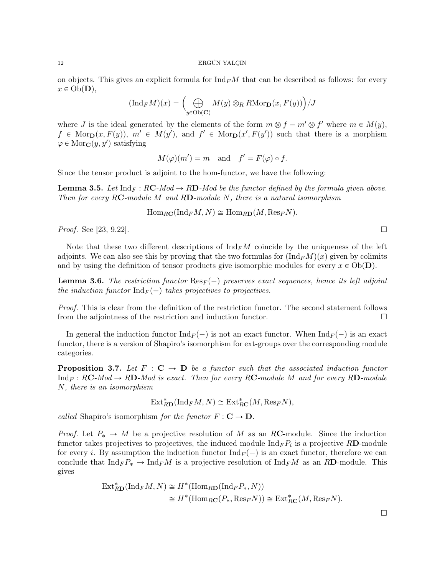on objects. This gives an explicit formula for  $\text{Ind}_F M$  that can be described as follows: for every  $x \in Ob(\mathbf{D}),$ 

$$
(\text{Ind}_{F}M)(x) = \left(\bigoplus_{y \in \text{Ob}(\mathbf{C})} M(y) \otimes_{R} R\text{Mor}_{\mathbf{D}}(x, F(y))\right) / J
$$

where J is the ideal generated by the elements of the form  $m \otimes f - m' \otimes f'$  where  $m \in M(y)$ ,  $f \in \text{Mor}_{\mathbf{D}}(x, F(y)), m' \in M(y'), \text{ and } f' \in \text{Mor}_{\mathbf{D}}(x', F(y')) \text{ such that there is a morphism }$  $\varphi \in \text{Mor}_{\mathbf{C}}(y, y')$  satisfying

$$
M(\varphi)(m') = m
$$
 and  $f' = F(\varphi) \circ f$ .

Since the tensor product is adjoint to the hom-functor, we have the following:

**Lemma 3.5.** Let  $\text{Ind}_F : RC\text{-}Mod \to RD\text{-}Mod$  be the functor defined by the formula given above. Then for every RC-module M and RD-module N, there is a natural isomorphism

$$
\operatorname{Hom}_{R\mathbf{C}}(\operatorname{Ind}_F M, N) \cong \operatorname{Hom}_{R\mathbf{D}}(M, \operatorname{Res}_F N).
$$

*Proof.* See [23, 9.22].

Note that these two different descriptions of  $\mathrm{Ind}_F M$  coincide by the uniqueness of the left adjoints. We can also see this by proving that the two formulas for  $(\text{Ind}_F M)(x)$  given by colimits and by using the definition of tensor products give isomorphic modules for every  $x \in Ob(\mathbf{D})$ .

**Lemma 3.6.** The restriction functor  $\text{Res}_F(-)$  preserves exact sequences, hence its left adjoint the induction functor  $\text{Ind}_F(-)$  takes projectives to projectives.

Proof. This is clear from the definition of the restriction functor. The second statement follows from the adjointness of the restriction and induction functor.

In general the induction functor  $\text{Ind}_F(-)$  is not an exact functor. When  $\text{Ind}_F(-)$  is an exact functor, there is a version of Shapiro's isomorphism for ext-groups over the corresponding module categories.

**Proposition 3.7.** Let  $F : \mathbf{C} \to \mathbf{D}$  be a functor such that the associated induction functor  $\text{Ind}_F : RC\text{-}Mod \to RD\text{-}Mod$  is exact. Then for every RC-module M and for every RD-module N, there is an isomorphism

$$
\text{Ext}_{R\mathbf{D}}^*(\text{Ind}_F M, N) \cong \text{Ext}_{R\mathbf{C}}^*(M, \text{Res}_F N),
$$

called Shapiro's isomorphism for the functor  $F: \mathbf{C} \to \mathbf{D}$ .

*Proof.* Let  $P_* \to M$  be a projective resolution of M as an RC-module. Since the induction functor takes projectives to projectives, the induced module  $\text{Ind}_F P_i$  is a projective RD-module for every i. By assumption the induction functor  $\text{Ind}_F(-)$  is an exact functor, therefore we can conclude that  $\text{Ind}_F P_* \to \text{Ind}_F M$  is a projective resolution of  $\text{Ind}_F M$  as an RD-module. This gives

$$
\operatorname{Ext}_{R\mathbf{D}}^*(\operatorname{Ind}_F M, N) \cong H^*(\operatorname{Hom}_{R\mathbf{D}}(\operatorname{Ind}_F P_*, N))
$$
  
\n
$$
\cong H^*(\operatorname{Hom}_{R\mathbf{C}}(P_*, \operatorname{Res}_F N)) \cong \operatorname{Ext}_{R\mathbf{C}}^*(M, \operatorname{Res}_F N).
$$

 $\Box$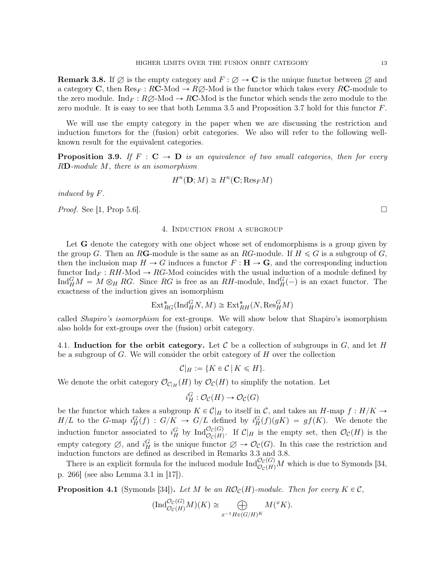**Remark 3.8.** If  $\emptyset$  is the empty category and  $F : \emptyset \to \mathbb{C}$  is the unique functor between  $\emptyset$  and a category C, then  $\text{Res}_F : R\text{C-Mod} \to R\varnothing$ -Mod is the functor which takes every RC-module to the zero module. Ind<sub>F</sub> :  $R\varnothing$ -Mod  $\rightarrow$  RC-Mod is the functor which sends the zero module to the zero module. It is easy to see that both Lemma 3.5 and Proposition 3.7 hold for this functor  $F$ .

We will use the empty category in the paper when we are discussing the restriction and induction functors for the (fusion) orbit categories. We also will refer to the following wellknown result for the equivalent categories.

**Proposition 3.9.** If  $F : \mathbf{C} \to \mathbf{D}$  is an equivalence of two small categories, then for every RD-module M, there is an isomorphism

$$
H^n(\mathbf{D};M)\cong H^n(\mathbf{C};\mathrm{Res}_F M)
$$

induced by F.

*Proof.* See [1, Prop 5.6].

## 4. Induction from a subgroup

Let **G** denote the category with one object whose set of endomorphisms is a group given by the group G. Then an RG-module is the same as an RG-module. If  $H \leq G$  is a subgroup of G, then the inclusion map  $H \to G$  induces a functor  $F : H \to G$ , and the corresponding induction functor  $\text{Ind}_F : RH\text{-Mod} \to RG\text{-Mod}$  coincides with the usual induction of a module defined by Ind $_M^G M = M \otimes_H RG$ . Since RG is free as an RH-module, Ind $_H^G(-)$  is an exact functor. The exactness of the induction gives an isomorphism

$$
\text{Ext}^*_{RG}(\text{Ind}_H^G N, M) \cong \text{Ext}^*_{RH} (N, \text{Res}_H^G M)
$$

called Shapiro's isomorphism for ext-groups. We will show below that Shapiro's isomorphism also holds for ext-groups over the (fusion) orbit category.

4.1. Induction for the orbit category. Let C be a collection of subgroups in  $G$ , and let H be a subgroup of  $G$ . We will consider the orbit category of  $H$  over the collection

$$
\mathcal{C}|_H := \{ K \in \mathcal{C} \, | \, K \leq H \}.
$$

We denote the orbit category  $\mathcal{O}_{\mathcal{C}|H}(H)$  by  $\mathcal{O}_{\mathcal{C}}(H)$  to simplify the notation. Let

$$
i_H^G: \mathcal{O}_\mathcal{C}(H) \to \mathcal{O}_\mathcal{C}(G)
$$

be the functor which takes a subgroup  $K \in \mathcal{C}|_H$  to itself in C, and takes an H-map  $f : H/K \to$  $H/L$  to the G-map  $i_H^G(f) : G/K \to G/L$  defined by  $i_H^G(f)(gK) = gf(K)$ . We denote the induction functor associated to  $i_H^G$  by  $\text{Ind}_{\mathcal{O}_{\mathcal{C}}(H)}^{\mathcal{O}_{\mathcal{C}}(G)}$ . If  $\mathcal{C}|_H$  is the empty set, then  $\mathcal{O}_{\mathcal{C}}(H)$  is the empty category  $\emptyset$ , and  $i_H^G$  is the unique functor  $\emptyset \to \mathcal{O}_{\mathcal{C}}(G)$ . In this case the restriction and induction functors are defined as described in Remarks 3.3 and 3.8.

There is an explicit formula for the induced module  $\text{Ind}_{\mathcal{O}_C(H)}^{\mathcal{O}_C(G)}M$  which is due to Symonds [34, p. 266] (see also Lemma 3.1 in [17]).

**Proposition 4.1** (Symonds [34]). Let M be an  $RO_{\mathcal{C}}(H)$ -module. Then for every  $K \in \mathcal{C}$ ,

$$
(\text{Ind}_{\mathcal{O}_{\mathcal{C}}(H)}^{\mathcal{O}_{\mathcal{C}}(G)}M)(K) \cong \bigoplus_{x^{-1}H \in (G/H)^K} M({}^xK).
$$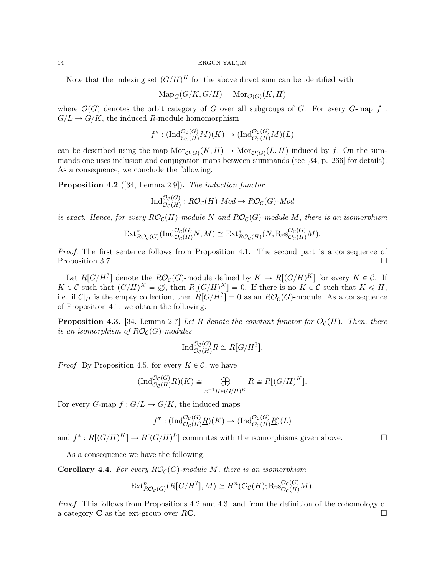Note that the indexing set  $(G/H)^K$  for the above direct sum can be identified with

$$
\text{Map}_G(G/K, G/H) = \text{Mor}_{\mathcal{O}(G)}(K, H)
$$

where  $\mathcal{O}(G)$  denotes the orbit category of G over all subgroups of G. For every G-map f:  $G/L \to G/K$ , the induced R-module homomorphism

$$
f^* : (\text{Ind}_{\mathcal{O}_C(H)}^{\mathcal{O}_C(G)} M)(K) \to (\text{Ind}_{\mathcal{O}_C(H)}^{\mathcal{O}_C(G)} M)(L)
$$

can be described using the map  $\text{Mor}_{\mathcal{O}(G)}(K, H) \to \text{Mor}_{\mathcal{O}(G)}(L, H)$  induced by f. On the summands one uses inclusion and conjugation maps between summands (see [34, p. 266] for details). As a consequence, we conclude the following.

Proposition 4.2 ([34, Lemma 2.9]). The induction functor

$$
\operatorname{Ind}_{\mathcal{O}_{\mathcal{C}}(H)}^{\mathcal{O}_{\mathcal{C}}(G)}: R\mathcal{O}_{\mathcal{C}}(H)\text{-}Mod \to R\mathcal{O}_{\mathcal{C}}(G)\text{-}Mod
$$

is exact. Hence, for every  $R\mathcal{O}_C(H)$ -module N and  $R\mathcal{O}_C(G)$ -module M, there is an isomorphism

$$
\text{Ext}^*_{RO_{\mathcal{C}}(G)}(\text{Ind}_{\mathcal{O}_{\mathcal{C}}(H)}^{\mathcal{O}_{\mathcal{C}}(G)}N,M) \cong \text{Ext}^*_{RO_{\mathcal{C}}(H)}(N,\text{Res}_{\mathcal{O}_{\mathcal{C}}(H)}^{\mathcal{O}_{\mathcal{C}}(G)}M).
$$

Proof. The first sentence follows from Proposition 4.1. The second part is a consequence of Proposition 3.7.

Let  $R[G/H^?$ ] denote the  $R\mathcal{O}_{\mathcal{C}}(G)$ -module defined by  $K \to R[(G/H)^K]$  for every  $K \in \mathcal{C}$ . If  $K \in \mathcal{C}$  such that  $(G/H)^K = \emptyset$ , then  $R[(G/H)^K] = 0$ . If there is no  $K \in \mathcal{C}$  such that  $K \le H$ , i.e. if  $\mathcal{C}|_H$  is the empty collection, then  $R[G/H^?]=0$  as an  $R\mathcal{O}_{\mathcal{C}}(G)$ -module. As a consequence of Proposition 4.1, we obtain the following:

**Proposition 4.3.** [34, Lemma 2.7] Let R denote the constant functor for  $\mathcal{O}_{\mathcal{C}}(H)$ . Then, there is an isomorphism of  $R\mathcal{O}_{\mathcal{C}}(G)$ -modules

$$
\operatorname{Ind}_{\mathcal{O}_{\mathcal{C}}(H)}^{\mathcal{O}_{\mathcal{C}}(G)} \underline{R} \cong R[G/H^?].
$$

*Proof.* By Proposition 4.5, for every  $K \in \mathcal{C}$ , we have

$$
(\text{Ind}_{\mathcal{O}_{\mathcal{C}}(H)}^{\mathcal{O}_{\mathcal{C}}(G)} \underline{R})(K) \cong \bigoplus_{x^{-1}H \in (G/H)^K} R \cong R[(G/H)^K].
$$

For every G-map  $f: G/L \to G/K$ , the induced maps

$$
f^* : (\text{Ind}_{\mathcal{O}_{\mathcal{C}}(H)}^{\mathcal{O}_{\mathcal{C}}(G)} \underline{R})(K) \to (\text{Ind}_{\mathcal{O}_{\mathcal{C}}(H)}^{\mathcal{O}_{\mathcal{C}}(G)} \underline{R})(L)
$$

and  $f^*: R[(G/H)^K] \to R[(G/H)^L]$  commutes with the isomorphisms given above.

As a consequence we have the following.

**Corollary 4.4.** For every  $RO_{\mathcal{C}}(G)$ -module M, there is an isomorphism

$$
\text{Ext}^n_{RO_{\mathcal{C}}(G)}(R[G/H^?], M) \cong H^n(\mathcal{O}_{\mathcal{C}}(H); \text{Res}^{\mathcal{O}_{\mathcal{C}}(G)}_{\mathcal{O}_{\mathcal{C}}(H)}M).
$$

Proof. This follows from Propositions 4.2 and 4.3, and from the definition of the cohomology of a category  $C$  as the ext-group over RC.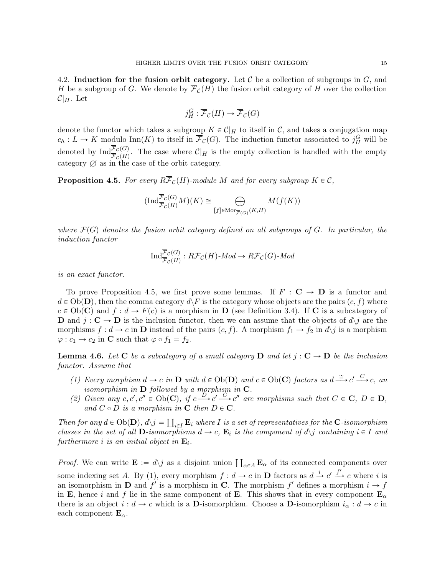4.2. Induction for the fusion orbit category. Let  $\mathcal C$  be a collection of subgroups in  $G$ , and H be a subgroup of G. We denote by  $\overline{\mathcal{F}}_{\mathcal{C}}(H)$  the fusion orbit category of H over the collection  $\mathcal{C}|_H$ . Let

$$
j_H^G : \overline{\mathcal{F}}_{\mathcal{C}}(H) \to \overline{\mathcal{F}}_{\mathcal{C}}(G)
$$

denote the functor which takes a subgroup  $K \in \mathcal{C}|_H$  to itself in C, and takes a conjugation map  $c_h: L \to K$  modulo  $\text{Inn}(K)$  to itself in  $\overline{\mathcal{F}}_{\mathcal{C}}(G)$ . The induction functor associated to  $j_H^G$  will be denoted by  $\text{Ind}_{\overline{\mathcal{F}}_{\mathcal{C}}(H)}^{\mathcal{F}_{\mathcal{C}}(G)}$ . The case where  $\mathcal{C}|_H$  is the empty collection is handled with the empty category  $\varnothing$  as in the case of the orbit category.

**Proposition 4.5.** For every  $R\overline{\mathcal{F}}_{\mathcal{C}}(H)$ -module M and for every subgroup  $K \in \mathcal{C}$ ,

$$
(\text{Ind}_{\overline{\mathcal{F}}_{C}(H)}^{\overline{\mathcal{F}}_{C}(G)}M)(K) \cong \bigoplus_{[f]\in \text{Mor}_{\overline{\mathcal{F}}(G)}(K,H)} M(f(K))
$$

where  $\overline{\mathcal{F}}(G)$  denotes the fusion orbit category defined on all subgroups of G. In particular, the induction functor

$$
\operatorname{Ind}^{\overline{\mathcal{F}}_{\mathcal{C}}(G)}_{\overline{\mathcal{F}}_{\mathcal{C}}(H)}: R\overline{\mathcal{F}}_{\mathcal{C}}(H)\text{-}\mathit{Mod}\to R\overline{\mathcal{F}}_{\mathcal{C}}(G)\text{-}\mathit{Mod}
$$

is an exact functor.

To prove Proposition 4.5, we first prove some lemmas. If  $F : \mathbf{C} \to \mathbf{D}$  is a functor and  $d \in Ob(\mathbf{D})$ , then the comma category  $d\mathcal{F}$  is the category whose objects are the pairs  $(c, f)$  where  $c \in Ob(\mathbf{C})$  and  $f : d \to F(c)$  is a morphism in D (see Definition 3.4). If C is a subcategory of **D** and  $j : \mathbf{C} \to \mathbf{D}$  is the inclusion functor, then we can assume that the objects of  $d\lambda j$  are the morphisms  $f : d \to c$  in **D** instead of the pairs  $(c, f)$ . A morphism  $f_1 \to f_2$  in  $d\gtrsim j$  is a morphism  $\varphi : c_1 \to c_2$  in **C** such that  $\varphi \circ f_1 = f_2$ .

**Lemma 4.6.** Let C be a subcategory of a small category D and let  $j : C \rightarrow D$  be the inclusion functor. Assume that

- (1) Every morphism  $d \to c$  in  $D$  with  $d \in Ob(D)$  and  $c \in Ob(C)$  factors as  $d \stackrel{\cong}{\longrightarrow} c' \stackrel{C}{\longrightarrow} c$ , and isomorphism in  $D$  followed by a morphism in  $C$ .
- (2) Given any  $c, c', c'' \in Ob(C)$ , if  $c \stackrel{D}{\longrightarrow} c' \stackrel{C}{\longrightarrow} c''$  are morphisms such that  $C \in \mathbf{C}, D \in \mathbf{D}$ , and  $C \circ D$  is a morphism in  $C$  then  $D \in C$ .

Then for any  $d \in Ob(\mathbf{D}), d\backslash j = \coprod_{i \in I} \mathbf{E}_i$  where I is a set of representatives for the **C**-isomorphism classes in the set of all **D**-isomorphisms  $d \to c$ ,  $\mathbf{E}_i$  is the component of  $d \setminus j$  containing  $i \in I$  and furthermore i is an initial object in  $\mathbf{E}_i$ .

*Proof.* We can write  $\mathbf{E} := d\backslash j$  as a disjoint union  $\prod_{\alpha \in A} \mathbf{E}_{\alpha}$  of its connected components over some indexing set A. By (1), every morphism  $f : d \to c$  in **D** factors as  $d \stackrel{i}{\to} c' \stackrel{f'}{\to} c$  where i is an isomorphism in **D** and  $f'$  is a morphism in **C**. The morphism  $f'$  defines a morphism  $i \to f$ in E, hence i and f lie in the same component of E. This shows that in every component  $\mathbf{E}_{\alpha}$ there is an object  $i : d \to c$  which is a **D**-isomorphism. Choose a **D**-isomorphism  $i_{\alpha} : d \to c$  in each component  $\mathbf{E}_{\alpha}$ .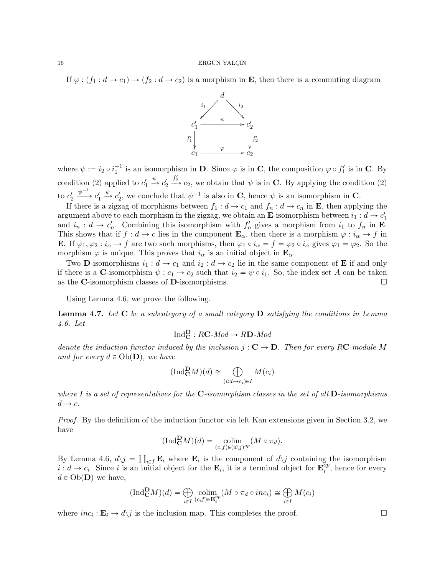If  $\varphi : (f_1 : d \to c_1) \to (f_2 : d \to c_2)$  is a morphism in **E**, then there is a commuting diagram



where  $\psi := i_2 \circ i_1^{-1}$  is an isomorphism in **D**. Since  $\varphi$  is in **C**, the composition  $\varphi \circ f'_1$  is in **C**. By condition (2) applied to  $c_1'$  $\xrightarrow{\psi}$   $c_2'$  $\frac{f'_2}{f'_2}$ , we obtain that  $\psi$  is in **C**. By applying the condition (2) to  $c'_2$  $\xrightarrow{\psi^{-1}} c'_1$  $\stackrel{\psi}{\rightarrow} c'_2$ , we conclude that  $\psi^{-1}$  is also in **C**, hence  $\psi$  is an isomorphism in **C**.

If there is a zigzag of morphisms between  $f_1 : d \to c_1$  and  $f_n : d \to c_n$  in **E**, then applying the argument above to each morphism in the zigzag, we obtain an **E**-isomorphism between  $i_1 : d \rightarrow c'_1$ and  $i_n : d \to c'_n$ . Combining this isomorphism with  $f'_n$  gives a morphism from  $i_1$  to  $f_n$  in **E**. This shows that if  $f : d \to c$  lies in the component  $\mathbf{E}_{\alpha}$ , then there is a morphism  $\varphi : i_{\alpha} \to f$  in **E**. If  $\varphi_1, \varphi_2 : i_\alpha \to f$  are two such morphisms, then  $\varphi_1 \circ i_\alpha = f = \varphi_2 \circ i_\alpha$  gives  $\varphi_1 = \varphi_2$ . So the morphism  $\varphi$  is unique. This proves that  $i_{\alpha}$  is an initial object in  $\mathbf{E}_{\alpha}$ .

Two **D**-isomorphisms  $i_1 : d \to c_1$  and  $i_2 : d \to c_2$  lie in the same component of **E** if and only if there is a C-isomorphism  $\psi : c_1 \to c_2$  such that  $i_2 = \psi \circ i_1$ . So, the index set A can be taken as the C-isomorphism classes of D-isomorphisms.  $\Box$ 

Using Lemma 4.6, we prove the following.

**Lemma 4.7.** Let  $C$  be a subcategory of a small category  $D$  satisfying the conditions in Lemma 4.6. Let

$$
\text{Ind}_{\mathbf{C}}^{\mathbf{D}} : R\mathbf{C} \text{-}Mod \to R\mathbf{D} \text{-}Mod
$$

denote the induction functor induced by the inclusion  $j : \mathbf{C} \to \mathbf{D}$ . Then for every RC-module M and for every  $d \in Ob(\mathbf{D})$ , we have

$$
(\text{Ind}_{\mathbf{C}}^{\mathbf{D}} M)(d) \cong \bigoplus_{(i:d \to c_i) \in I} M(c_i)
$$

where I is a set of representatives for the  $\mathbb{C}$ -isomorphism classes in the set of all  $\mathbb{D}$ -isomorphisms  $d \rightarrow c$ .

Proof. By the definition of the induction functor via left Kan extensions given in Section 3.2, we have

$$
(\mathrm{Ind}_{\mathbf{C}}^{\mathbf{D}}M)(d) = \underset{(c,f) \in (d\backslash j)^{op}}{\mathrm{colim}} (M \circ \pi_d).
$$

By Lemma 4.6,  $d\chi j = \coprod_{i\in I} \mathbf{E}_i$  where  $\mathbf{E}_i$  is the component of  $d\chi j$  containing the isomorphism  $i : d \to c_i$ . Since i is an initial object for the  $\mathbf{E}_i$ , it is a terminal object for  $\mathbf{E}_i^{op}$  $i^{\text{op}}$ , hence for every  $d \in Ob(\mathbf{D})$  we have,

$$
(\text{Ind}_{\mathbf{C}}^{\mathbf{D}}M)(d) = \bigoplus_{i \in I} \underset{(c,f) \in \mathbf{E}_i^{op}}{\text{colim}} (M \circ \pi_d \circ inc_i) \cong \bigoplus_{i \in I} M(c_i)
$$

where  $inc_i : \mathbf{E}_i \to d\mathcal{a}$  is the inclusion map. This completes the proof.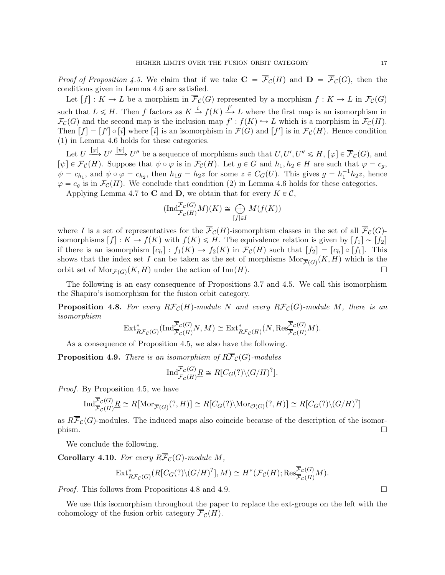*Proof of Proposition 4.5.* We claim that if we take  $C = \overline{\mathcal{F}}_{\mathcal{C}}(H)$  and  $D = \overline{\mathcal{F}}_{\mathcal{C}}(G)$ , then the conditions given in Lemma 4.6 are satisfied.

Let  $[f]: K \to L$  be a morphism in  $\overline{\mathcal{F}}_{\mathcal{C}}(G)$  represented by a morphism  $f: K \to L$  in  $\mathcal{F}_{\mathcal{C}}(G)$ such that  $L \le H$ . Then f factors as  $K \xrightarrow{i} f(K) \xrightarrow{f'} L$  where the first map is an isomorphism in  $\mathcal{F}_{\mathcal{C}}(G)$  and the second map is the inclusion map  $f': f(K) \hookrightarrow L$  which is a morphism in  $\mathcal{F}_{\mathcal{C}}(H)$ . Then  $[f] = [f'] \circ [i]$  where  $[i]$  is an isomorphism in  $\overline{\mathcal{F}}(G)$  and  $[f']$  is in  $\overline{\mathcal{F}}_{\mathcal{C}}(H)$ . Hence condition  $(1)$  in Lemma 4.6 holds for these categories.

Let  $U \stackrel{[\varphi]}{\longrightarrow} U' \stackrel{[\psi]}{\longrightarrow} U''$  be a sequence of morphisms such that  $U, U', U'' \leq H$ ,  $[\varphi] \in \overline{\mathcal{F}}_{\mathcal{C}}(G)$ , and  $[\psi] \in \overline{\mathcal{F}}_{\mathcal{C}}(H)$ . Suppose that  $\psi \circ \varphi$  is in  $\mathcal{F}_{\mathcal{C}}(H)$ . Let  $g \in G$  and  $h_1, h_2 \in H$  are such that  $\varphi = c_g$ ,  $\psi = c_{h_1}$ , and  $\psi \circ \varphi = c_{h_2}$ , then  $h_1 g = h_2 z$  for some  $z \in C_G(U)$ . This gives  $g = h_1^{-1} h_2 z$ , hence  $\varphi = c_q$  is in  $\mathcal{F}_{\mathcal{C}}(H)$ . We conclude that condition (2) in Lemma 4.6 holds for these categories.

Applying Lemma 4.7 to **C** and **D**, we obtain that for every  $K \in \mathcal{C}$ ,

$$
(\text{Ind}_{\overline{\mathcal{F}}_{\mathcal{C}}(H)}^{\overline{\mathcal{F}}_{\mathcal{C}}(G)}M)(K) \cong \bigoplus_{[f]\in I} M(f(K))
$$

where I is a set of representatives for the  $\overline{\mathcal{F}}_{\mathcal{C}}(H)$ -isomorphism classes in the set of all  $\overline{\mathcal{F}}_{\mathcal{C}}(G)$ isomorphisms  $[f]: K \to f(K)$  with  $f(K) \leq H$ . The equivalence relation is given by  $[f_1] \sim [f_2]$ if there is an isomorphism  $[c_h]: f_1(K) \to f_2(K)$  in  $\overline{\mathcal{F}}_{\mathcal{C}}(H)$  such that  $[f_2] = [c_h] \circ [f_1]$ . This shows that the index set I can be taken as the set of morphisms  $\text{Mor}_{\overline{\mathcal{F}}(G)}(K, H)$  which is the orbit set of  $\text{Mor}_{\mathcal{F}(G)}(K, H)$  under the action of  $\text{Inn}(H)$ .

The following is an easy consequence of Propositions 3.7 and 4.5. We call this isomorphism the Shapiro's isomorphism for the fusion orbit category.

**Proposition 4.8.** For every  $R\overline{\mathcal{F}}_{\mathcal{C}}(H)$ -module N and every  $R\overline{\mathcal{F}}_{\mathcal{C}}(G)$ -module M, there is an isomorphism

$$
\text{Ext}^*_{R\overline{\mathcal{F}}_{\mathcal{C}}(G)}(\text{Ind}_{\overline{\mathcal{F}}_{\mathcal{C}}(H)}^{\overline{\mathcal{F}}_{\mathcal{C}}(G)}N,M)\cong \text{Ext}^*_{R\overline{\mathcal{F}}_{\mathcal{C}}(H)}(N,\text{Res}_{\overline{\mathcal{F}}_{\mathcal{C}}(H)}^{\overline{\mathcal{F}}_{\mathcal{C}}(G)}M).
$$

As a consequence of Proposition 4.5, we also have the following.

**Proposition 4.9.** There is an isomorphism of  $R\overline{\mathcal{F}}_{\mathcal{C}}(G)$ -modules

$$
\mathrm{Ind}_{\overline{\mathcal{F}}_{\mathcal{C}}(H)}^{\overline{\mathcal{F}}_{\mathcal{C}}(G)} \underline{R} \cong R[C_G(?)\backslash (G/H)^?].
$$

Proof. By Proposition 4.5, we have

$$
\operatorname{Ind}_{\overline{\mathcal{F}}_{\mathcal{C}}(H)}^{\overline{\mathcal{F}}_{\mathcal{C}}(G)} \underline{R} \cong R[\operatorname{Mor}_{\overline{\mathcal{F}}(G)}(?, H)] \cong R[C_G(?) \setminus \operatorname{Mor}_{\mathcal{O}(G)}(?, H)] \cong R[C_G(?) \setminus (G/H)^?]
$$

as  $R\overline{\mathcal{F}}_{\mathcal{C}}(G)$ -modules. The induced maps also coincide because of the description of the isomor- $\Box$ 

We conclude the following.

**Corollary 4.10.** For every  $R\overline{\mathcal{F}}_{\mathcal{C}}(G)$ -module M,

$$
\text{Ext}_{R\overline{\mathcal{F}}_{\mathcal{C}}(G)}^{*}(R[C_G(?)\backslash (G/H)^?],M)\cong H^{*}(\overline{\mathcal{F}}_{\mathcal{C}}(H);\text{Res}_{\overline{\mathcal{F}}_{\mathcal{C}}(H)}^{\overline{\mathcal{F}}_{\mathcal{C}}(G)}M).
$$

*Proof.* This follows from Propositions 4.8 and 4.9.

We use this isomorphism throughout the paper to replace the ext-groups on the left with the cohomology of the fusion orbit category  $\overline{\mathcal{F}}_{\mathcal{C}}(H)$ .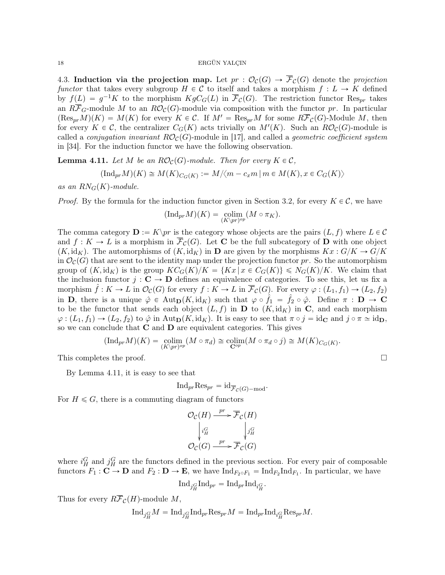4.3. Induction via the projection map. Let  $pr : \mathcal{O}_{\mathcal{C}}(G) \to \overline{\mathcal{F}}_{\mathcal{C}}(G)$  denote the projection functor that takes every subgroup  $H \in \mathcal{C}$  to itself and takes a morphism  $f : L \to K$  defined by  $f(L) = g^{-1}K$  to the morphism  $KgC_G(L)$  in  $\overline{\mathcal{F}}_{\mathcal{C}}(G)$ . The restriction functor Res<sub>pr</sub> takes an  $R\overline{\mathcal{F}}_G$ -module M to an  $R\mathcal{O}_\mathcal{C}(G)$ -module via composition with the functor pr. In particular  $(\text{Res}_{pr}M)(K) = M(K)$  for every  $K \in \mathcal{C}$ . If  $M' = \text{Res}_{pr}M$  for some  $R\overline{\mathcal{F}}_{\mathcal{C}}(G)$ -Module M, then for every  $K \in \mathcal{C}$ , the centralizer  $C_G(K)$  acts trivially on  $M'(K)$ . Such an  $R\mathcal{O}_{\mathcal{C}}(G)$ -module is called a *conjugation invariant*  $RO<sub>c</sub>(G)$ -module in [17], and called a *geometric coefficient system* in [34]. For the induction functor we have the following observation.

**Lemma 4.11.** Let M be an  $RO_{\mathcal{C}}(G)$ -module. Then for every  $K \in \mathcal{C}$ ,

$$
(\text{Ind}_{pr}M)(K) \cong M(K)_{C_G(K)} := M/\langle m - c_x m \mid m \in M(K), x \in C_G(K) \rangle
$$

as an  $RN_G(K)$ -module.

*Proof.* By the formula for the induction functor given in Section 3.2, for every  $K \in \mathcal{C}$ , we have

$$
(\mathrm{Ind}_{pr} M)(K) = \underset{(K\backslash pr)^{op}}{\mathrm{colim}} (M\circ \pi_K).
$$

The comma category  $\mathbf{D} := K\backslash pr$  is the category whose objects are the pairs  $(L, f)$  where  $L \in \mathcal{C}$ and  $f: K \to L$  is a morphism in  $\overline{\mathcal{F}}_{\mathcal{C}}(G)$ . Let C be the full subcategory of D with one object  $(K, id<sub>K</sub>)$ . The automorphisms of  $(K, id<sub>K</sub>)$  in D are given by the morphisms  $Kx : G/K \to G/K$ in  $\mathcal{O}_{\mathcal{C}}(G)$  that are sent to the identity map under the projection functor pr. So the automorphism group of  $(K, id_K)$  is the group  $KC_G(K)/K = \{Kx | x \in C_G(K)\} \le N_G(K)/K$ . We claim that the inclusion functor  $j : \mathbf{C} \to \mathbf{D}$  defines an equivalence of categories. To see this, let us fix a morphism  $\hat{f} : K \to L$  in  $\mathcal{O}_{\mathcal{C}}(G)$  for every  $f : K \to L$  in  $\overline{\mathcal{F}}_{\mathcal{C}}(G)$ . For every  $\varphi : (L_1, f_1) \to (L_2, f_2)$ in **D**, there is a unique  $\hat{\varphi} \in \text{Aut}_{\mathbf{D}}(K, \text{id}_K)$  such that  $\varphi \circ \hat{f}_1 = \hat{f}_2 \circ \hat{\varphi}$ . Define  $\pi : \mathbf{D} \to \mathbf{C}$ to be the functor that sends each object  $(L, f)$  in D to  $(K, id<sub>K</sub>)$  in C, and each morphism  $\varphi: (L_1, f_1) \to (L_2, f_2)$  to  $\hat{\varphi}$  in Aut $_{\mathbf{D}}(K, id_K)$ . It is easy to see that  $\pi \circ j = id_{\mathbf{C}}$  and  $j \circ \pi \simeq id_{\mathbf{D}}$ , so we can conclude that  $C$  and  $D$  are equivalent categories. This gives

$$
(\text{Ind}_{pr}M)(K) = \underset{(K\backslash pr)^{op}}{\text{colim}} (M \circ \pi_d) \cong \underset{\mathbf{C}^{op}}{\text{colim}} (M \circ \pi_d \circ j) \cong M(K)_{C_G(K)}.
$$

This completes the proof.  $\Box$ 

By Lemma 4.11, it is easy to see that

$$
\mathrm{Ind}_{pr}\mathrm{Res}_{pr} = \mathrm{id}_{\overline{\mathcal{F}}_{\mathcal{C}}(G)-\mathrm{mod}}.
$$

For  $H \leq G$ , there is a commuting diagram of functors

$$
\mathcal{O}_{\mathcal{C}}(H) \xrightarrow{pr} \overline{\mathcal{F}}_{\mathcal{C}}(H)
$$

$$
\downarrow i_H^G \qquad \qquad \downarrow j_H^G
$$

$$
\mathcal{O}_{\mathcal{C}}(G) \xrightarrow{pr} \overline{\mathcal{F}}_{\mathcal{C}}(G)
$$

where  $i_H^G$  and  $j_H^G$  are the functors defined in the previous section. For every pair of composable functors  $F_1: \mathbf{C} \to \mathbf{D}$  and  $F_2: \mathbf{D} \to \mathbf{E}$ , we have  $\text{Ind}_{F_2 \circ F_1} = \text{Ind}_{F_2} \text{Ind}_{F_1}$ . In particular, we have

$$
\text{Ind}_{j_H^G} \text{Ind}_{pr} = \text{Ind}_{pr} \text{Ind}_{i_H^G}.
$$

Thus for every  $R\overline{\mathcal{F}}_{\mathcal{C}}(H)$ -module M,

$$
\mathrm{Ind}_{j^G_H}M=\mathrm{Ind}_{j^G_H}\mathrm{Ind}_{pr}\mathrm{Res}_{pr}M=\mathrm{Ind}_{pr}\mathrm{Ind}_{i^G_H}\mathrm{Res}_{pr}M.
$$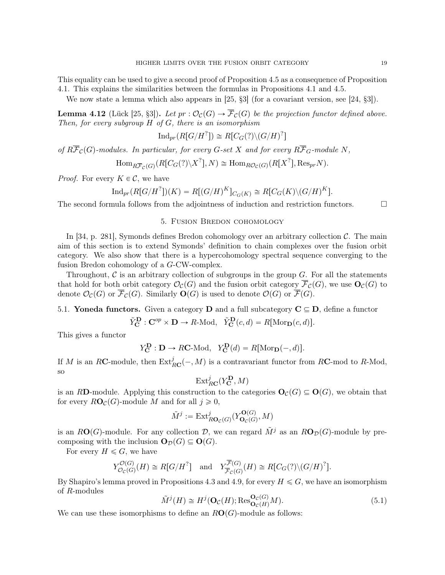This equality can be used to give a second proof of Proposition 4.5 as a consequence of Proposition 4.1. This explains the similarities between the formulas in Propositions 4.1 and 4.5.

We now state a lemma which also appears in [25,  $\S3$ ] (for a covariant version, see [24,  $\S3$ ]).

**Lemma 4.12** (Lück [25, §3]). Let  $pr : \mathcal{O}_{\mathcal{C}}(G) \to \mathcal{F}_{\mathcal{C}}(G)$  be the projection functor defined above. Then, for every subgroup  $H$  of  $G$ , there is an isomorphism

 $\text{Ind}_{pr}(R[G/H^?]) \cong R[C_G(?)\backslash (G/H)^?]$ 

of  $R\overline{\mathcal{F}}_{\mathcal{C}}(G)$ -modules. In particular, for every  $G$ -set X and for every  $R\overline{\mathcal{F}}_G$ -module N,

 $\text{Hom}_{R\overline{\mathcal{F}}_{\mathcal{C}}(G)}(R[C_G(?)\backslash X^?], N) \cong \text{Hom}_{R\mathcal{O}_{\mathcal{C}}(G)}(R[X^?], \text{Res}_{pr}N).$ 

*Proof.* For every  $K \in \mathcal{C}$ , we have

$$
\operatorname{Ind}_{pr}(R[G/H^?])(K) = R[(G/H)^K]_{C_G(K)} \cong R[C_G(K) \setminus (G/H)^K].
$$

The second formula follows from the adjointness of induction and restriction functors.  $\Box$ 

## 5. Fusion Bredon cohomology

In [34, p. 281], Symonds defines Bredon cohomology over an arbitrary collection  $\mathcal{C}$ . The main aim of this section is to extend Symonds' definition to chain complexes over the fusion orbit category. We also show that there is a hypercohomology spectral sequence converging to the fusion Bredon cohomology of a G-CW-complex.

Throughout,  $\mathcal C$  is an arbitrary collection of subgroups in the group  $G$ . For all the statements that hold for both orbit category  $\mathcal{O}_{\mathcal{C}}(G)$  and the fusion orbit category  $\overline{\mathcal{F}}_{\mathcal{C}}(G)$ , we use  $\mathbf{O}_{\mathcal{C}}(G)$  to denote  $\mathcal{O}_{\mathcal{C}}(G)$  or  $\mathcal{F}_{\mathcal{C}}(G)$ . Similarly  $\mathbf{O}(G)$  is used to denote  $\mathcal{O}(G)$  or  $\mathcal{F}(G)$ .

5.1. Yoneda functors. Given a category D and a full subcategory  $C \subseteq D$ , define a functor

$$
\tilde{Y}_{\mathbf{C}}^{\mathbf{D}} : \mathbf{C}^{op} \times \mathbf{D} \to R\text{-Mod}, \quad \tilde{Y}_{\mathbf{C}}^{\mathbf{D}}(c, d) = R[\text{Mor}_{\mathbf{D}}(c, d)].
$$

This gives a functor

$$
Y_{\mathbf{C}}^{\mathbf{D}} : \mathbf{D} \to R\mathbf{C}\text{-Mod}, \ \ Y_{\mathbf{C}}^{\mathbf{D}}(d) = R[\text{Mor}_{\mathbf{D}}(-,d)].
$$

If M is an RC-module, then  $\text{Ext}_{R\mathbf{C}}^j(-,M)$  is a contravariant functor from RC-mod to R-Mod, so

$$
\mathrm{Ext}^j_{R{\mathbf C}}(Y_{\mathbf C}^{\mathbf D},M)
$$

is an RD-module. Applying this construction to the categories  $\mathbf{O}_C(G) \subseteq \mathbf{O}(G)$ , we obtain that for every  $R\mathbf{O}_\mathcal{C}(G)$ -module M and for all  $j \geq 0$ ,

$$
\tilde{M}^j := \mathrm{Ext}^j_{R\mathbf{O}_{\mathcal{C}}(G)}(Y_{\mathbf{O}_{\mathcal{C}}(G)}^{\mathbf{O}(G)}, M)
$$

is an RO(G)-module. For any collection D, we can regard  $\tilde{M}^j$  as an RO<sub>D</sub>(G)-module by precomposing with the inclusion  $\mathbf{O}_{\mathcal{D}}(G) \subseteq \mathbf{O}(G)$ .

For every  $H \leq G$ , we have

$$
Y_{\mathcal{O}_C(G)}^{\mathcal{O}(G)}(H) \cong R[G/H^?] \quad \text{and} \quad Y_{\overline{\mathcal{F}}_C(G)}^{\overline{\mathcal{F}}(G)}(H) \cong R[C_G(?)\backslash (G/H)^?].
$$

By Shapiro's lemma proved in Propositions 4.3 and 4.9, for every  $H \leq G$ , we have an isomorphism of R-modules

$$
\tilde{M}^j(H) \cong H^j(\mathbf{O}_{\mathcal{C}}(H); \text{Res}_{\mathbf{O}_{\mathcal{C}}(H)}^{\mathbf{O}_{\mathcal{C}}(G)}M). \tag{5.1}
$$

We can use these isomorphisms to define an  $RO(G)$ -module as follows: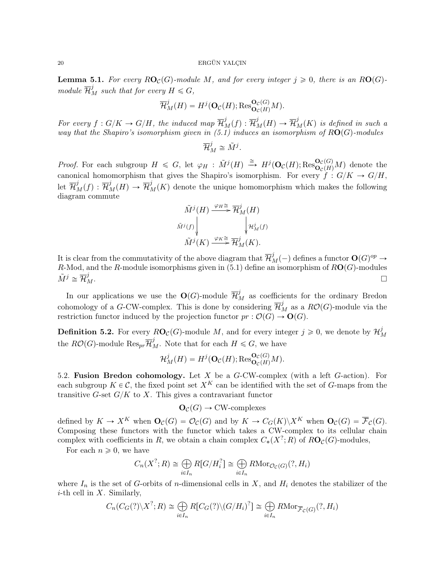**Lemma 5.1.** For every  $RO_{\mathcal{C}}(G)$ -module M, and for every integer  $j \geq 0$ , there is an RO $(G)$ module  $\overline{\mathcal{H}}_M^j$  such that for every  $H \leqslant G,$ 

$$
\overline{\mathcal{H}}_M^j(H) = H^j(\mathbf{O}_{\mathcal{C}}(H); \text{Res}_{\mathbf{O}_{\mathcal{C}}(H)}^{\mathbf{O}_{\mathcal{C}}(G)}M).
$$

For every  $f: G/K \to G/H$ , the induced map  $\overline{\mathcal{H}}_M^j(f): \overline{\mathcal{H}}_M^j(H) \to \overline{\mathcal{H}}_M^j(K)$  is defined in such a way that the Shapiro's isomorphism given in  $(5.1)$  induces an isomorphism of  $RO(G)$ -modules

$$
\overline{\mathcal{H}}_M^j \cong \tilde{M}^j.
$$

*Proof.* For each subgroup  $H \leq G$ , let  $\varphi_H : \tilde{M}^j(H) \stackrel{\cong}{\longrightarrow} H^j(\mathbf{O}_{\mathcal{C}}(H); \text{Res}_{\mathbf{O}_{\mathcal{C}}(H)}^{\mathbf{O}_{\mathcal{C}}(G)}M)$  denote the canonical homomorphism that gives the Shapiro's isomorphism. For every  $f: G/K \to G/H$ , let  $\overline{\mathcal{H}}_M^j(f) : \overline{\mathcal{H}}_M^j(H) \to \overline{\mathcal{H}}_M^j(K)$  denote the unique homomorphism which makes the following diagram commute

$$
\widetilde{M}^{j}(H) \xrightarrow{\varphi_{H} \cong} \overline{\mathcal{H}}_{M}^{j}(H)
$$
\n
$$
\widetilde{M}^{j}(f) \downarrow \qquad \qquad \downarrow \mathcal{H}_{M}^{j}(f)
$$
\n
$$
\widetilde{M}^{j}(K) \xrightarrow{\varphi_{K} \cong} \overline{\mathcal{H}}_{M}^{j}(K).
$$

It is clear from the commutativity of the above diagram that  $\overline{\mathcal{H}}_M^j(-)$  defines a functor  $\mathbf{O}(G)^{op} \to$ R-Mod, and the R-module isomorphisms given in  $(5.1)$  define an isomorphism of  $RO(G)$ -modules  $\tilde{M}^j \cong \overline{\mathcal{H}}{}_I^j$  $\mathcal{L}$   $M$ .

In our applications we use the  $\mathbf{O}(G)$ -module  $\overline{\mathcal{H}}_M^j$  as coefficients for the ordinary Bredon cohomology of a G-CW-complex. This is done by considering  $\overline{\mathcal{H}}_M^j$  as a  $R\mathcal{O}(G)$ -module via the restriction functor induced by the projection functor  $pr : \mathcal{O}(G) \to \mathbf{O}(G)$ .

**Definition 5.2.** For every  $R\mathbf{O}_\mathcal{C}(G)$ -module M, and for every integer  $j \geqslant 0$ , we denote by  $\mathcal{H}_p^j$ M the  $R\mathcal{O}(G)$ -module  $\mathrm{Res}_{pr} \overline{\mathcal{H}}_M^j$ . Note that for each  $H \leq G$ , we have

$$
\mathcal{H}_M^j(H) = H^j(\mathbf{O}_{\mathcal{C}}(H); \text{Res}_{\mathbf{O}_{\mathcal{C}}(H)}^{\mathbf{O}_{\mathcal{C}}(G)}M).
$$

5.2. Fusion Bredon cohomology. Let X be a G-CW-complex (with a left G-action). For each subgroup  $K \in \mathcal{C}$ , the fixed point set  $X^K$  can be identified with the set of G-maps from the transitive G-set  $G/K$  to X. This gives a contravariant functor

$$
\mathbf{O}_{\mathcal{C}}(G) \to \text{CW-complexes}
$$

defined by  $K \to X^K$  when  $\mathbf{O}_\mathcal{C}(G) = \mathcal{O}_\mathcal{C}(G)$  and by  $K \to C_G(K)\backslash X^K$  when  $\mathbf{O}_\mathcal{C}(G) = \overline{\mathcal{F}}_\mathcal{C}(G)$ . Composing these functors with the functor which takes a CW-complex to its cellular chain complex with coefficients in R, we obtain a chain complex  $C_*(X^?;R)$  of  $R\mathbf{O}_\mathcal{C}(G)$ -modules,

For each  $n \geqslant 0$ , we have

$$
C_n(X^?; R) \cong \bigoplus_{i \in I_n} R[G/H_i^?] \cong \bigoplus_{i \in I_n} R\mathrm{Mor}_{\mathcal{O}_{\mathcal{C}}(G)}(?, H_i)
$$

where  $I_n$  is the set of G-orbits of n-dimensional cells in X, and  $H_i$  denotes the stabilizer of the *i*-th cell in  $X$ . Similarly,

$$
C_n(C_G(?)\backslash X^?; R) \cong \bigoplus_{i\in I_n} R[C_G(?)\backslash (G/H_i)^?] \cong \bigoplus_{i\in I_n} R\mathrm{Mor}_{\overline{\mathcal{F}}_C(G)}(?, H_i)
$$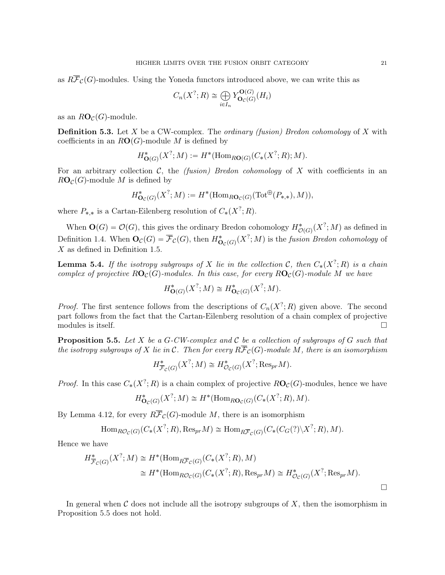as  $R\overline{\mathcal{F}}_{\mathcal{C}}(G)$ -modules. Using the Yoneda functors introduced above, we can write this as

$$
C_n(X^?;R) \cong \bigoplus_{i \in I_n} Y_{\mathbf{O}_C(G)}^{\mathbf{O}(G)}(H_i)
$$

as an  $RO_{\mathcal{C}}(G)$ -module.

**Definition 5.3.** Let X be a CW-complex. The *ordinary (fusion)* Bredon cohomology of X with coefficients in an  $RO(G)$ -module M is defined by

$$
H^{\ast}_{\mathbf{O}(G)}(X^?;M) := H^{\ast}(\mathrm{Hom}_{R\mathbf{O}(G)}(C_{\ast}(X^?;R);M).
$$

For an arbitrary collection C, the *(fusion)* Bredon cohomology of X with coefficients in an  $RO_{\mathcal{C}}(G)$ -module M is defined by

$$
H^*_{\mathbf{O}_{\mathcal{C}}(G)}(X^?;M) := H^*(\mathrm{Hom}_{R\mathbf{O}_{\mathcal{C}}(G)}(\mathrm{Tot}^{\oplus}(P_{*,*}),M)),
$$

where  $P_{*,*}$  is a Cartan-Eilenberg resolution of  $C_*(X^?;R)$ .

When  $\mathbf{O}(G) = \mathcal{O}(G)$ , this gives the ordinary Bredon cohomology  $H^*_{\mathcal{O}(G)}(X^?; M)$  as defined in Definition 1.4. When  $\mathbf{O}_{\mathcal{C}}(G) = \overline{\mathcal{F}}_{\mathcal{C}}(G)$ , then  $H^*_{\mathbf{O}_{\mathcal{C}}(G)}(X^?; M)$  is the *fusion Bredon cohomology* of  $X$  as defined in Definition 1.5.

**Lemma 5.4.** If the isotropy subgroups of X lie in the collection C, then  $C_*(X^?;R)$  is a chain complex of projective  $RO_{\mathcal{C}}(G)$ -modules. In this case, for every  $RO_{\mathcal{C}}(G)$ -module M we have

$$
H^{\ast}_{\mathbf{O}(G)}(X^?;M) \cong H^{\ast}_{\mathbf{O}_C(G)}(X^?;M).
$$

*Proof.* The first sentence follows from the descriptions of  $C_n(X^?; R)$  given above. The second part follows from the fact that the Cartan-Eilenberg resolution of a chain complex of projective modules is itself.  $\Box$ 

**Proposition 5.5.** Let X be a G-CW-complex and C be a collection of subgroups of G such that the isotropy subgroups of X lie in C. Then for every  $R\overline{\mathcal{F}}_{\mathcal{C}}(G)$ -module M, there is an isomorphism

$$
H^*_{\overline{\mathcal{F}}_{\mathcal{C}}(G)}(X^?; M) \cong H^*_{\mathcal{O}_{\mathcal{C}}(G)}(X^?; \text{Res}_{pr}M).
$$

*Proof.* In this case  $C_*(X^?; R)$  is a chain complex of projective  $R\mathbf{O}_\mathcal{C}(G)$ -modules, hence we have

$$
H^{\ast}_{\mathbf{O}_{\mathcal{C}}(G)}(X^?;M) \cong H^{\ast}(\mathrm{Hom}_{R\mathbf{O}_{\mathcal{C}}(G)}(C_{\ast}(X^?;R),M).
$$

By Lemma 4.12, for every  $R\overline{\mathcal{F}}_{\mathcal{C}}(G)$ -module M, there is an isomorphism

Hom<sub>RO<sub>C</sub>(G)</sub>(C<sub>\*</sub>(X<sup>?</sup>; R), Res<sub>pr</sub>M) 
$$
\cong
$$
 Hom<sub>RF<sub>C</sub>(G)</sub>(C<sub>\*</sub>(C<sub>G</sub>(?)\X<sup>?</sup>; R), M).

Hence we have

$$
H^*_{\overline{\mathcal{F}}_C(G)}(X^?; M) \cong H^*(\text{Hom}_{R\overline{\mathcal{F}}_C(G)}(C_*(X^?; R), M)
$$
  
\n
$$
\cong H^*(\text{Hom}_{R\mathcal{O}_C(G)}(C_*(X^?; R), \text{Res}_{pr}M) \cong H^*_{\mathcal{O}_C(G)}(X^?; \text{Res}_{pr}M).
$$

In general when  $\mathcal C$  does not include all the isotropy subgroups of  $X$ , then the isomorphism in Proposition 5.5 does not hold.

 $\Box$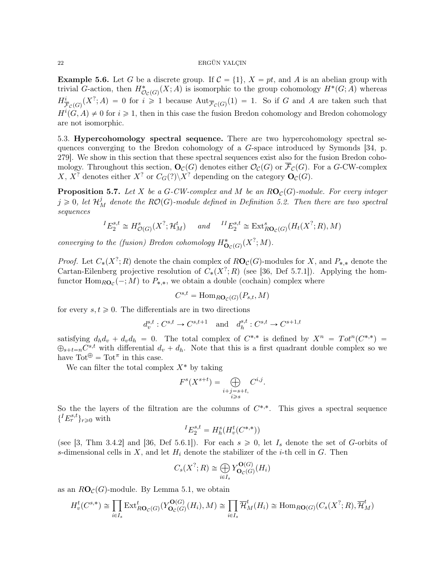**Example 5.6.** Let G be a discrete group. If  $C = \{1\}$ ,  $X = pt$ , and A is an abelian group with trivial G-action, then  $H^*_{\mathcal{O}_{\mathcal{C}}(G)}(X;A)$  is isomorphic to the group cohomology  $H^*(G;A)$  whereas  $H^i_{\overline{\mathcal{F}}_c(G)}(X^?;A) = 0$  for  $i \geq 1$  because  $\text{Aut}_{\overline{\mathcal{F}}_c(G)}(1) = 1$ . So if G and A are taken such that  $H^{i}(G, A) \neq 0$  for  $i \geq 1$ , then in this case the fusion Bredon cohomology and Bredon cohomology are not isomorphic.

5.3. Hypercohomology spectral sequence. There are two hypercohomology spectral sequences converging to the Bredon cohomology of a G-space introduced by Symonds [34, p. 279]. We show in this section that these spectral sequences exist also for the fusion Bredon cohomology. Throughout this section,  $\mathbf{O}_{\mathcal{C}}(G)$  denotes either  $\mathcal{O}_{\mathcal{C}}(G)$  or  $\overline{\mathcal{F}}_{\mathcal{C}}(G)$ . For a G-CW-complex X,  $X^?$  denotes either  $X^?$  or  $C_G(?)\backslash X^?$  depending on the category  $\mathbf{O}_C(G)$ .

**Proposition 5.7.** Let X be a G-CW-complex and M be an  $RO_{\mathcal{C}}(G)$ -module. For every integer  $j \geqslant 0$ , let  $\mathcal{H}_{M}^{j}$  denote the  $RO(G)$ -module defined in Definition 5.2. Then there are two spectral sequences

$$
{}^{I}E_{2}^{s,t} \cong H^{s}_{\mathcal{O}(G)}(X^{?}; \mathcal{H}^{t}_{M}) \quad \text{and} \quad {}^{II}E_{2}^{s,t} \cong \text{Ext}^{s}_{R\mathbf{O}_{\mathcal{C}}(G)}(H_{t}(X^{?}; R), M)
$$

converging to the (fusion) Bredon cohomology  $H^*_{\mathbf{O}_\mathcal{C}(G)}(X^?;M)$ .

*Proof.* Let  $C_*(X^?; R)$  denote the chain complex of  $R\textbf{O}_\mathcal{C}(G)$ -modules for X, and  $P_{*,*}$  denote the Cartan-Eilenberg projective resolution of  $C_*(X^?;R)$  (see [36, Def 5.7.1]). Applying the homfunctor  $\text{Hom}_{R\textbf{O}_{\mathcal{C}}}(-;M)$  to  $P_{*,*}$ , we obtain a double (cochain) complex where

$$
C^{s,t} = \text{Hom}_{R\textbf{O}_\mathcal{C}(G)}(P_{s,t}, M)
$$

for every  $s, t \geq 0$ . The differentials are in two directions

$$
d_v^{s,t}:C^{s,t}\to C^{s,t+1}\quad\text{and}\quad d_h^{s,t}:C^{s,t}\to C^{s+1,t}
$$

satisfying  $d_h d_v + d_v d_h = 0$ . The total complex of  $C^{*,*}$  is defined by  $X^n = Tot^n(C^{*,*})$  $\bigoplus_{s+t=n} C^{s,t}$  with differential  $d_v + d_h$ . Note that this is a first quadrant double complex so we have  $\text{Tot}^{\oplus} = \text{Tot}^{\pi}$  in this case.

We can filter the total complex  $X^*$  by taking

$$
F^{s}(X^{s+t}) = \bigoplus_{\substack{i+j=s+t, \\ i \geq s}} C^{i,j}.
$$

So the the layers of the filtration are the columns of  $C^{*,*}$ . This gives a spectral sequence  ${I E_r^{s,t}}_{r \geq 0}$  with

$$
{}^{I}E^{s,t}_{2} = H_{h}^{s}(H_{v}^{t}(C^{*,*}))
$$

(see [3, Thm 3.4.2] and [36, Def 5.6.1]). For each  $s \geq 0$ , let  $I_s$  denote the set of G-orbits of s-dimensional cells in X, and let  $H_i$  denote the stabilizer of the *i*-th cell in G. Then

$$
C_s(X^?;R) \cong \bigoplus_{i \in I_s} Y_{\mathbf{O}_c(G)}^{\mathbf{O}(G)}(H_i)
$$

as an  $RO_{\mathcal{C}}(G)$ -module. By Lemma 5.1, we obtain

$$
H_v^t(C^{s,*}) \cong \prod_{i \in I_s} \text{Ext}_{R\textbf{O}_C(G)}^t(Y_{\textbf{O}_C(G)}^{\textbf{O}(G)}(H_i), M) \cong \prod_{i \in I_s} \overline{\mathcal{H}}_M^t(H_i) \cong \text{Hom}_{R\textbf{O}(G)}(C_s(X^?; R), \overline{\mathcal{H}}_M^t)
$$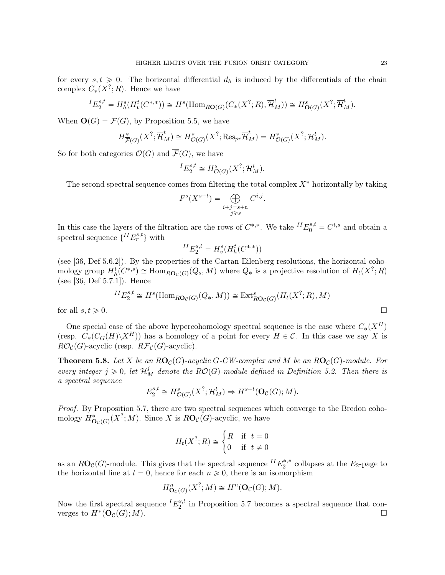for every  $s, t \geq 0$ . The horizontal differential  $d_h$  is induced by the differentials of the chain complex  $C_*(X^?;R)$ . Hence we have

$$
{}^{I}E_{2}^{s,t} = H_{h}^{s}(H_{v}^{t}(C^{*,*})) \cong H^{s}(\text{Hom}_{R\textbf{O}(G)}(C_{*}(X^{?};R),\overline{\mathcal{H}}_{M}^{t})) \cong H_{\textbf{O}(G)}^{s}(X^{?};\overline{\mathcal{H}}_{M}^{t}).
$$

When  $\mathbf{O}(G) = \overline{\mathcal{F}}(G)$ , by Proposition 5.5, we have

$$
H^*_{\overline{\mathcal{F}}(G)}(X^?; \overline{\mathcal{H}}_M^t) \cong H^*_{\mathcal{O}(G)}(X^?; \text{Res}_{pr} \overline{\mathcal{H}}_M^t) = H^*_{\mathcal{O}(G)}(X^?; \mathcal{H}_M^t).
$$

So for both categories  $\mathcal{O}(G)$  and  $\overline{\mathcal{F}}(G)$ , we have

$$
{}^{I}E_{2}^{s,t} \cong H^{s}_{\mathcal{O}(G)}(X^{?}; \mathcal{H}^{t}_{M}).
$$

The second spectral sequence comes from filtering the total complex  $X^*$  horizontally by taking

$$
F^{s}(X^{s+t}) = \bigoplus_{\substack{i+j=s+t, \\ j\geqslant s}} C^{i,j}.
$$

In this case the layers of the filtration are the rows of  $C^{*,*}$ . We take  $^{II}E_0^{s,t} = C^{t,s}$  and obtain a spectral sequence  ${^{II}E_r^{s,t}}$  with

$$
{}^{II}E_2^{s,t} = H^s_v(H^t_h(C^{*,*}))
$$

(see [36, Def 5.6.2]). By the properties of the Cartan-Eilenberg resolutions, the horizontal cohomology group  $H_h^t(C^{*,s}) \cong \text{Hom}_{R\textbf{O}_C(G)}(Q_s, M)$  where  $Q_*$  is a projective resolution of  $H_t(X^?; R)$ (see [36, Def 5.7.1]). Hence

$$
{}^{II}E_2^{s,t} \cong H^s(\text{Hom}_{R\mathbf{O}_C(G)}(Q_*,M)) \cong \text{Ext}_{R\mathbf{O}_C(G)}^s(H_t(X^?;R),M)
$$
  
for all  $s, t \ge 0$ .

One special case of the above hypercohomology spectral sequence is the case where  $C_*(X^H)$ (resp.  $C_*(C_G(H)\backslash X^H)$ ) has a homology of a point for every  $H \in \mathcal{C}$ . In this case we say X is  $R\mathcal{O}_{\mathcal{C}}(G)$ -acyclic (resp.  $R\overline{\mathcal{F}}_{\mathcal{C}}(G)$ -acyclic).

**Theorem 5.8.** Let X be an  $RO_{\mathcal{C}}(G)$ -acyclic G-CW-complex and M be an  $RO_{\mathcal{C}}(G)$ -module. For every integer  $j \geq 0$ , let  $\mathcal{H}_M^j$  denote the  $RO(G)$ -module defined in Definition 5.2. Then there is a spectral sequence

$$
E_2^{s,t} \cong H^s_{\mathcal{O}(G)}(X^?; \mathcal{H}^t_M) \Rightarrow H^{s+t}(\mathbf{O}_{\mathcal{C}}(G); M).
$$

Proof. By Proposition 5.7, there are two spectral sequences which converge to the Bredon cohomology  $H^*_{\mathbf{O}_C(G)}(X^?; M)$ . Since X is  $R\mathbf{O}_C(G)$ -acyclic, we have

$$
H_t(X^?; R) \cong \begin{cases} \underline{R} & \text{if } t = 0\\ 0 & \text{if } t \neq 0 \end{cases}
$$

as an  $R\mathbf{O}_{\mathcal{C}}(G)$ -module. This gives that the spectral sequence  $^{II}E_2^{*,*}$  collapses at the  $E_2$ -page to the horizontal line at  $t = 0$ , hence for each  $n \geq 0$ , there is an isomorphism

$$
H^n_{\mathbf{O}_{\mathcal{C}}(G)}(X^?;M) \cong H^n(\mathbf{O}_{\mathcal{C}}(G);M).
$$

Now the first spectral sequence  $^{I}E_{2}^{s,t}$  $z_2^{s,t}$  in Proposition 5.7 becomes a spectral sequence that converges to  $H^*(\mathbf{O}_{\mathcal{C}}(G); M)$ .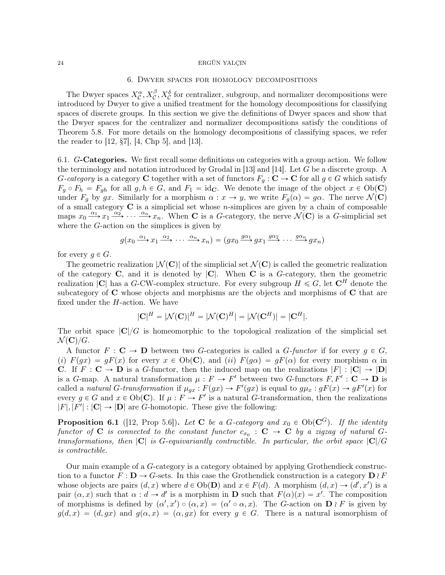# 6. Dwyer spaces for homology decompositions

The Dwyer spaces  $X_C^{\alpha}$ ,  $X_C^{\beta}$ ,  $X_C^{\delta}$  for centralizer, subgroup, and normalizer decompositions were introduced by Dwyer to give a unified treatment for the homology decompositions for classifying spaces of discrete groups. In this section we give the definitions of Dwyer spaces and show that the Dwyer spaces for the centralizer and normalizer decompositions satisfy the conditions of Theorem 5.8. For more details on the homology decompositions of classifying spaces, we refer the reader to  $[12, \, \S7], \, [4, \, \text{Chp } 5], \, \text{and } [13].$ 

6.1. G-Categories. We first recall some definitions on categories with a group action. We follow the terminology and notation introduced by Grodal in [13] and [14]. Let G be a discrete group. A G-category is a category C together with a set of functors  $F_q : \mathbf{C} \to \mathbf{C}$  for all  $g \in G$  which satisfy  $F_q \circ F_h = F_{gh}$  for all  $g, h \in G$ , and  $F_1 = id_{\mathbf{C}}$ . We denote the image of the object  $x \in Ob(\mathbf{C})$ under  $F_g$  by gx. Similarly for a morphism  $\alpha : x \to y$ , we write  $F_g(\alpha) = g\alpha$ . The nerve  $\mathcal{N}(\mathbf{C})$ of a small category  $C$  is a simplicial set whose *n*-simplices are given by a chain of composable maps  $x_0 \stackrel{\alpha_1}{\longrightarrow} x_1 \stackrel{\alpha_2}{\longrightarrow} \cdots \stackrel{\alpha_n}{\longrightarrow} x_n$ . When **C** is a *G*-category, the nerve  $\mathcal{N}(\mathbf{C})$  is a *G*-simplicial set where the G-action on the simplices is given by

$$
g(x_0 \xrightarrow{\alpha_1} x_1 \xrightarrow{\alpha_2} \cdots \xrightarrow{\alpha_n} x_n) = (gx_0 \xrightarrow{g\alpha_1} gx_1 \xrightarrow{g\alpha_2} \cdots \xrightarrow{g\alpha_n} gx_n)
$$

for every  $g \in G$ .

The geometric realization  $|\mathcal{N}(\mathbf{C})|$  of the simplicial set  $\mathcal{N}(\mathbf{C})$  is called the geometric realization of the category  $C$ , and it is denoted by  $|C|$ . When  $C$  is a G-category, then the geometric realization |C| has a G-CW-complex structure. For every subgroup  $H \le G$ , let  $\mathbb{C}^H$  denote the subcategory of  $C$  whose objects and morphisms are the objects and morphisms of  $C$  that are fixed under the  $H$ -action. We have

$$
|\mathbf{C}|^H = |\mathcal{N}(\mathbf{C})|^H = |\mathcal{N}(\mathbf{C})^H| = |\mathcal{N}(\mathbf{C}^H)| = |\mathbf{C}^H|.
$$

The orbit space  $|C|/G$  is homeomorphic to the topological realization of the simplicial set  $\mathcal{N}(\mathbf{C})/G$ .

A functor  $F : \mathbf{C} \to \mathbf{D}$  between two G-categories is called a G-functor if for every  $g \in G$ , (i)  $F(qx) = qF(x)$  for every  $x \in Ob(\mathbb{C})$ , and (ii)  $F(q\alpha) = qF(\alpha)$  for every morphism  $\alpha$  in C. If  $F : \mathbf{C} \to \mathbf{D}$  is a G-functor, then the induced map on the realizations  $|F| : |\mathbf{C}| \to |\mathbf{D}|$ is a G-map. A natural transformation  $\mu : F \to F'$  between two G-functors  $F, F' : \mathbf{C} \to \mathbf{D}$  is called a natural G-transformation if  $\mu_{gx}: F(gx) \to F'(gx)$  is equal to  $g\mu_x: gF(x) \to gF'(x)$  for every  $g \in G$  and  $x \in Ob(C)$ . If  $\mu : F \to F'$  is a natural G-transformation, then the realizations  $|F|, |F'|: |\mathbf{C}| \to |\mathbf{D}|$  are G-homotopic. These give the following:

**Proposition 6.1** ([12, Prop 5.6]). Let **C** be a G-category and  $x_0 \in Ob(\mathbb{C}^G)$ . If the identity functor of  $C$  is connected to the constant functor  $c_{x_0}$  :  $C \rightarrow C$  by a zigzag of natural  $G$ transformations, then  $|C|$  is G-equivariantly contractible. In particular, the orbit space  $|C|/G$ is contractible.

Our main example of a G-category is a category obtained by applying Grothendieck construction to a functor  $F: \mathbf{D} \to G$ -sets. In this case the Grothendick construction is a category  $\mathbf{D} \wr F$ whose objects are pairs  $(d, x)$  where  $d \in Ob(\mathbf{D})$  and  $x \in F(d)$ . A morphism  $(d, x) \to (d', x')$  is a pair  $(\alpha, x)$  such that  $\alpha : d \to d'$  is a morphism in **D** such that  $F(\alpha)(x) = x'$ . The composition of morphisms is defined by  $(\alpha', x') \circ (\alpha, x) = (\alpha' \circ \alpha, x)$ . The G-action on  $\mathbf{D} \wr F$  is given by  $g(d, x) = (d, gx)$  and  $g(\alpha, x) = (\alpha, gx)$  for every  $g \in G$ . There is a natural isomorphism of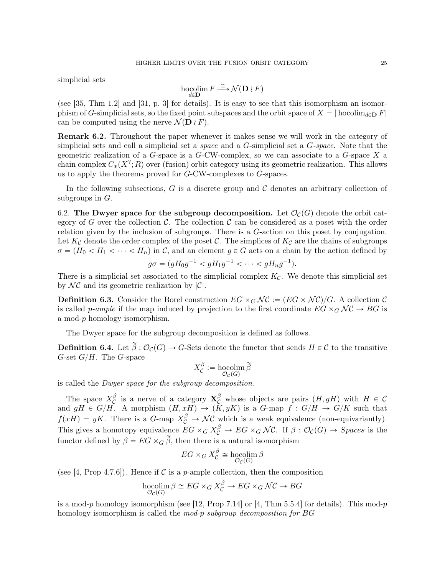simplicial sets

$$
\operatornamewithlimits{hocolim}_{d\in{\mathbf D}}F\mathop{\longrightarrow}\limits^{\cong}\mathcal N({\mathbf D}\wr F)
$$

(see [35, Thm 1.2] and [31, p. 3] for details). It is easy to see that this isomorphism an isomorphism of G-simplicial sets, so the fixed point subspaces and the orbit space of  $X = |\text{hocolim}_{d\in\mathbf{D}} F|$ can be computed using the nerve  $\mathcal{N}(\mathbf{D} \wr F)$ .

Remark 6.2. Throughout the paper whenever it makes sense we will work in the category of simplicial sets and call a simplicial set a space and a G-simplicial set a G-space. Note that the geometric realization of a  $G$ -space is a  $G$ -CW-complex, so we can associate to a  $G$ -space  $X$  a chain complex  $C_*(X^?;R)$  over (fusion) orbit category using its geometric realization. This allows us to apply the theorems proved for  $G$ -CW-complexes to  $G$ -spaces.

In the following subsections, G is a discrete group and C denotes an arbitrary collection of subgroups in  $G$ .

6.2. The Dwyer space for the subgroup decomposition. Let  $\mathcal{O}_{\mathcal{C}}(G)$  denote the orbit category of G over the collection  $\mathcal C$ . The collection  $\mathcal C$  can be considered as a poset with the order relation given by the inclusion of subgroups. There is a G-action on this poset by conjugation. Let  $K_{\mathcal{C}}$  denote the order complex of the poset  $\mathcal{C}$ . The simplices of  $K_{\mathcal{C}}$  are the chains of subgroups  $\sigma = (H_0 < H_1 < \cdots < H_n)$  in C, and an element  $g \in G$  acts on a chain by the action defined by

$$
g\sigma = (gH_0g^{-1} < gH_1g^{-1} < \cdots < gH_ng^{-1}).
$$

There is a simplicial set associated to the simplicial complex  $K_{\mathcal{C}}$ . We denote this simplicial set by  $\mathcal{NC}$  and its geometric realization by  $|\mathcal{C}|$ .

**Definition 6.3.** Consider the Borel construction  $EG \times_G \mathcal{NC} := (EG \times \mathcal{NC})/G$ . A collection C is called p-ample if the map induced by projection to the first coordinate  $EG \times_G \mathcal{NC} \to BG$  is a mod-p homology isomorphism.

The Dwyer space for the subgroup decomposition is defined as follows.

**Definition 6.4.** Let  $\tilde{\beta}: \mathcal{O}_{\mathcal{C}}(G) \to G$ -Sets denote the functor that sends  $H \in \mathcal{C}$  to the transitive G-set  $G/H$ . The G-space

$$
X_{\mathcal{C}}^{\beta}:=\underset{\mathcal{O}_{\mathcal{C}}(G)}{\operatorname{hocolim}}\,\widetilde{\beta}
$$

is called the Dwyer space for the subgroup decomposition.

The space  $X_{\mathcal{C}}^{\beta}$  $\int_{C}^{\beta}$  is a nerve of a category  $\mathbf{X}_{\mathcal{C}}^{\beta}$  whose objects are pairs  $(H, gH)$  with  $H \in \mathcal{C}$ and  $gH \in G/H$ . A morphism  $(H, xH) \to (K, yK)$  is a G-map  $f : G/H \to G/K$  such that  $f(xH) = yK$ . There is a G-map  $X_C^{\beta} \to \mathcal{NC}$  which is a weak equivalence (non-equivariantly). This gives a homotopy equivalence  $EG \times_G X_C^{\beta} \to EG \times_G \mathcal{NC}$ . If  $\beta: \mathcal{O}_C(G) \to Spaces$  is the functor defined by  $\beta = EG \times_G \tilde{\beta}$ , then there is a natural isomorphism

$$
EG \times_G X_C^{\beta} \cong \mathop\mathrm{hocolim}_{\mathcal{O}_C(G)} \beta
$$

(see [4, Prop 4.7.6]). Hence if  $\mathcal C$  is a p-ample collection, then the composition

$$
\operatorname*{hocolim}_{\mathcal{O}_{\mathcal{C}}(G)} \beta \cong EG \times_G X_{\mathcal{C}}^{\beta} \to EG \times_G \mathcal{N}\mathcal{C} \to BG
$$

is a mod-p homology isomorphism (see [12, Prop 7.14] or [4, Thm 5.5.4] for details). This mod-p homology isomorphism is called the mod-p subgroup decomposition for BG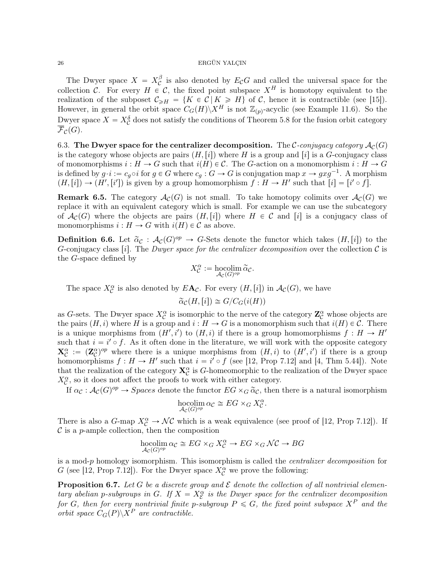The Dwyer space  $X = X_C^{\beta}$  $\mathcal{C}$  is also denoted by  $E_{\mathcal{C}}G$  and called the universal space for the collection C. For every  $H \in \mathcal{C}$ , the fixed point subspace  $X^H$  is homotopy equivalent to the realization of the subposet  $C_{\geq H} = \{K \in \mathcal{C} | K \geq H\}$  of C, hence it is contractible (see [15]). However, in general the orbit space  $C_G(H)\backslash X^H$  is not  $\mathbb{Z}_{(p)}$ -acyclic (see Example 11.6). So the Dwyer space  $X = X_C^{\delta}$  does not satisfy the conditions of Theorem 5.8 for the fusion orbit category  $\overline{\mathcal{F}}_{\mathcal{C}}(G)$ .

6.3. The Dwyer space for the centralizer decomposition. The C-conjugacy category  $\mathcal{A}_{\mathcal{C}}(G)$ is the category whose objects are pairs  $(H,[i])$  where H is a group and  $[i]$  is a G-conjugacy class of monomorphisms  $i : H \to G$  such that  $i(H) \in \mathcal{C}$ . The G-action on a monomorphism  $i : H \to G$ is defined by  $g \cdot i := c_g \circ i$  for  $g \in G$  where  $c_g : G \to G$  is conjugation map  $x \to gxg^{-1}$ . A morphism  $(H, [i]) \to (H', [i'])$  is given by a group homomorphism  $f : H \to H'$  such that  $[i] = [i' \circ f]$ .

**Remark 6.5.** The category  $\mathcal{A}_{\mathcal{C}}(G)$  is not small. To take homotopy colimits over  $\mathcal{A}_{\mathcal{C}}(G)$  we replace it with an equivalent category which is small. For example we can use the subcategory of  $\mathcal{A}_{\mathcal{C}}(G)$  where the objects are pairs  $(H,[i])$  where  $H \in \mathcal{C}$  and  $[i]$  is a conjugacy class of monomorphisms  $i : H \to G$  with  $i(H) \in \mathcal{C}$  as above.

**Definition 6.6.** Let  $\tilde{\alpha}_{\mathcal{C}} : \mathcal{A}_{\mathcal{C}}(G)^{op} \to G$ -Sets denote the functor which takes  $(H,[i])$  to the G-conjugacy class [i]. The Dwyer space for the centralizer decomposition over the collection  $\mathcal C$  is the G-space defined by

$$
X_{\mathcal{C}}^{\alpha} := \operatorname*{hocolim}_{\mathcal{A}_{\mathcal{C}}(G)^{op}} \widetilde{\alpha}_{\mathcal{C}}.
$$

The space  $X_C^{\alpha}$  is also denoted by  $E\mathbf{A}_{\mathcal{C}}$ . For every  $(H,[i])$  in  $\mathcal{A}_{\mathcal{C}}(G)$ , we have

$$
\widetilde{\alpha}_{\mathcal{C}}(H,[i]) \cong G/C_G(i(H))
$$

as G-sets. The Dwyer space  $X_C^{\alpha}$  is isomorphic to the nerve of the category  $\mathbb{Z}_C^{\alpha}$  whose objects are the pairs  $(H, i)$  where H is a group and  $i : H \to G$  is a monomorphism such that  $i(H) \in \mathcal{C}$ . There is a unique morphisms from  $(H', i')$  to  $(H, i)$  if there is a group homomorphisms  $f : H \to H'$ such that  $i = i' \circ f$ . As it often done in the literature, we will work with the opposite category  $\mathbf{X}_{\mathcal{C}}^{\alpha} := (\mathbf{Z}_{\mathcal{C}}^{\alpha})^{op}$  where there is a unique morphisms from  $(H, i)$  to  $(H', i')$  if there is a group homomorphisms  $f: H \to H'$  such that  $i = i' \circ f$  (see [12, Prop 7.12] and [4, Thm 5.44]). Note that the realization of the category  $\mathbf{X}_{\mathcal{C}}^{\alpha}$  is G-homeomorphic to the realization of the Dwyer space  $X_C^{\alpha}$ , so it does not affect the proofs to work with either category.

If  $\alpha_{\mathcal{C}}: \mathcal{A}_{\mathcal{C}}(G)^{op} \to Spaces$  denote the functor  $EG \times_G \widetilde{\alpha}_{\mathcal{C}}$ , then there is a natural isomorphism

$$
\underset{\mathcal{A}_{\mathcal{C}}(G)^{op}}{\text{hocolim}} \alpha_{\mathcal{C}} \cong EG \times_G X_{\mathcal{C}}^{\alpha}.
$$

There is also a  $G$ -map  $X_C^{\alpha} \to \mathcal{NC}$  which is a weak equivalence (see proof of [12, Prop 7.12]). If  $\mathcal C$  is a p-ample collection, then the composition

$$
\operatorname*{hocolim}_{\mathcal{A}_{\mathcal{C}}(G)^{op}} \alpha_{\mathcal{C}} \cong EG \times_G X_{\mathcal{C}}^{\alpha} \to EG \times_G \mathcal{N}\mathcal{C} \to BG
$$

is a mod-p homology isomorphism. This isomorphism is called the centralizer decomposition for G (see [12, Prop 7.12]). For the Dwyer space  $X^{\alpha}_{\mathcal{C}}$  we prove the following:

**Proposition 6.7.** Let G be a discrete group and  $\mathcal E$  denote the collection of all nontrivial elementary abelian p-subgroups in G. If  $X = X_{\mathcal{E}}^{\alpha}$  is the Dwyer space for the centralizer decomposition for G, then for every nontrivial finite p-subgroup  $P \le G$ , the fixed point subspace  $X^P$  and the orbit space  $C_G(P)\backslash X^P$  are contractible.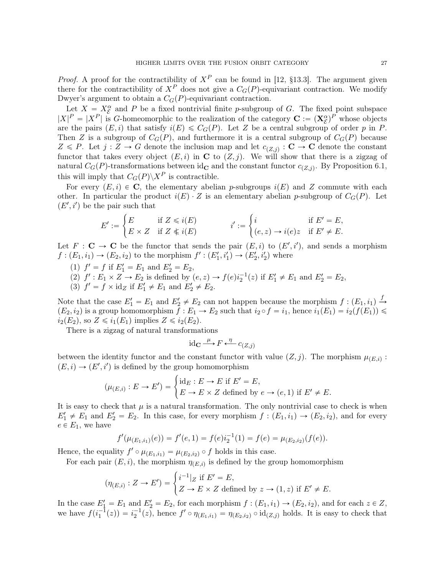*Proof.* A proof for the contractibility of  $X^P$  can be found in [12, §13.3]. The argument given there for the contractibility of  $X^P$  does not give a  $C_G(P)$ -equivariant contraction. We modify Dwyer's argument to obtain a  $C<sub>G</sub>(P)$ -equivariant contraction.

Let  $X = X_{\mathcal{E}}^{\alpha}$  and P be a fixed nontrivial finite p-subgroup of G. The fixed point subspace  $|X|^P = |X^P|$  is G-homeomorphic to the realization of the category  $\mathbf{C} := (\mathbf{X}_{\mathcal{E}}^{\alpha})^P$  whose objects are the pairs  $(E, i)$  that satisfy  $i(E) \leq C_G(P)$ . Let Z be a central subgroup of order p in P. Then Z is a subgroup of  $C_G(P)$ , and furthermore it is a central subgroup of  $C_G(P)$  because  $Z \leq P$ . Let  $j: Z \to G$  denote the inclusion map and let  $c_{(Z,j)} : \mathbf{C} \to \mathbf{C}$  denote the constant functor that takes every object  $(E, i)$  in C to  $(Z, j)$ . We will show that there is a zigzag of natural  $C_G(P)$ -transformations between id<sub>c</sub> and the constant functor  $c_{(Z,j)}$ . By Proposition 6.1, this will imply that  $C_G(P)\backslash X^P$  is contractible.

For every  $(E, i) \in \mathbb{C}$ , the elementary abelian p-subgroups  $i(E)$  and Z commute with each other. In particular the product  $i(E) \cdot Z$  is an elementary abelian p-subgroup of  $C_G(P)$ . Let  $(E', i')$  be the pair such that #

$$
E' := \begin{cases} E & \text{if } Z \le i(E) \\ E \times Z & \text{if } Z \not\le i(E) \end{cases} \qquad i' := \begin{cases} i & \text{if } E' = E, \\ (e, z) \to i(e)z & \text{if } E' \ne E. \end{cases}
$$

Let  $F: \mathbf{C} \to \mathbf{C}$  be the functor that sends the pair  $(E, i)$  to  $(E', i')$ , and sends a morphism  $f: (E_1, i_1) \to (E_2, i_2)$  to the morphism  $f': (E'_1, i'_1) \to (E'_2, i'_2)$  where

- (1)  $f' = f$  if  $E'_1 = E_1$  and  $E'_2 = E_2$ ,
- (2)  $f': E_1 \times Z \to E_2$  is defined by  $(e, z) \to f(e) i_2^{-1}(z)$  if  $E'_1 \neq E_1$  and  $E'_2 = E_2$ ,
- (3)  $f' = f \times id_Z$  if  $E'_1 \neq E_1$  and  $E'_2 \neq E_2$ .

Note that the case  $E'_1 = E_1$  and  $E'_2 \neq E_2$  can not happen because the morphism  $f : (E_1, i_1) \stackrel{f}{\rightarrow}$  $(E_2, i_2)$  is a group homomorphism  $f : E_1 \to E_2$  such that  $i_2 \circ f = i_1$ , hence  $i_1(E_1) = i_2(f(E_1))$  $i_2(E_2)$ , so  $Z \le i_1(E_1)$  implies  $Z \le i_2(E_2)$ .

There is a zigzag of natural transformations

$$
\operatorname{id}_{\mathbf{C}} \xrightarrow{\mu} F \xleftarrow{\eta} c_{(Z,j)}
$$

between the identity functor and the constant functor with value  $(Z, j)$ . The morphism  $\mu_{(E, i)}$ :

$$
(E, i) \to (E', i') \text{ is defined by the group homomorphism}
$$

$$
(\mu_{(E,i)} : E \to E') = \begin{cases} \text{id}_E : E \to E \text{ if } E' = E, \\ E \to E \times Z \text{ defined by } e \to (e, 1) \text{ if } E' \neq E. \end{cases}
$$

It is easy to check that  $\mu$  is a natural transformation. The only nontrivial case to check is when  $E'_1 \neq E_1$  and  $E'_2 = E_2$ . In this case, for every morphism  $f : (E_1, i_1) \rightarrow (E_2, i_2)$ , and for every  $e \in E_1$ , we have

$$
f'(\mu_{(E_1,i_1)}(e)) = f'(e,1) = f(e)i_2^{-1}(1) = f(e) = \mu_{(E_2,i_2)}(f(e)).
$$

Hence, the equality  $f' \circ \mu_{(E_1,i_1)} = \mu_{(E_2,i_2)} \circ f$  holds in this case.

For each pair 
$$
(E, i)
$$
, the morphism  $\eta_{(E,i)}$  is defined by the group homomorphism  
\n
$$
(\eta_{(E,i)} : Z \to E') = \begin{cases} i^{-1}|_Z \text{ if } E' = E, \\ Z \to E \times Z \text{ defined by } z \to (1, z) \text{ if } E' \neq E. \end{cases}
$$

In the case  $E_1' = E_1$  and  $E_2' = E_2$ , for each morphism  $f : (E_1, i_1) \to (E_2, i_2)$ , and for each  $z \in Z$ , we have  $f(i_1^{-1}(z)) = i_2^{-1}(z)$ , hence  $f' \circ \eta_{(E_1,i_1)} = \eta_{(E_2,i_2)} \circ id_{(Z,j)}$  holds. It is easy to check that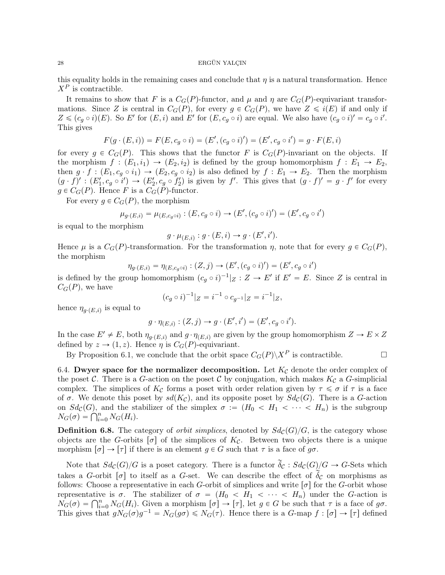this equality holds in the remaining cases and conclude that  $\eta$  is a natural transformation. Hence  $X^P$  is contractible.

It remains to show that F is a  $C_G(P)$ -functor, and  $\mu$  and  $\eta$  are  $C_G(P)$ -equivariant transformations. Since Z is central in  $C_G(P)$ , for every  $g \in C_G(P)$ , we have  $Z \leq i(E)$  if and only if  $Z \leqslant (c_g \circ i)(E)$ . So E' for  $(E, i)$  and E' for  $(E, c_g \circ i)$  are equal. We also have  $(c_g \circ i)' = c_g \circ i'$ . This gives

$$
F(g \cdot (E, i)) = F(E, c_g \circ i) = (E', (c_g \circ i)') = (E', c_g \circ i') = g \cdot F(E, i)
$$

for every  $g \in C_G(P)$ . This shows that the functor F is  $C_G(P)$ -invariant on the objects. If the morphism  $f : (E_1, i_1) \to (E_2, i_2)$  is defined by the group homomorphism  $f : E_1 \to E_2$ , then  $g \cdot f : (E_1, c_g \circ i_1) \to (E_2, c_g \circ i_2)$  is also defined by  $f : E_1 \to E_2$ . Then the morphism  $(g \cdot f)' : (E'_1, c_g \circ i') \to (E'_2, c_g \circ f'_2)$  is given by f'. This gives that  $(g \cdot f)' = g \cdot f'$  for every  $g \in C_G(P)$ . Hence F is a  $C_G(P)$ -functor.

For every  $q \in C_G(P)$ , the morphism

$$
\mu_{g\cdot(E,i)} = \mu_{(E,c_g \circ i)} : (E,c_g \circ i) \to (E',(c_g \circ i')') = (E',c_g \circ i')
$$

is equal to the morphism

$$
g \cdot \mu_{(E,i)} : g \cdot (E,i) \to g \cdot (E',i').
$$

Hence  $\mu$  is a  $C_G(P)$ -transformation. For the transformation  $\eta$ , note that for every  $g \in C_G(P)$ , the morphism

$$
\eta_{g \cdot (E,i)} = \eta_{(E,c_g \circ i)} : (Z,j) \to (E', (c_g \circ i)') = (E', c_g \circ i')
$$

is defined by the group homomorphism  $(c_g \circ i)^{-1} |Z : Z \to E'$  if  $E' = E$ . Since Z is central in  $C_G(P)$ , we have

$$
(c_g \circ i)^{-1}|_Z = i^{-1} \circ c_{g^{-1}}|_Z = i^{-1}|_Z,
$$

hence  $\eta_{g \cdot (E,i)}$  is equal to

$$
g \cdot \eta_{(E,i)} : (Z,j) \to g \cdot (E',i') = (E',c_g \circ i').
$$

In the case  $E' \neq E$ , both  $\eta_{q \cdot (E,i)}$  and  $g \cdot \eta_{(E,i)}$  are given by the group homomorphism  $Z \to E \times Z$ defined by  $z \to (1, z)$ . Hence  $\eta$  is  $C_G(P)$ -equivariant.

By Proposition 6.1, we conclude that the orbit space  $C_G(P)\backslash X^P$  is contractible.

6.4. Dwyer space for the normalizer decomposition. Let  $K_{\mathcal{C}}$  denote the order complex of the poset C. There is a G-action on the poset C by conjugation, which makes  $K_{\mathcal{C}}$  a G-simplicial complex. The simplices of  $K_{\mathcal{C}}$  forms a poset with order relation given by  $\tau \leq \sigma$  if  $\tau$  is a face of  $\sigma$ . We denote this poset by  $sd(K_{\mathcal{C}})$ , and its opposite poset by  $Sd_{\mathcal{C}}(G)$ . There is a G-action on  $Sd_{\mathcal{C}}(G)$ , and the stabilizer of the simplex  $\sigma := (H_0 < H_1 < \cdots < H_n)$  is the subgroup on  $Sd_C(G)$ , and the st<br>  $N_G(\sigma) = \bigcap_{i=0}^n N_G(H_i)$ .

**Definition 6.8.** The category of *orbit simplices*, denoted by  $Sd_{\mathcal{C}}(G)/G$ , is the category whose objects are the G-orbits  $\lbrack \sigma \rbrack$  of the simplices of  $K_c$ . Between two objects there is a unique morphism  $[\sigma] \to [\tau]$  if there is an element  $g \in G$  such that  $\tau$  is a face of  $g\sigma$ .

Note that  $Sd_{\mathcal{C}}(G)/G$  is a poset category. There is a functor  $\widetilde{\delta}_{\mathcal{C}} : Sd_{\mathcal{C}}(G)/G \to G$ -Sets which takes a G-orbit  $\sigma$  is the itself as a G-set. We can describe the effect of  $\delta_c$  on morphisms as follows: Choose a representative in each G-orbit of simplices and write  $\sigma$  for the G-orbit whose representative is  $\sigma$ . The stabilizer of  $\sigma = (H_0 < H_1 < \cdots < H_n)$  under the G-action is representative is  $\sigma$ . The stabilizer of  $\sigma = (H_0 < H_1 < \cdots < H_n)$  under the G-action is  $N_G(\sigma) = \bigcap_{i=0}^n N_G(H_i)$ . Given a morphism  $[\sigma] \to [\tau]$ , let  $g \in G$  be such that  $\tau$  is a face of  $g\sigma$ . This gives that  $gN_G(\sigma)g^{-1} = N_G(g\sigma) \leq N_G(\tau)$ . Hence there is a G-map  $f : [\sigma] \to [\tau]$  defined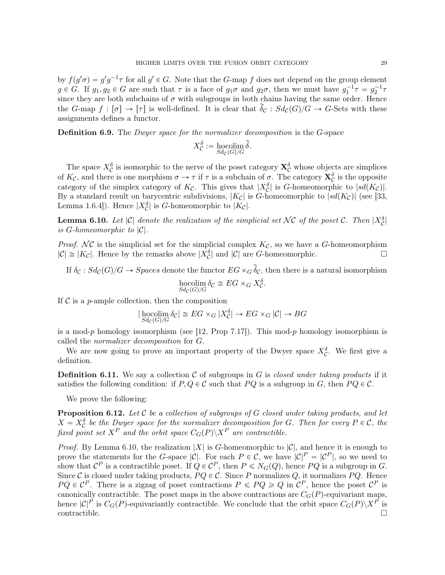by  $f(g'\sigma) = g'g^{-1}\tau$  for all  $g' \in G$ . Note that the G-map f does not depend on the group element  $g \in G$ . If  $g_1, g_2 \in G$  are such that  $\tau$  is a face of  $g_1\sigma$  and  $g_2\sigma$ , then we must have  $g_1^{-1}\tau = g_2^{-1}\tau$ since they are both subchains of  $\sigma$  with subgroups in both chains having the same order. Hence the G-map  $f : [\sigma] \to [\tau]$  is well-defined. It is clear that  $\widetilde{\delta}_{\mathcal{C}} : Sd_{\mathcal{C}}(G)/G \to G$ -Sets with these assignments defines a functor.

**Definition 6.9.** The *Dwyer space for the normalizer decomposition* is the *G*-space

$$
X_C^{\delta} := \operatorname*{hocolim}_{Sd_C(G)/G} \widetilde{\delta}.
$$

The space  $X_C^{\delta}$  is isomorphic to the nerve of the poset category  $\mathbf{X}_C^{\delta}$  whose objects are simplices of  $K_{\mathcal{C}}$ , and there is one morphism  $\sigma \to \tau$  if  $\tau$  is a subchain of  $\sigma$ . The category  $\mathbf{X}_{\mathcal{C}}^{\delta}$  is the opposite category of the simplex category of  $K_c$ . This gives that  $|X_c^{\delta}|$  is G-homeomorphic to  $|sd(K_c)|$ . By a standard result on barycentric subdivisions,  $|K_c|$  is G-homeomorphic to  $|sd(K_c)|$  (see [33, Lemma 1.6.4]). Hence  $|X_C^{\delta}|$  is *G*-homeomorphic to  $|K_C|$ .

**Lemma 6.10.** Let  $|C|$  denote the realization of the simplicial set NC of the poset C. Then  $|X_C^{\delta}|$ is G-homeomorphic to  $|\mathcal{C}|$ .

*Proof.* NC is the simplicial set for the simplicial complex  $K_c$ , so we have a G-homeomorphism  $|\mathcal{C}| \cong |K_{\mathcal{C}}|$ . Hence by the remarks above  $|X_{\mathcal{C}}^{\delta}|$  and  $|\mathcal{C}|$  are *G*-homeomorphic.

If  $\delta_{\mathcal{C}}: Sd_{\mathcal{C}}(G)/G \to Spaces$  denote the functor  $EG\times_G \widetilde{\delta}_{\mathcal{C}}$ , then there is a natural isomorphism hocolim  $\delta_{\mathcal{C}} \cong EG \times_G X_{\mathcal{C}}^{\delta}$ .  $Sd_{\mathcal{C}}(G)/G$ 

If  $\mathcal C$  is a p-ample collection, then the composition

$$
|\operatorname{hocolim}_{Sdc(G)/G} \delta_{\mathcal{C}}| \cong EG \times_G |X^{\delta}_{\mathcal{C}}| \to EG \times_G |\mathcal{C}| \to BG
$$

is a mod-p homology isomorphism (see [12, Prop 7.17]). This mod-p homology isomorphism is called the normalizer decomposition for G.

We are now going to prove an important property of the Dwyer space  $X_{\mathcal{C}}^{\delta}$ . We first give a definition.

**Definition 6.11.** We say a collection C of subgroups in G is *closed under taking products* if it satisfies the following condition: if  $P, Q \in \mathcal{C}$  such that  $P Q$  is a subgroup in G, then  $P Q \in \mathcal{C}$ .

We prove the following:

**Proposition 6.12.** Let  $\mathcal C$  be a collection of subgroups of  $G$  closed under taking products, and let  $X = X_C^{\delta}$  be the Dwyer space for the normalizer decomposition for G. Then for every  $P \in \mathcal{C}$ , the fixed point set  $X^P$  and the orbit space  $C_G(P)\backslash X^P$  are contractible.

*Proof.* By Lemma 6.10, the realization |X| is G-homeomorphic to  $|\mathcal{C}|$ , and hence it is enough to prove the statements for the G-space  $|\mathcal{C}|$ . For each  $P \in \mathcal{C}$ , we have  $|\mathcal{C}|^P = |\mathcal{C}^P|$ , so we need to show that  $\mathcal{C}^P$  is a contractible poset. If  $Q \in \mathcal{C}^P$ , then  $P \leq N_G(Q)$ , hence  $PQ$  is a subgroup in  $G$ . Since C is closed under taking products,  $PQ \in \mathcal{C}$ . Since P normalizes Q, it normalizes  $PQ$ . Hence  $PQ \in \mathcal{C}^P$ . There is a zigzag of poset contractions  $P \leqslant PQ \geqslant Q$  in  $\mathcal{C}^P$ , hence the poset  $\mathcal{C}^P$  is canonically contractible. The poset maps in the above contractions are  $C<sub>G</sub>(P)$ -equivariant maps, hence  $|C|^P$  is  $C_G(P)$ -equivariantly contractible. We conclude that the orbit space  $C_G(P)\backslash X^P$  is  $\Box$ contractible.  $\Box$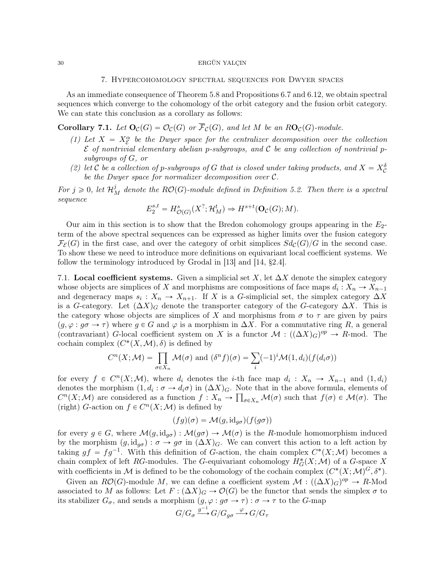## 7. Hypercohomology spectral sequences for Dwyer spaces

As an immediate consequence of Theorem 5.8 and Propositions 6.7 and 6.12, we obtain spectral sequences which converge to the cohomology of the orbit category and the fusion orbit category. We can state this conclusion as a corollary as follows:

**Corollary 7.1.** Let  $\mathbf{O}_{\mathcal{C}}(G) = \mathcal{O}_{\mathcal{C}}(G)$  or  $\overline{\mathcal{F}}_{\mathcal{C}}(G)$ , and let M be an  $R\mathbf{O}_{\mathcal{C}}(G)$ -module.

- (1) Let  $X = X_{\mathcal{E}}^{\alpha}$  be the Dwyer space for the centralizer decomposition over the collection  $\mathcal E$  of nontrivial elementary abelian p-subgroups, and  $\mathcal C$  be any collection of nontrivial psubgroups of G, or
- (2) let C be a collection of p-subgroups of G that is closed under taking products, and  $X = X_C^{\delta}$ be the Dwyer space for normalizer decomposition over C.

For  $j \geq 0$ , let  $\mathcal{H}_M^j$  denote the  $RO(G)$ -module defined in Definition 5.2. Then there is a spectral sequence

$$
E_2^{s,t} = H^s_{\mathcal{O}(G)}(X^?; \mathcal{H}^t_M) \Rightarrow H^{s+t}(\mathbf{O}_{\mathcal{C}}(G); M).
$$

Our aim in this section is to show that the Bredon cohomology groups appearing in the  $E_2$ term of the above spectral sequences can be expressed as higher limits over the fusion category  $\mathcal{F}_{\mathcal{E}}(G)$  in the first case, and over the category of orbit simplices  $Sd_{\mathcal{C}}(G)/G$  in the second case. To show these we need to introduce more definitions on equivariant local coefficient systems. We follow the terminology introduced by Grodal in [13] and [14, §2.4].

7.1. Local coefficient systems. Given a simplicial set X, let  $\Delta X$  denote the simplex category whose objects are simplices of X and morphisms are compositions of face maps  $d_i: X_n \to X_{n-1}$ and degeneracy maps  $s_i: X_n \to X_{n+1}$ . If X is a G-simplicial set, the simplex category  $\Delta X$ is a G-category. Let  $(\Delta X)_{G}$  denote the transporter category of the G-category  $\Delta X$ . This is the category whose objects are simplices of X and morphisms from  $\sigma$  to  $\tau$  are given by pairs  $(g, \varphi : g\sigma \to \tau)$  where  $g \in G$  and  $\varphi$  is a morphism in  $\Delta X$ . For a commutative ring R, a general (contravariant) G-local coefficient system on X is a functor  $\mathcal{M} : ((\Delta X)_G)^{op} \to R$ -mod. The cochain complex  $(C^*(X, \mathcal{M}), \delta)$  is defined by<br> $C^n(X; \mathcal{M}) = \prod \mathcal{M}(\sigma)$  and (

$$
C^{n}(X; \mathcal{M}) = \prod_{\sigma \in X_{n}} \mathcal{M}(\sigma) \text{ and } (\delta^{n} f)(\sigma) = \sum_{i} (-1)^{i} \mathcal{M}(1, d_{i})(f(d_{i}\sigma))
$$

for every  $f \in C^n(X; \mathcal{M})$ , where  $d_i$  denotes the *i*-th face map  $d_i : X_n \to X_{n-1}$  and  $(1, d_i)$ denotes the morphism  $(1, d_i : \sigma \to d_i \sigma)$  in  $(\Delta X)_{G}$ . Note that in the above formula, elements of  $C^n(X;M)$  are considered as a function  $f: X_n \to \prod_{\sigma \in X_n} \mathcal{M}(\sigma)$  such that  $f(\sigma) \in \mathcal{M}(\sigma)$ . The (right) G-action on  $f \in C^n(X; \mathcal{M})$  is defined by

$$
(fg)(\sigma) = \mathcal{M}(g, id_{g\sigma})(f(g\sigma))
$$

for every  $g \in G$ , where  $\mathcal{M}(g, id_{g\sigma}) : \mathcal{M}(g\sigma) \to \mathcal{M}(\sigma)$  is the R-module homomorphism induced by the morphism  $(g, id_{g\sigma}) : \sigma \to g\sigma$  in  $(\Delta X)_{G}$ . We can convert this action to a left action by taking  $gf = fg^{-1}$ . With this definition of G-action, the chain complex  $C^*(X; \mathcal{M})$  becomes a chain complex of left RG-modules. The G-equivariant cohomology  $H^*_{\mathcal{G}}(X;\mathcal{M})$  of a G-space X with coefficients in M is defined to be the cohomology of the cochain complex  $(C^*(X; \mathcal{M})^G, \delta^*)$ .

Given an  $R\mathcal{O}(G)$ -module M, we can define a coefficient system  $\mathcal{M} : ((\Delta X)_G)^{op} \to R$ -Mod associated to M as follows: Let  $F : (\Delta X)_G \to \mathcal{O}(G)$  be the functor that sends the simplex  $\sigma$  to its stabilizer  $G_{\sigma}$ , and sends a morphism  $(g, \varphi : g\sigma \to \tau) : \sigma \to \tau$  to the G-map

$$
G/G_\sigma \xrightarrow{g^{-1}} G/G_{g\sigma} \xrightarrow{\varphi} G/G_\tau
$$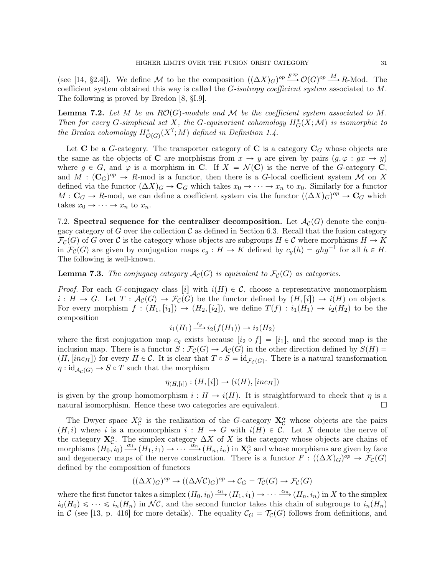(see [14, §2.4]). We define M to be the composition  $((\Delta X)_G)^{op} \stackrel{F^{op}}{\longrightarrow} \mathcal{O}(G)^{op} \stackrel{M}{\longrightarrow} R$ -Mod. The coefficient system obtained this way is called the  $G$ -isotropy coefficient system associated to  $M$ . The following is proved by Bredon [8, §I.9].

**Lemma 7.2.** Let M be an  $RO(G)$ -module and M be the coefficient system associated to M. Then for every G-simplicial set X, the G-equivariant cohomology  $H^*_{G}(X; \mathcal{M})$  is isomorphic to the Bredon cohomology  $H^*_{\mathcal{O}(G)}(X^?;M)$  defined in Definition 1.4.

Let C be a G-category. The transporter category of C is a category  $C_G$  whose objects are the same as the objects of C are morphisms from  $x \to y$  are given by pairs  $(g, \varphi : gx \to y)$ where  $g \in G$ , and  $\varphi$  is a morphism in **C**. If  $X = \mathcal{N}(\mathbf{C})$  is the nerve of the G-category **C**, and  $M : (\mathbf{C}_G)^{op} \to R$ -mod is a functor, then there is a G-local coefficient system M on X defined via the functor  $(\Delta X)_G \to \mathbf{C}_G$  which takes  $x_0 \to \cdots \to x_n$  to  $x_0$ . Similarly for a functor  $M: \mathbf{C}_G \to R$ -mod, we can define a coefficient system via the functor  $((\Delta X)_G)^{op} \to \mathbf{C}_G$  which takes  $x_0 \rightarrow \cdots \rightarrow x_n$  to  $x_n$ .

7.2. Spectral sequence for the centralizer decomposition. Let  $\mathcal{A}_{\mathcal{C}}(G)$  denote the conjugacy category of G over the collection  $\mathcal C$  as defined in Section 6.3. Recall that the fusion category  $\mathcal{F}_{\mathcal{C}}(G)$  of G over C is the category whose objects are subgroups  $H \in \mathcal{C}$  where morphisms  $H \to K$ in  $\mathcal{F}_{\mathcal{C}}(G)$  are given by conjugation maps  $c_g : H \to K$  defined by  $c_g(h) = ghg^{-1}$  for all  $h \in H$ . The following is well-known.

**Lemma 7.3.** The conjugacy category  $\mathcal{A}_{\mathcal{C}}(G)$  is equivalent to  $\mathcal{F}_{\mathcal{C}}(G)$  as categories.

*Proof.* For each G-conjugacy class [i] with  $i(H) \in C$ , choose a representative monomorphism  $i : H \to G$ . Let  $T : \mathcal{A}_{\mathcal{C}}(G) \to \mathcal{F}_{\mathcal{C}}(G)$  be the functor defined by  $(H,[i]) \to i(H)$  on objects. For every morphism  $f : (H_1,[i_1]) \to (H_2,[i_2])$ , we define  $T(f) : i_1(H_1) \to i_2(H_2)$  to be the composition

$$
i_1(H_1) \xrightarrow{c_g} i_2(f(H_1)) \to i_2(H_2)
$$

where the first conjugation map  $c_g$  exists because  $[i_2 \circ f] = [i_1]$ , and the second map is the inclusion map. There is a functor  $S : \mathcal{F}_{\mathcal{C}}(G) \to \mathcal{A}_{\mathcal{C}}(G)$  in the other direction defined by  $S(H)$  =  $(H, [inc_H])$  for every  $H \in \mathcal{C}$ . It is clear that  $T \circ S = id_{\mathcal{F}_{\mathcal{C}}(G)}$ . There is a natural transformation  $\eta : id_{\mathcal{A}_{\mathcal{C}}(G)} \to S \circ T$  such that the morphism

$$
\eta_{(H,[i])}: (H,[i]) \to (i(H), [inc_H])
$$

is given by the group homomorphism  $i : H \to i(H)$ . It is straightforward to check that  $\eta$  is a natural isomorphism. Hence these two categories are equivalent.

The Dwyer space  $X_{\mathcal{C}}^{\alpha}$  is the realization of the G-category  $\mathbf{X}_{\mathcal{C}}^{\alpha}$  whose objects are the pairs  $(H, i)$  where i is a monomorphism  $i : H \to G$  with  $i(H) \in \mathcal{C}$ . Let X denote the nerve of the category  $X_{\mathcal{C}}^{\alpha}$ . The simplex category  $\Delta X$  of X is the category whose objects are chains of morphisms  $(H_0, i_0) \xrightarrow{\alpha_1} (H_1, i_1) \rightarrow \cdots \xrightarrow{\alpha_n} (H_n, i_n)$  in  $\mathbf{X}_{\mathcal{C}}^{\alpha}$  and whose morphisms are given by face and degeneracy maps of the nerve construction. There is a functor  $F : ((\Delta X)_G)^{op} \to \mathcal{F}_C(G)$ defined by the composition of functors

$$
((\Delta X)_G)^{op} \to ((\Delta \mathcal{N}\mathcal{C})_G)^{op} \to \mathcal{C}_G = \mathcal{T}_{\mathcal{C}}(G) \to \mathcal{F}_{\mathcal{C}}(G)
$$

where the first functor takes a simplex  $(H_0, i_0) \stackrel{\alpha_1}{\longrightarrow} (H_1, i_1) \to \cdots \stackrel{\alpha_n}{\longrightarrow} (H_n, i_n)$  in X to the simplex  $i_0(H_0) \leq \cdots \leq i_n(H_n)$  in NC, and the second functor takes this chain of subgroups to  $i_n(H_n)$ in C (see [13, p. 416] for more details). The equality  $C_G = \mathcal{T}_C(G)$  follows from definitions, and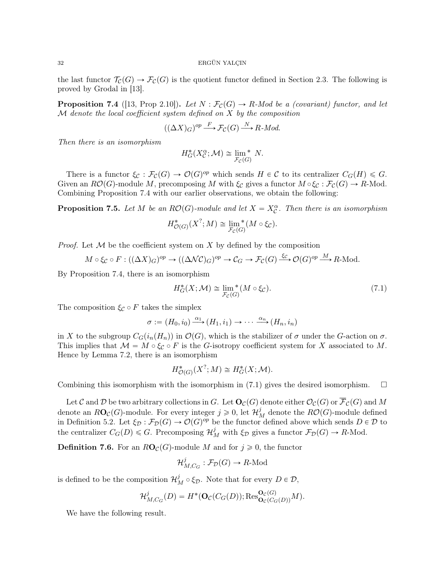the last functor  $\mathcal{T}_{\mathcal{C}}(G) \to \mathcal{F}_{\mathcal{C}}(G)$  is the quotient functor defined in Section 2.3. The following is proved by Grodal in [13].

**Proposition 7.4** ([13, Prop 2.10]). Let  $N : \mathcal{F}_{\mathcal{C}}(G) \to R$ -Mod be a (covariant) functor, and let  $M$  denote the local coefficient system defined on  $X$  by the composition

$$
((\Delta X)_G)^{op} \xrightarrow{F} \mathcal{F}_\mathcal{C}(G) \xrightarrow{N} R \text{-}Mod.
$$

Then there is an isomorphism

$$
H_G^*(X_C^{\alpha}; \mathcal{M}) \cong \lim_{\mathcal{F}_C(G)}^* N.
$$

There is a functor  $\xi_{\mathcal{C}} : \mathcal{F}_{\mathcal{C}}(G) \to \mathcal{O}(G)^{op}$  which sends  $H \in \mathcal{C}$  to its centralizer  $C_G(H) \leq G$ . Given an  $R\mathcal{O}(G)$ -module M, precomposing M with  $\xi_{\mathcal{C}}$  gives a functor  $M \circ \xi_{\mathcal{C}} : \mathcal{F}_{\mathcal{C}}(G) \to R$ -Mod. Combining Proposition 7.4 with our earlier observations, we obtain the following:

**Proposition 7.5.** Let M be an  $RO(G)$ -module and let  $X = X_C^{\alpha}$ . Then there is an isomorphism

$$
H^*_{\mathcal{O}(G)}(X^?;M) \cong \lim_{\mathcal{F}_c(G)}^* (M \circ \xi_c).
$$

*Proof.* Let  $M$  be the coefficient system on X by defined by the composition

$$
M \circ \xi_{\mathcal{C}} \circ F : ((\Delta X)_{G})^{op} \to ((\Delta \mathcal{N}\mathcal{C})_{G})^{op} \to \mathcal{C}_{G} \to \mathcal{F}_{\mathcal{C}}(G) \xrightarrow{\xi_{\mathcal{C}}} \mathcal{O}(G)^{op} \xrightarrow{M} R\text{-Mod}.
$$

By Proposition 7.4, there is an isomorphism

$$
H_G^*(X; \mathcal{M}) \cong \lim_{\mathcal{F}_C(G)}^*(M \circ \xi_C). \tag{7.1}
$$

The composition  $\xi_C \circ F$  takes the simplex

 $\sigma := (H_0, i_0) \xrightarrow{\alpha_1} (H_1, i_1) \rightarrow \cdots \xrightarrow{\alpha_n} (H_n, i_n)$ 

in X to the subgroup  $C_G(i_n(H_n))$  in  $\mathcal{O}(G)$ , which is the stabilizer of  $\sigma$  under the G-action on  $\sigma$ . This implies that  $\mathcal{M} = M \circ \xi_{\mathcal{C}} \circ F$  is the G-isotropy coefficient system for X associated to M. Hence by Lemma 7.2, there is an isomorphism

$$
H^*_{\mathcal{O}(G)}(X^?; M) \cong H^*_{G}(X; \mathcal{M}).
$$

Combining this isomorphism with the isomorphism in  $(7.1)$  gives the desired isomorphism.  $\Box$ 

Let C and D be two arbitrary collections in G. Let  $\mathbf{O}_\mathcal{C}(G)$  denote either  $\mathcal{O}_\mathcal{C}(G)$  or  $\overline{\mathcal{F}}_\mathcal{C}(G)$  and M denote an  $R\mathbf{O}_{\mathcal{C}}(G)$ -module. For every integer  $j \geqslant 0$ , let  $\mathcal{H}_M^j$  denote the  $R\mathcal{O}(G)$ -module defined in Definition 5.2. Let  $\xi_{\mathcal{D}} : \mathcal{F}_{\mathcal{D}}(G) \to \mathcal{O}(G)^{op}$  be the functor defined above which sends  $D \in \mathcal{D}$  to the centralizer  $C_G(D) \leq G$ . Precomposing  $\mathcal{H}_M^j$  with  $\xi_{\mathcal{D}}$  gives a functor  $\mathcal{F}_{\mathcal{D}}(G) \to R$ -Mod.

**Definition 7.6.** For an  $RO_{\mathcal{C}}(G)$ -module M and for  $j \geq 0$ , the functor

$$
\mathcal{H}_{M,C_G}^j : \mathcal{F}_\mathcal{D}(G) \to R\text{-Mod}
$$

is defined to be the composition  $\mathcal{H}_M^j \circ \xi_{\mathcal{D}}$ . Note that for every  $D \in \mathcal{D}$ ,

$$
\mathcal{H}_{M,C_G}^j(D) = H^*(\mathbf{O}_{\mathcal{C}}(C_G(D)); \text{Res}_{\mathbf{O}_{\mathcal{C}}(C_G(D))}^{\mathbf{O}_{\mathcal{C}}(G)}M).
$$

We have the following result.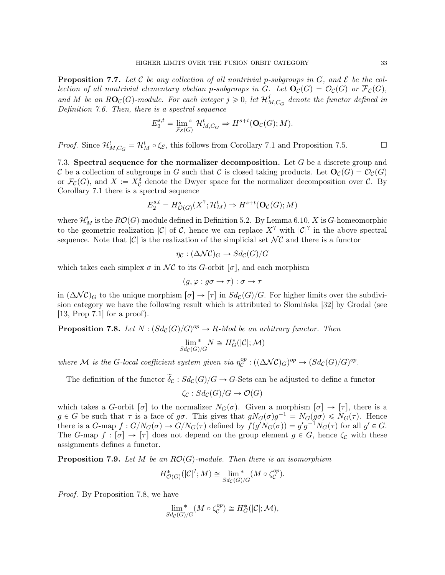**Proposition 7.7.** Let C be any collection of all nontrivial p-subgroups in G, and  $\mathcal{E}$  be the collection of all nontrivial elementary abelian p-subgroups in G. Let  $O_{\mathcal{C}}(G) = \mathcal{O}_{\mathcal{C}}(G)$  or  $\overline{\mathcal{F}}_{\mathcal{C}}(G)$ , and M be an  $R\mathbf{O}_{\mathcal{C}}(G)$ -module. For each integer  $j \geqslant 0$ , let  $\mathcal{H}^j_\Lambda$  $\sigma_{M,C_G}^j$  denote the functor defined in Definition 7.6. Then, there is a spectral sequence

$$
E_2^{s,t} = \lim_{\mathcal{F}_{\mathcal{E}}(G)} \mathcal{H}_{M,C_G}^t \Rightarrow H^{s+t}(\mathbf{O}_{\mathcal{C}}(G);M).
$$

*Proof.* Since  $\mathcal{H}_{M, C_G}^t = \mathcal{H}_M^t \circ \xi_{\mathcal{E}}$ , this follows from Corollary 7.1 and Proposition 7.5.

7.3. Spectral sequence for the normalizer decomposition. Let  $G$  be a discrete group and C be a collection of subgroups in G such that C is closed taking products. Let  $\mathbf{O}_C(G) = \mathcal{O}_C(G)$ or  $\mathcal{F}_{\mathcal{C}}(G)$ , and  $X := X_{\mathcal{C}}^{\delta}$  denote the Dwyer space for the normalizer decomposition over  $\mathcal{C}$ . By Corollary 7.1 there is a spectral sequence

$$
E_2^{s,t} = H^s_{\mathcal{O}(G)}(X^?; \mathcal{H}^t_M) \Rightarrow H^{s+t}(\mathbf{O}_{\mathcal{C}}(G); M)
$$

where  $\mathcal{H}_{M}^{t}$  is the  $RO(G)$ -module defined in Definition 5.2. By Lemma 6.10, X is G-homeomorphic to the geometric realization  $|\mathcal{C}|$  of  $\mathcal{C}$ , hence we can replace  $X^?$  with  $|\mathcal{C}|^?$  in the above spectral sequence. Note that  $|\mathcal{C}|$  is the realization of the simplicial set  $\mathcal{NC}$  and there is a functor

$$
\eta_{\mathcal{C}}:(\Delta \mathcal{N}\mathcal{C})_G \to Sd_{\mathcal{C}}(G)/G
$$

which takes each simplex  $\sigma$  in  $\mathcal{NC}$  to its G-orbit  $[\sigma]$ , and each morphism

$$
(g, \varphi : g\sigma \to \tau) : \sigma \to \tau
$$

in  $(\Delta NC)_G$  to the unique morphism  $[\sigma] \to [\tau]$  in  $Sd_{\mathcal{C}}(G)/G$ . For higher limits over the subdivision category we have the following result which is attributed to Slomińska [32] by Grodal (see [13, Prop 7.1] for a proof).

**Proposition 7.8.** Let  $N : (Sd_{\mathcal{C}}(G)/G)^{op} \to R$ -Mod be an arbitrary functor. Then

$$
\lim_{Sd_{\mathcal{C}}(G)/G}^* N \cong H^*_{G}(|\mathcal{C}|; \mathcal{M})
$$

where M is the G-local coefficient system given via  $\eta_c^{op}$  ${}_{\mathcal{C}}^{op} : ((\Delta \mathcal{N}\mathcal{C})_G)^{op} \to (Sd_{\mathcal{C}}(G)/G)^{op}.$ 

The definition of the functor  $\tilde{\delta}_{\mathcal{C}} : Sd_{\mathcal{C}}(G)/G \to G$ -Sets can be adjusted to define a functor

$$
\zeta_{\mathcal{C}} : Sd_{\mathcal{C}}(G)/G \to \mathcal{O}(G)
$$

which takes a G-orbit  $[\sigma]$  to the normalizer  $N_G(\sigma)$ . Given a morphism  $[\sigma] \to [\tau]$ , there is a  $g \in G$  be such that  $\tau$  is a face of  $g\sigma$ . This gives that  $gN_G(\sigma)g^{-1} = N_G(g\sigma) \le N_G(\tau)$ . Hence there is a G-map  $f: G/N_G(\sigma) \to G/N_G(\tau)$  defined by  $f(g'N_G(\sigma)) = g'g^{-1}N_G(\tau)$  for all  $g' \in G$ . The G-map  $f : [\sigma] \to [\tau]$  does not depend on the group element  $g \in G$ , hence  $\zeta_c$  with these assignments defines a functor.

**Proposition 7.9.** Let M be an  $RO(G)$ -module. Then there is an isomorphism

$$
H^*_{\mathcal{O}(G)}(|\mathcal{C}|^?;M) \cong \lim_{Sd_{\mathcal{C}}(G)/G} (M \circ \zeta_{\mathcal{C}}^{op}).
$$

Proof. By Proposition 7.8, we have

$$
\lim_{Sd_{\mathcal{C}}(G)/G}^{*}(M \circ \zeta_{\mathcal{C}}^{op}) \cong H_{G}^{*}(|\mathcal{C}|; \mathcal{M}),
$$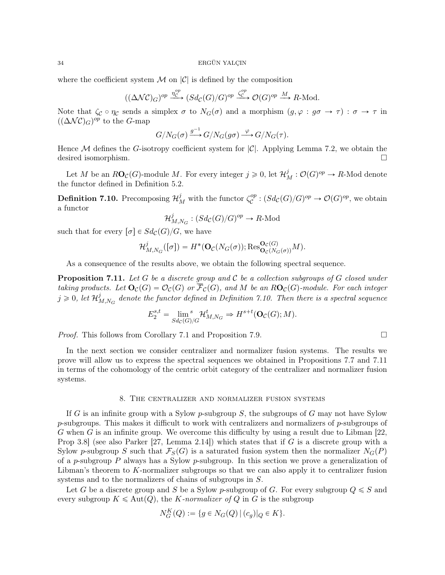where the coefficient system  $\mathcal M$  on  $|\mathcal C|$  is defined by the composition

$$
((\Delta NC)_G)^{op} \xrightarrow{\eta_C^{op}} (Sd_C(G)/G)^{op} \xrightarrow{\zeta_C^{op}} \mathcal{O}(G)^{op} \xrightarrow{M} R\text{-Mod}.
$$

Note that  $\zeta_c \circ \eta_c$  sends a simplex  $\sigma$  to  $N_G(\sigma)$  and a morphism  $(g, \varphi : g\sigma \to \tau) : \sigma \to \tau$  in  $((\Delta NC)_{G})^{op}$  to the G-map

$$
G/N_G(\sigma) \xrightarrow{g^{-1}} G/N_G(g\sigma) \xrightarrow{\varphi} G/N_G(\tau).
$$

Hence M defines the G-isotropy coefficient system for  $|\mathcal{C}|$ . Applying Lemma 7.2, we obtain the desired isomorphism.

Let M be an  $R\mathbf{O}_\mathcal{C}(G)$ -module M. For every integer  $j \geqslant 0$ , let  $\mathcal{H}_M^j$ :  $\mathcal{O}(G)^{op} \to R$ -Mod denote the functor defined in Definition 5.2.

**Definition 7.10.** Precomposing  $\mathcal{H}_{M}^{j}$  with the functor  $\zeta_{\mathcal{C}}^{op}$  ${}_{\mathcal{C}}^{op}$ :  $(Sd_{\mathcal{C}}(G)/G)^{op} \to \mathcal{O}(G)^{op}$ , we obtain a functor

$$
\mathcal{H}^j_{M,N_G}:(Sd_{\mathcal{C}}(G)/G)^{op}\to R\text{-}\mathrm{Mod}
$$

such that for every  $\lbrack \sigma \rbrack \in Sd_{\mathcal{C}}(G)/G,$  we have

$$
\mathcal{H}_{M,N_G}^j([\sigma]) = H^*(\mathbf{O}_{\mathcal{C}}(N_G(\sigma)); \text{Res}_{\mathbf{O}_{\mathcal{C}}(N_G(\sigma))}^{\mathbf{O}_{\mathcal{C}}(G)}M).
$$

As a consequence of the results above, we obtain the following spectral sequence.

**Proposition 7.11.** Let G be a discrete group and C be a collection subgroups of G closed under taking products. Let  $\mathbf{O}_C(G) = \mathcal{O}_C(G)$  or  $\overline{\mathcal{F}}_C(G)$ , and M be an  $RO_C(G)$ -module. For each integer  $j\geqslant 0, \; let \; {\cal H}_I^j$  $\mathcal{L}_{M,N_G}^{j}$  denote the functor defined in Definition 7.10. Then there is a spectral sequence

$$
E_2^{s,t} = \lim_{Sd_C(G)/G} {}^{s}\mathcal{H}_{M,N_G}^t \Rightarrow H^{s+t}(\mathbf{O}_C(G);M).
$$

*Proof.* This follows from Corollary 7.1 and Proposition 7.9.

In the next section we consider centralizer and normalizer fusion systems. The results we prove will allow us to express the spectral sequences we obtained in Propositions 7.7 and 7.11 in terms of the cohomology of the centric orbit category of the centralizer and normalizer fusion systems.

## 8. The centralizer and normalizer fusion systems

If G is an infinite group with a Sylow p-subgroup S, the subgroups of G may not have Sylow  $p$ -subgroups. This makes it difficult to work with centralizers and normalizers of  $p$ -subgroups of G when G is an infinite group. We overcome this difficulty by using a result due to Libman  $[22, 1]$ Prop 3.8 (see also Parker [27, Lemma 2.14]) which states that if G is a discrete group with a Sylow p-subgroup S such that  $\mathcal{F}_{S}(G)$  is a saturated fusion system then the normalizer  $N_{G}(P)$ of a p-subgroup P always has a Sylow p-subgroup. In this section we prove a generalization of Libman's theorem to K-normalizer subgroups so that we can also apply it to centralizer fusion systems and to the normalizers of chains of subgroups in S.

Let G be a discrete group and S be a Sylow p-subgroup of G. For every subgroup  $Q \leq S$  and every subgroup  $K \leq \text{Aut}(Q)$ , the K-normalizer of Q in G is the subgroup

$$
N_G^K(Q) := \{ g \in N_G(Q) \, | \, (c_g)|_Q \in K \}.
$$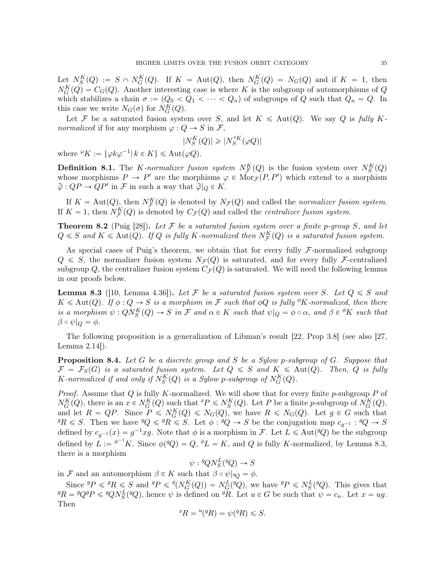Let  $N_S^K(Q) := S \cap N_G^K(Q)$ . If  $K = Aut(Q)$ , then  $N_G^K(Q) = N_G(Q)$  and if  $K = 1$ , then  $N_G^K(Q) = C_G(Q)$ . Another interesting case is where K is the subgroup of automorphisms of Q which stabilizes a chain  $\sigma := (Q_0 < Q_1 < \cdots < Q_n)$  of subgroups of Q such that  $Q_n = Q$ . In this case we write  $N_G(\sigma)$  for  $N_G^K(Q)$ .

Let F be a saturated fusion system over S, and let  $K \leq \text{Aut}(Q)$ . We say Q is fully Knormalized if for any morphism  $\varphi : Q \to S$  in  $\mathcal{F},$ 

$$
|N^K_S(Q)|\geqslant |N^{\varphi_K}_S(\varphi Q)|
$$

where  ${}^{\varphi}K := {\varphi k\varphi^{-1} | k \in K} \leqslant \text{Aut}(\varphi Q).$ 

**Definition 8.1.** The *K*-normalizer fusion system  $N_{\mathcal{F}}^{K}(Q)$  is the fusion system over  $N_{S}^{K}(Q)$ whose morphisms  $P \to P'$  are the morphisms  $\varphi \in \text{Mor}_{\mathcal{F}}(P, P')$  which extend to a morphism  $\widetilde{\varphi}: QP \to QP'$  in F in such a way that  $\widetilde{\varphi}|_Q \in K$ .

If  $K = \text{Aut}(Q)$ , then  $N_{\mathcal{F}}^K(Q)$  is denoted by  $N_{\mathcal{F}}(Q)$  and called the normalizer fusion system. If  $K = 1$ , then  $N_{\mathcal{F}}^K(Q)$  is denoted by  $C_{\mathcal{F}}(Q)$  and called the *centralizer fusion system*.

**Theorem 8.2** (Puig [28]). Let  $\mathcal F$  be a saturated fusion system over a finite p-group  $S$ , and let  $Q \leq S$  and  $K \leq$  Aut $(Q)$ . If  $Q$  is fully K-normalized then  $N_{\mathcal{F}}^{K}(Q)$  is a saturated fusion system.

As special cases of Puig's theorem, we obtain that for every fully  $\mathcal F$ -normalized subgroup  $Q \leq S$ , the normalizer fusion system  $N_{\mathcal{F}}(Q)$  is saturated, and for every fully F-centralized subgroup Q, the centralizer fusion system  $C_{\mathcal{F}}(Q)$  is saturated. We will need the following lemma in our proofs below.

**Lemma 8.3** ([10, Lemma 4.36]). Let F be a saturated fusion system over S. Let  $Q \leq S$  and  $K \leq \text{Aut}(Q)$ . If  $\phi : Q \to S$  is a morphism in F such that  $\phi Q$  is fully <sup> $\phi$ </sup>K-normalized, then there is a morphism  $\psi: QN_S^K(Q) \to S$  in F and  $\alpha \in K$  such that  $\psi|_Q = \phi \circ \alpha$ , and  $\beta \in {}^{\phi}K$  such that  $\beta \circ \psi|_Q = \phi.$ 

The following proposition is a generalization of Libman's result [22, Prop 3.8] (see also [27, Lemma 2.14]).

**Proposition 8.4.** Let G be a discrete group and S be a Sylow p-subgroup of G. Suppose that  $\mathcal{F} = \mathcal{F}_S(G)$  is a saturated fusion system. Let  $Q \leq S$  and  $K \leq \text{Aut}(Q)$ . Then, Q is fully K-normalized if and only if  $N_S^K(Q)$  is a Sylow p-subgroup of  $N_G^K(Q)$ .

*Proof.* Assume that  $Q$  is fully K-normalized. We will show that for every finite p-subgroup  $P$  of  $N_G^K(Q)$ , there is an  $x \in N_G^K(Q)$  such that  ${}^xP \leq N_G^K(Q)$ . Let P be a finite p-subgroup of  $N_G^K(Q)$ , and let  $R = QP$ . Since  $P \le N_G(Q) \le N_G(Q)$ , we have  $R \le N_G(Q)$ . Let  $g \in G$  such that  ${}^{g}R \leqslant S$ . Then we have  ${}^{g}Q \leqslant {}^{g}R \leqslant S$ . Let  $\phi : {}^{g}Q \to S$  be the conjugation map  $c_{g^{-1}} : {}^{g}Q \to S$ defined by  $c_{g^{-1}}(x) = g^{-1}xg$ . Note that  $\phi$  is a morphism in F. Let  $L \leq \text{Aut}({}^g Q)$  be the subgroup defined by  $L := \phi^{-1}K$ . Since  $\phi(\mathscr{G}) = Q$ ,  $\phi L = K$ , and Q is fully K-normalized, by Lemma 8.3, there is a morphism

 $\psi: {}^g Q N_S^L ({}^g Q) \to S$ 

in F and an automorphism  $\beta \in K$  such that  $\beta \circ \psi|_{gQ} = \phi$ .

Since  ${}^{g}P \leqslant {}^{g}R \leqslant S$  and  ${}^{g}P \leqslant {}^{g}(N_{G}^{K}(Q)) = N_{G}^{L}({}^{g}Q)$ , we have  ${}^{g}P \leqslant N_{S}^{L}({}^{g}Q)$ . This gives that  ${}^{g}R = {}^{g}Q{}^{g}P \leqslant {}^{g}QN_{S}^{L}({}^{g}Q)$ , hence  $\psi$  is defined on  ${}^{g}\overline{R}$ . Let  $u \in G$  be such that  $\psi = c_{u}$ . Let  $x = ug$ . Then

$$
{}^{x}R = {}^{u}({}^{g}R) = \psi({}^{g}R) \leq S.
$$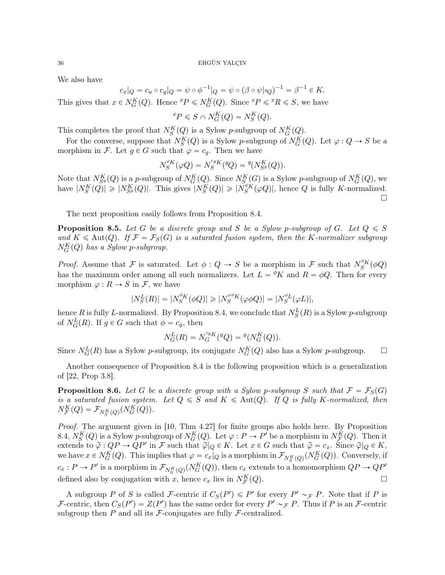We also have

$$
c_x|_Q = c_u \circ c_g|_Q = \psi \circ \phi^{-1}|_Q = \psi \circ (\beta \circ \psi|_{gQ})^{-1} = \beta^{-1} \in K.
$$

This gives that  $x \in N_G^K(Q)$ . Hence  ${}^xP \leq N_G^K(Q)$ . Since  ${}^xP \leqslant {}^xR \leqslant S$ , we have

$$
{}^{x}P \leqslant S \cap N_G^K(Q) = N_S^K(Q).
$$

This completes the proof that  $N_S^K(Q)$  is a Sylow p-subgroup of  $N_G^K(Q)$ .

For the converse, suppose that  $N_S^K(Q)$  is a Sylow p-subgroup of  $N_G^K(Q)$ . Let  $\varphi: Q \to S$  be a morphism in F. Let  $g \in G$  such that  $\varphi = c_g$ . Then we have

$$
N_S^{\varphi K}(\varphi Q) = N_S^{cgK}(^gQ) = {^g(N_{S^g}^K(Q))}.
$$

Note that  $N_{S^g}^K(Q)$  is a p-subgroup of  $N_G^K(Q)$ . Since  $N_S^K(G)$  is a Sylow p-subgroup of  $N_G^K(Q)$ , we have  $|N_S^K(Q)| \geqslant |N_{S^g}^K(Q)|$ . This gives  $|N_S^K(Q)| \geqslant |N_S^{\varphi_K}(\varphi Q)|$ , hence Q is fully K-normalized.  $\Box$ 

The next proposition easily follows from Proposition 8.4.

**Proposition 8.5.** Let G be a discrete group and S be a Sylow p-subgroup of G. Let  $Q \leq S$ and  $K \leq \text{Aut}(Q)$ . If  $\mathcal{F} = \mathcal{F}_S(G)$  is a saturated fusion system, then the K-normalizer subgroup  $N_G^K(Q)$  has a Sylow p-subgroup.

*Proof.* Assume that F is saturated. Let  $\phi: Q \to S$  be a morphism in F such that  $N_S^{\phi K}(\phi Q)$ has the maximum order among all such normalizers. Let  $L = {}^{\phi}K$  and  $R = \phi Q$ . Then for every morphism  $\varphi : R \to S$  in F, we have

$$
|N_S^L(R)| = |N_S^{\phi K}(\phi Q)| \geq |N_S^{\varphi \phi K}(\varphi \phi Q)| = |N_S^{\varphi L}(\varphi L)|,
$$

hence R is fully L-normalized. By Proposition 8.4, we conclude that  $N_S^L(R)$  is a Sylow p-subgroup of  $N_G^L(R)$ . If  $g \in G$  such that  $\phi = c_g$ , then

$$
N_G^L(R) = N_G^{c_g}(\mathcal{G}Q) = \mathcal{G}(N_G^K(Q)).
$$

Since  $N_G^L(R)$  has a Sylow p-subgroup, its conjugate  $N_G^K(Q)$  also has a Sylow p-subgroup.  $\Box$ 

Another consequence of Proposition 8.4 is the following proposition which is a generalization of [22, Prop 3.8].

**Proposition 8.6.** Let G be a discrete group with a Sylow p-subgroup S such that  $\mathcal{F} = \mathcal{F}_S(G)$ is a saturated fusion system. Let  $Q \leq S$  and  $K \leq \text{Aut}(Q)$ . If Q is fully K-normalized, then  $N_{\mathcal{F}}^{K}(Q) = \mathcal{F}_{N_{S}^{K}(Q)}(N_{G}^{K}(Q)).$ 

Proof. The argument given in [10, Thm 4.27] for finite groups also holds here. By Proposition 8.4,  $N_S^K(Q)$  is a Sylow p-subgroup of  $N_G^K(Q)$ . Let  $\varphi : P \to P'$  be a morphism in  $N_{\mathcal{F}}^K(Q)$ . Then it extends to  $\widetilde{\varphi}: QP \to QP'$  in F such that  $\widetilde{\varphi}|_Q \in K$ . Let  $x \in G$  such that  $\widetilde{\varphi} = c_x$ . Since  $\widetilde{\varphi}|_Q \in K$ , we have  $x \in N_G^K(Q)$ . This implies that  $\varphi = c_x|_Q$  is a morphism in  $\mathcal{F}_{N_S^K(Q)}(N_G^K(Q))$ . Conversely, if  $c_x: P \to P'$  is a morphism in  $\mathcal{F}_{N_S^K(Q)}(N_G^K(Q))$ , then  $c_x$  extends to a homomorphism  $QP \to QP'$ defined also by conjugation with x, hence  $c_x$  lies in  $N_{\mathcal{F}}^K$  $(Q).$ 

A subgroup P of S is called F-centric if  $C_S(P') \leq P'$  for every  $P' \sim_{\mathcal{F}} P$ . Note that if P is F-centric, then  $C_S(P') = Z(P')$  has the same order for every  $P' \sim_{\mathcal{F}} P$ . Thus if P is an F-centric subgroup then  $P$  and all its  $\mathcal F$ -conjugates are fully  $\mathcal F$ -centralized.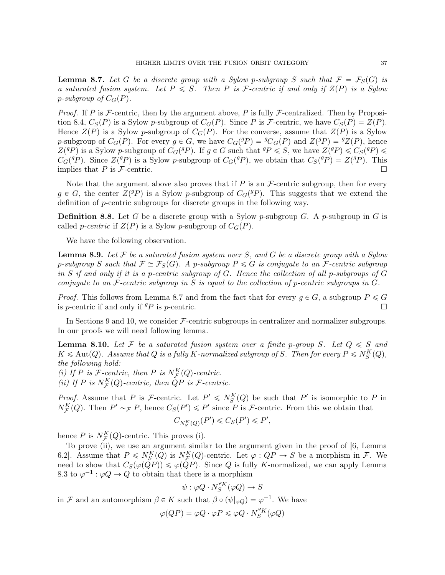**Lemma 8.7.** Let G be a discrete group with a Sylow p-subgroup S such that  $\mathcal{F} = \mathcal{F}_S(G)$  is a saturated fusion system. Let  $P \leq S$ . Then P is F-centric if and only if  $Z(P)$  is a Sylow p-subgroup of  $C_G(P)$ .

*Proof.* If P is  $F$ -centric, then by the argument above, P is fully  $F$ -centralized. Then by Proposition 8.4,  $C_S(P)$  is a Sylow p-subgroup of  $C_G(P)$ . Since P is F-centric, we have  $C_S(P) = Z(P)$ . Hence  $Z(P)$  is a Sylow p-subgroup of  $C_G(P)$ . For the converse, assume that  $Z(P)$  is a Sylow p-subgroup of  $C_G(P)$ . For every  $g \in G$ , we have  $C_G({}^gP) = {}^gC_G(P)$  and  $Z({}^gP) = {}^gZ(P)$ , hence  $Z(^{g}P)$  is a Sylow p-subgroup of  $C_{G}(^{g}P)$ . If  $g \in G$  such that  $^{g}P \leqslant S$ , we have  $Z(^{g}P) \leqslant C_{S}(^{g}P) \leqslant S$  $C_G({}^g P)$ . Since  $Z({}^g P)$  is a Sylow p-subgroup of  $C_G({}^g P)$ , we obtain that  $C_S({}^g P) = Z({}^g P)$ . This implies that P is F-centric.

Note that the argument above also proves that if  $P$  is an  $\mathcal F$ -centric subgroup, then for every  $g \in G$ , the center  $Z({}^g P)$  is a Sylow p-subgroup of  $C_G({}^g P)$ . This suggests that we extend the definition of p-centric subgroups for discrete groups in the following way.

**Definition 8.8.** Let G be a discrete group with a Sylow p-subgroup G. A p-subgroup in G is called *p-centric* if  $Z(P)$  is a Sylow *p*-subgroup of  $C_G(P)$ .

We have the following observation.

**Lemma 8.9.** Let F be a saturated fusion system over S, and G be a discrete group with a Sylow p-subgroup S such that  $\mathcal{F} \cong \mathcal{F}_S(G)$ . A p-subgroup  $P \leq G$  is conjugate to an  $\mathcal{F}$ -centric subgroup in S if and only if it is a p-centric subgroup of G. Hence the collection of all p-subgroups of  $G$ conjugate to an  $\mathcal F$ -centric subgroup in S is equal to the collection of p-centric subgroups in  $G$ .

*Proof.* This follows from Lemma 8.7 and from the fact that for every  $g \in G$ , a subgroup  $P \leq G$ is *p*-centric if and only if  $^{g}P$  is *p*-centric.

In Sections 9 and 10, we consider  $\mathcal{F}\text{-centric subgroups in centralizer and normalizer subgroups.}$ In our proofs we will need following lemma.

**Lemma 8.10.** Let F be a saturated fusion system over a finite p-group S. Let  $Q \leq S$  and  $K \leqslant \mathrm{Aut}(Q)$ . Assume that Q is a fully K-normalized subgroup of S. Then for every  $P \leqslant N_S^K(Q)$ , the following hold:

(i) If P is F-centric, then P is  $N_{\mathcal{F}}^{K}(Q)$ -centric.

(ii) If P is  $N_{\mathcal{F}}^{K}(Q)$ -centric, then  $QP$  is  $\mathcal{F}$ -centric.

*Proof.* Assume that P is F-centric. Let  $P' \le N_S^K(Q)$  be such that P' is isomorphic to P in  $N_{\mathcal{F}}^{K}(Q)$ . Then  $P' \sim_{\mathcal{F}} P$ , hence  $C_{S}(P') \leq P'$  since P is *F*-centric. From this we obtain that

$$
C_{N_S^K(Q)}(P') \leqslant C_S(P') \leqslant P',
$$

hence P is  $N_{\mathcal{F}}^{K}(Q)$ -centric. This proves (i).

To prove (ii), we use an argument similar to the argument given in the proof of [6, Lemma 6.2. Assume that  $P \le N_S^K(Q)$  is  $N_F^K(Q)$ -centric. Let  $\varphi : QP \to S$  be a morphism in  $\mathcal{F}$ . We need to show that  $C_S(\varphi(\tilde{Q}P)) \leq \varphi(\tilde{Q}P)$ . Since Q is fully K-normalized, we can apply Lemma 8.3 to  $\varphi^{-1}$ :  $\varphi Q \to Q$  to obtain that there is a morphism

$$
\psi: \varphi Q\cdot N_S^{\varphi_K}(\varphi Q)\to S
$$

in F and an automorphism  $\beta \in K$  such that  $\beta \circ (\psi |_{\varphi Q}) = \varphi^{-1}$ . We have

$$
\varphi(QP) = \varphi Q \cdot \varphi P \leqslant \varphi Q \cdot N_S^{\varphi_K}(\varphi Q)
$$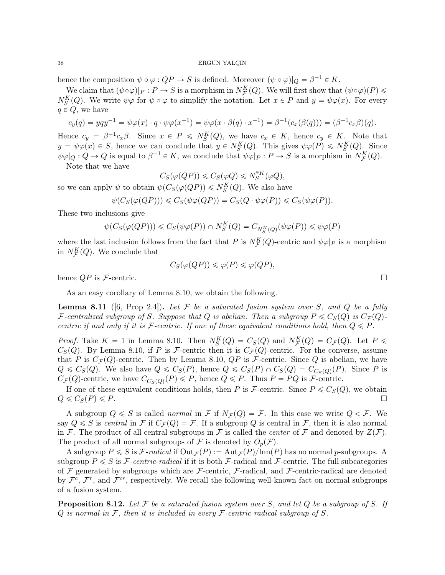hence the composition  $\psi \circ \varphi : QP \to S$  is defined. Moreover  $(\psi \circ \varphi)|_Q = \beta^{-1} \in K$ .

We claim that  $(\psi \circ \varphi)|_P : P \to S$  is a morphism in  $N_{\mathcal{F}}^K(Q)$ . We will first show that  $(\psi \circ \varphi)(P) \leq$  $N_S^K(Q)$ . We write  $\psi\varphi$  for  $\psi \circ \varphi$  to simplify the notation. Let  $x \in P$  and  $y = \psi\varphi(x)$ . For every  $q \in Q$ , we have

$$
c_y(q) = yqy^{-1} = \psi \varphi(x) \cdot q \cdot \psi \varphi(x^{-1}) = \psi \varphi(x \cdot \beta(q) \cdot x^{-1}) = \beta^{-1}(c_x(\beta(q))) = (\beta^{-1}c_x \beta)(q).
$$

Hence  $c_y = \beta^{-1}c_x\beta$ . Since  $x \in P \leq N_S^K(Q)$ , we have  $c_x \in K$ , hence  $c_y \in K$ . Note that  $y = \psi \varphi(x) \in S$ , hence we can conclude that  $y \in N_S^K(Q)$ . This gives  $\psi \varphi(P) \leq N_S^K(Q)$ . Since  $\psi \varphi|_Q : Q \to Q$  is equal to  $\beta^{-1} \in K$ , we conclude that  $\psi \varphi|_P : P \to S$  is a morphism in  $N_{\mathcal{F}}^K(Q)$ . Note that we have

$$
C_S(\varphi(QP)) \leqslant C_S(\varphi Q) \leqslant N_S^{\varphi K}(\varphi Q),
$$

so we can apply  $\psi$  to obtain  $\psi(C_S(\varphi(QP)) \leq N_S^K(Q)$ . We also have

$$
\psi(C_S(\varphi(QP))) \leqslant C_S(\psi\varphi(QP)) = C_S(Q \cdot \psi\varphi(P)) \leqslant C_S(\psi\varphi(P)).
$$

These two inclusions give

$$
\psi(C_S(\varphi(QP))) \leq C_S(\psi\varphi(P)) \cap N_S^K(Q) = C_{N_S^K(Q)}(\psi\varphi(P)) \leq \psi\varphi(P)
$$

where the last inclusion follows from the fact that P is  $N_{\mathcal{F}}^{K}(Q)$ -centric and  $\psi \varphi|_{P}$  is a morphism in  $N_{\mathcal{F}}^K(Q)$ . We conclude that

$$
C_S(\varphi(QP)) \leq \varphi(P) \leq \varphi(QP),
$$

hence  $QP$  is F-centric.

As an easy corollary of Lemma 8.10, we obtain the following.

**Lemma 8.11** ([6, Prop 2.4]). Let F be a saturated fusion system over S, and Q be a fully F-centralized subgroup of S. Suppose that Q is abelian. Then a subgroup  $P \leq C_S(Q)$  is  $C_{\mathcal{F}}(Q)$ centric if and only if it is F-centric. If one of these equivalent conditions hold, then  $Q \leq P$ .

*Proof.* Take  $K = 1$  in Lemma 8.10. Then  $N_S^K(Q) = C_S(Q)$  and  $N_{\mathcal{F}}^K(Q) = C_{\mathcal{F}}(Q)$ . Let  $P \leq$  $C_S(Q)$ . By Lemma 8.10, if P is F-centric then it is  $C_{\mathcal{F}}(Q)$ -centric. For the converse, assume that P is  $C_{\mathcal{F}}(Q)$ -centric. Then by Lemma 8.10, QP is F-centric. Since Q is abelian, we have  $Q \leqslant C_S(Q)$ . We also have  $Q \leqslant C_S(P)$ , hence  $Q \leqslant C_S(P) \cap C_S(Q) = C_{C_S(Q)}(P)$ . Since P is  $C_{\mathcal{F}}(Q)$ -centric, we have  $C_{C_S(Q)}(P) \leq P$ , hence  $Q \leq P$ . Thus  $P = PQ$  is  $\mathcal{F}$ -centric.

If one of these equivalent conditions holds, then P is F-centric. Since  $P \leq C<sub>S</sub>(Q)$ , we obtain  $Q \leqslant C_S(P) \leqslant P.$ 

A subgroup  $Q \leq S$  is called normal in F if  $N_{\mathcal{F}}(Q) = \mathcal{F}$ . In this case we write  $Q \triangleleft \mathcal{F}$ . We say  $Q \leq S$  is central in F if  $C_{\mathcal{F}}(Q) = \mathcal{F}$ . If a subgroup Q is central in F, then it is also normal in F. The product of all central subgroups in F is called the *center* of F and denoted by  $Z(F)$ . The product of all normal subgroups of F is denoted by  $O_p(\mathcal{F})$ .

A subgroup  $P \leq S$  is  $\mathcal{F}\text{-}radical$  if  $\text{Out}_{\mathcal{F}}(P) := \text{Aut}_{\mathcal{F}}(P)/\text{Inn}(P)$  has no normal p-subgroups. A subgroup  $P \leq S$  is F-centric-radical if it is both F-radical and F-centric. The full subcategories of  $\mathcal F$  generated by subgroups which are  $\mathcal F$ -centric,  $\mathcal F$ -radical, and  $\mathcal F$ -centric-radical are denoted by  $\mathcal{F}^c$ ,  $\mathcal{F}^r$ , and  $\mathcal{F}^{cr}$ , respectively. We recall the following well-known fact on normal subgroups of a fusion system.

**Proposition 8.12.** Let  $\mathcal F$  be a saturated fusion system over S, and let  $Q$  be a subgroup of S. If  $Q$  is normal in  $\mathcal F$ , then it is included in every  $\mathcal F$ -centric-radical subgroup of  $S$ .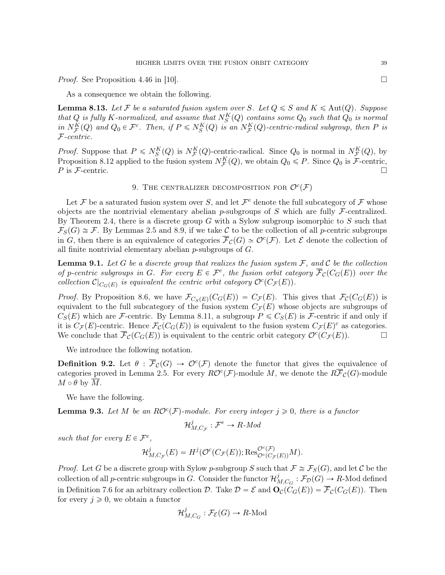*Proof.* See Proposition 4.46 in [10].

As a consequence we obtain the following.

**Lemma 8.13.** Let F be a saturated fusion system over S. Let  $Q \leq S$  and  $K \leq \text{Aut}(Q)$ . Suppose that Q is fully K-normalized, and assume that  $N_S^K(Q)$  contains some  $Q_0$  such that  $Q_0$  is normal in  $N_{\mathcal{F}}^{K}(Q)$  and  $Q_0 \in \mathcal{F}^c$ . Then, if  $P \leq N_{S}^{K}(Q)$  is an  $N_{\mathcal{F}}^{K}(Q)$ -centric-radical subgroup, then P is F-centric.

*Proof.* Suppose that  $P \leq N_S^K(Q)$  is  $N_F^K(Q)$ -centric-radical. Since  $Q_0$  is normal in  $N_F^K(Q)$ , by Proposition 8.12 applied to the fusion system  $N_{\mathcal{F}}^{K}(Q)$ , we obtain  $Q_0 \leq P$ . Since  $Q_0$  is  $\mathcal{F}$ -centric,  $P$  is  $\mathcal{F}\text{-centric.}$ 

# 9. THE CENTRALIZER DECOMPOSITION FOR  $\mathcal{O}^c(\mathcal{F})$

Let F be a saturated fusion system over S, and let  $\mathcal{F}^e$  denote the full subcategory of F whose objects are the nontrivial elementary abelian p-subgroups of S which are fully  $\mathcal{F}\text{-centralized}$ . By Theorem 2.4, there is a discrete group G with a Sylow subgroup isomorphic to  $S$  such that  $\mathcal{F}_S(G) \cong \mathcal{F}$ . By Lemmas 2.5 and 8.9, if we take C to be the collection of all p-centric subgroups in G, then there is an equivalence of categories  $\overline{\mathcal{F}}_{\mathcal{C}}(G) \simeq \mathcal{O}^c(\mathcal{F})$ . Let E denote the collection of all finite nontrivial elementary abelian  $p$ -subgroups of  $G$ .

**Lemma 9.1.** Let G be a discrete group that realizes the fusion system  $\mathcal{F}$ , and C be the collection of p-centric subgroups in G. For every  $E \in \mathcal{F}^e$ , the fusion orbit category  $\overline{\mathcal{F}}_{\mathcal{C}}(C_G(E))$  over the collection  $\mathcal{C}|_{C_G(E)}$  is equivalent the centric orbit category  $\mathcal{O}^c(C_{\mathcal{F}}(E)).$ 

*Proof.* By Proposition 8.6, we have  $\mathcal{F}_{C_S(E)}(C_G(E)) = C_{\mathcal{F}}(E)$ . This gives that  $\mathcal{F}_C(C_G(E))$  is equivalent to the full subcategory of the fusion system  $C_{\mathcal{F}}(E)$  whose objects are subgroups of  $C_S(E)$  which are F-centric. By Lemma 8.11, a subgroup  $P \leq C_S(E)$  is F-centric if and only if it is  $C_{\mathcal{F}}(E)$ -centric. Hence  $\mathcal{F}_{\mathcal{C}}(C_G(E))$  is equivalent to the fusion system  $C_{\mathcal{F}}(E)^c$  as categories. We conclude that  $\overline{\mathcal{F}}_{\mathcal{C}}(C_G(E))$  is equivalent to the centric orbit category  $\mathcal{O}^c(C_{\mathcal{F}}(E))$ .

We introduce the following notation.

**Definition 9.2.** Let  $\theta : \overline{\mathcal{F}}_{\mathcal{C}}(G) \to \mathcal{O}^c(\mathcal{F})$  denote the functor that gives the equivalence of categories proved in Lemma 2.5. For every  $R\mathcal{O}^c(\mathcal{F})$ -module M, we denote the  $R\overline{\mathcal{F}}_{\mathcal{C}}(G)$ -module  $M \circ \theta$  by  $\overline{M}$ .

We have the following.

**Lemma 9.3.** Let M be an  $RO<sup>c</sup>(\mathcal{F})$ -module. For every integer  $j \geq 0$ , there is a functor

$$
\mathcal{H}_{M,C_{\mathcal{F}}}^{j}:\mathcal{F}^{e}\rightarrow R\text{-}Mod
$$

such that for every  $E \in \mathcal{F}^e$ ,

$$
\mathcal{H}^j_{M,C_{\mathcal{F}}}(E)=H^j(\mathcal{O}^c(C_{\mathcal{F}}(E));\text{Res}^{\mathcal{O}^c(\mathcal{F})}_{\mathcal{O}^c(C_{\mathcal{F}}(E))}M).
$$

*Proof.* Let G be a discrete group with Sylow p-subgroup S such that  $\mathcal{F} \cong \mathcal{F}_S(G)$ , and let C be the collection of all *p*-centric subgroups in G. Consider the functor  $\mathcal{H}^j_n$  $M_{M, C_G}: \mathcal{F}_{\mathcal{D}}(G) \to R\text{-Mod}$  defined in Definition 7.6 for an arbitrary collection D. Take  $\mathcal{D} = \mathcal{E}$  and  $\mathbf{O}_{\mathcal{C}}(C_G(E)) = \overline{\mathcal{F}}_{\mathcal{C}}(C_G(E))$ . Then for every  $j \geqslant 0$ , we obtain a functor

$$
\mathcal{H}_{M,C_G}^j : \mathcal{F}_{\mathcal{E}}(G) \to R\text{-Mod}
$$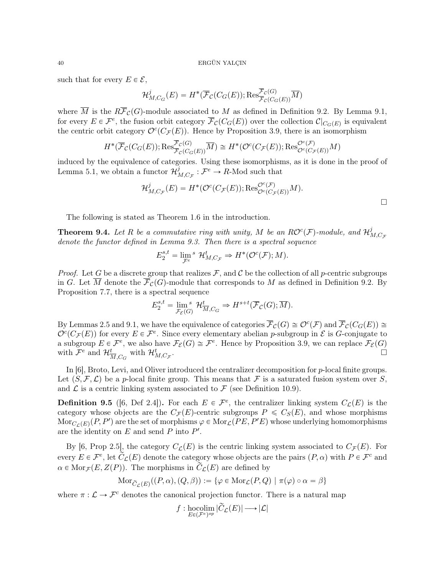such that for every  $E \in \mathcal{E}$ ,

$$
\mathcal{H}_{M,C_G}^j(E) = H^*(\overline{\mathcal{F}}_{\mathcal{C}}(C_G(E)); \operatorname{Res}_{\overline{\mathcal{F}}_{\mathcal{C}}(C_G(E))}^{\overline{\mathcal{F}}_{\mathcal{C}}(G)}\overline{M})
$$

where  $\overline{M}$  is the  $R\overline{\mathcal{F}}_{\mathcal{C}}(G)$ -module associated to M as defined in Definition 9.2. By Lemma 9.1, for every  $E \in \mathcal{F}^e$ , the fusion orbit category  $\overline{\mathcal{F}}_{\mathcal{C}}(C_G(E))$  over the collection  $\mathcal{C}|_{C_G(E)}$  is equivalent the centric orbit category  $\mathcal{O}^c(C_{\mathcal{F}}(E))$ . Hence by Proposition 3.9, there is an isomorphism

$$
H^*(\overline{\mathcal{F}}_{\mathcal{C}}(C_G(E)); \text{Res}_{\overline{\mathcal{F}}_{\mathcal{C}}(C_G(E))}^{\overline{\mathcal{F}}_{\mathcal{C}}(G)}\overline{M}) \cong H^*(\mathcal{O}^c(C_{\mathcal{F}}(E)); \text{Res}_{\mathcal{O}^c(C_{\mathcal{F}}(E))}^{\mathcal{O}^c(\mathcal{F})}M)
$$

induced by the equivalence of categories. Using these isomorphisms, as it is done in the proof of Lemma 5.1, we obtain a functor  $\mathcal{H}^j$  $M_{M,C_{\mathcal{F}}}^j: \mathcal{F}^e \to R$ -Mod such that

$$
\mathcal{H}_{M,C_{\mathcal{F}}}^{j}(E) = H^{*}(\mathcal{O}^{c}(C_{\mathcal{F}}(E)); \text{Res}_{\mathcal{O}^{c}(C_{\mathcal{F}}(E))}^{\mathcal{O}^{c}(\mathcal{F})}M).
$$

 $\Box$ 

The following is stated as Theorem 1.6 in the introduction.

**Theorem 9.4.** Let R be a commutative ring with unity, M be an  $RO^c(\mathcal{F})$ -module, and  $\mathcal{H}_p^j$  $_{M,C_{\mathcal{F}}}$ denote the functor defined in Lemma 9.3. Then there is a spectral sequence

$$
E_2^{s,t} = \lim_{\mathcal{F}^e} {}^s \mathcal{H}^t_{M,C_{\mathcal{F}}} \Rightarrow H^*(\mathcal{O}^c(\mathcal{F});M).
$$

*Proof.* Let G be a discrete group that realizes F, and C be the collection of all p-centric subgroups in G. Let  $\overline{M}$  denote the  $\overline{\mathcal{F}}_{\mathcal{C}}(G)$ -module that corresponds to M as defined in Definition 9.2. By Proposition 7.7, there is a spectral sequence

$$
E_2^{s,t} = \lim_{\mathcal{F}_{\mathcal{E}}(G)} \mathcal{H}_{\overline{M},C_G}^t \Rightarrow H^{s+t}(\overline{\mathcal{F}}_{\mathcal{C}}(G); \overline{M}).
$$

By Lemmas 2.5 and 9.1, we have the equivalence of categories  $\overline{\mathcal{F}}_{\mathcal{C}}(G) \cong \mathcal{O}^c(\mathcal{F})$  and  $\overline{\mathcal{F}}_{\mathcal{C}}(C_G(E)) \cong$  $\mathcal{O}^c(C_{\mathcal{F}}(E))$  for every  $E \in \mathcal{F}^e$ . Since every elementary abelian p-subgroup in  $\mathcal{E}$  is G-conjugate to a subgroup  $E \in \mathcal{F}^e$ , we also have  $\mathcal{F}_{\mathcal{E}}(G) \cong \mathcal{F}^e$ . Hence by Proposition 3.9, we can replace  $\mathcal{F}_{\mathcal{E}}(G)$ with  $\mathcal{F}^e$  and  $\mathcal{H}_{\overline{M},C_G}^t$  with  $\mathcal{H}_{M,C_F}^t$ .

In [6], Broto, Levi, and Oliver introduced the centralizer decomposition for p-local finite groups. Let  $(S, \mathcal{F}, \mathcal{L})$  be a p-local finite group. This means that F is a saturated fusion system over S, and  $\mathcal L$  is a centric linking system associated to  $\mathcal F$  (see Definition 10.9).

**Definition 9.5** ([6, Def 2.4]). For each  $E \in \mathcal{F}^e$ , the centralizer linking system  $C_{\mathcal{L}}(E)$  is the category whose objects are the  $C_{\mathcal{F}}(E)$ -centric subgroups  $P \leq C_{S}(E)$ , and whose morphisms  $\text{Mor}_{C_{\mathcal{L}}(E)}(P,P')$  are the set of morphisms  $\varphi \in \text{Mor}_{\mathcal{L}}(PE,P'E)$  whose underlying homomorphisms are the identity on  $E$  and send  $P$  into  $P'$ .

By [6, Prop 2.5], the category  $C_{\mathcal{L}}(E)$  is the centric linking system associated to  $C_{\mathcal{F}}(E)$ . For every  $E \in \mathcal{F}^e$ , let  $\overline{C}_\mathcal{L}(E)$  denote the category whose objects are the pairs  $(P, \alpha)$  with  $P \in \mathcal{F}^c$  and  $\alpha \in \text{Mor}_{\mathcal{F}}(E, Z(P))$ . The morphisms in  $\widetilde{C}_{\mathcal{L}}(E)$  are defined by

$$
\mathrm{Mor}_{\widetilde{C}_{\mathcal{L}}(E)}((P,\alpha),(Q,\beta)) := \{ \varphi \in \mathrm{Mor}_{\mathcal{L}}(P,Q) \mid \pi(\varphi) \circ \alpha = \beta \}
$$

where  $\pi : \mathcal{L} \to \mathcal{F}^c$  denotes the canonical projection functor. There is a natural map

$$
f: \underset{E \in (\mathcal{F}^e)^{op}}{\operatorname{hocolim}} \, |\widetilde{C}_{\mathcal{L}}(E)| \longrightarrow |\mathcal{L}|
$$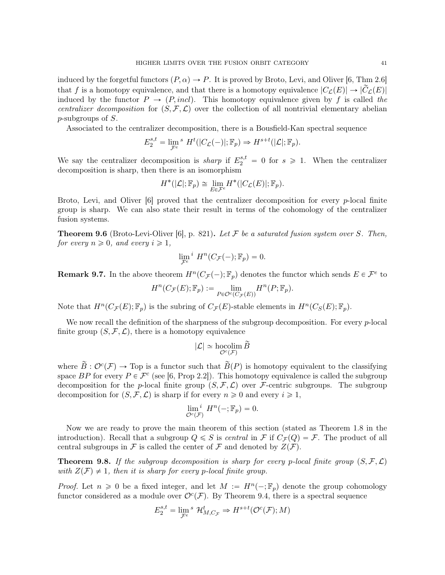induced by the forgetful functors  $(P, \alpha) \rightarrow P$ . It is proved by Broto, Levi, and Oliver [6, Thm 2.6] that f is a homotopy equivalence, and that there is a homotopy equivalence  $|C_{\mathcal{L}}(E)| \to |\tilde{C}_{\mathcal{L}}(E)|$ induced by the functor  $P \to (P, incl)$ . This homotopy equivalence given by f is called the centralizer decomposition for  $(S, \mathcal{F}, \mathcal{L})$  over the collection of all nontrivial elementary abelian p-subgroups of S.

Associated to the centralizer decomposition, there is a Bousfield-Kan spectral sequence

$$
E_2^{s,t} = \lim_{\mathcal{F}^e} {}^s H^t(|C_{\mathcal{L}}(-)|; \mathbb{F}_p) \Rightarrow H^{s+t}(|\mathcal{L}|; \mathbb{F}_p).
$$

We say the centralizer decomposition is *sharp* if  $E_2^{s,t} = 0$  for  $s \ge 1$ . When the centralizer decomposition is sharp, then there is an isomorphism

$$
H^*(|\mathcal{L}|; \mathbb{F}_p) \cong \lim_{E \in \mathcal{F}^e} H^*(|C_{\mathcal{L}}(E)|; \mathbb{F}_p).
$$

Broto, Levi, and Oliver  $[6]$  proved that the centralizer decomposition for every p-local finite group is sharp. We can also state their result in terms of the cohomology of the centralizer fusion systems.

**Theorem 9.6** (Broto-Levi-Oliver [6], p. 821). Let F be a saturated fusion system over S. Then, for every  $n \geq 0$ , and every  $i \geq 1$ ,

$$
\lim_{\mathcal{F}^e} \, ^i H^n(C_{\mathcal{F}}(-); \mathbb{F}_p) = 0.
$$

**Remark 9.7.** In the above theorem  $H^n(C_{\mathcal{F}}(-); \mathbb{F}_p)$  denotes the functor which sends  $E \in \mathcal{F}^e$  to

$$
H^n(C_{\mathcal{F}}(E); \mathbb{F}_p) := \lim_{P \in \mathcal{O}^c(C_{\mathcal{F}}(E))} H^n(P; \mathbb{F}_p).
$$

Note that  $H^n(C_\mathcal{F}(E); \mathbb{F}_p)$  is the subring of  $C_\mathcal{F}(E)$ -stable elements in  $H^n(C_S(E); \mathbb{F}_p)$ .

We now recall the definition of the sharpness of the subgroup decomposition. For every  $p$ -local finite group  $(S, \mathcal{F}, \mathcal{L})$ , there is a homotopy equivalence

$$
|\mathcal{L}| \simeq \operatornamewithlimits{hocolim}_{\mathcal{O}^c(\mathcal{F})} \widetilde{B}
$$

where  $\widetilde{B}: \mathcal{O}^c(\mathcal{F}) \to \text{Top}$  is a functor such that  $\widetilde{B}(P)$  is homotopy equivalent to the classifying space BP for every  $P \in \mathcal{F}^c$  (see [6, Prop 2.2]). This homotopy equivalence is called the subgroup decomposition for the p-local finite group  $(S, \mathcal{F}, \mathcal{L})$  over F-centric subgroups. The subgroup decomposition for  $(S, \mathcal{F}, \mathcal{L})$  is sharp if for every  $n \geq 0$  and every  $i \geq 1$ ,

$$
\lim_{\mathcal{O}^c(\mathcal{F})} H^n(-;\mathbb{F}_p) = 0.
$$

Now we are ready to prove the main theorem of this section (stated as Theorem 1.8 in the introduction). Recall that a subgroup  $Q \leq S$  is central in F if  $C_{\mathcal{F}}(Q) = \mathcal{F}$ . The product of all central subgroups in F is called the center of F and denoted by  $Z(F)$ .

**Theorem 9.8.** If the subgroup decomposition is sharp for every p-local finite group  $(S, \mathcal{F}, \mathcal{L})$ with  $Z(\mathcal{F}) \neq 1$ , then it is sharp for every p-local finite group.

*Proof.* Let  $n \geq 0$  be a fixed integer, and let  $M := H^{n}(-; \mathbb{F}_p)$  denote the group cohomology functor considered as a module over  $\mathcal{O}^c(\mathcal{F})$ . By Theorem 9.4, there is a spectral sequence

$$
E_2^{s,t} = \lim_{\mathcal{F}^e} {}^s \mathcal{H}_{M,C_{\mathcal{F}}}^t \Rightarrow H^{s+t}(\mathcal{O}^c(\mathcal{F});M)
$$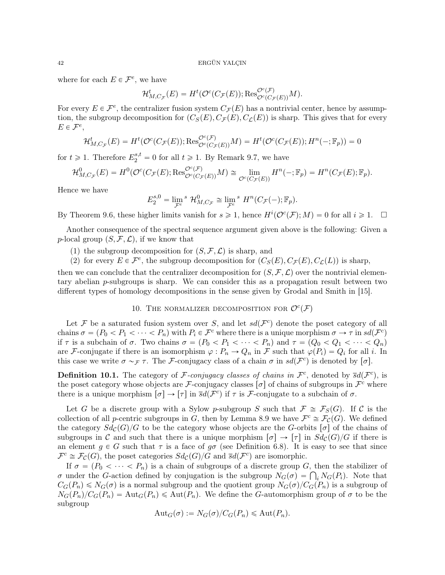where for each  $E \in \mathcal{F}^e$ , we have

$$
\mathcal{H}^t_{M,C_{\mathcal{F}}}(E) = H^t(\mathcal{O}^c(C_{\mathcal{F}}(E)); \text{Res}_{\mathcal{O}^c(C_{\mathcal{F}}(E))}^{\mathcal{O}^c(\mathcal{F})}M).
$$

For every  $E \in \mathcal{F}^e$ , the centralizer fusion system  $C_{\mathcal{F}}(E)$  has a nontrivial center, hence by assumption, the subgroup decomposition for  $(C_S(E), C_{\mathcal{F}}(E), C_{\mathcal{L}}(E))$  is sharp. This gives that for every  $E \in \mathcal{F}^e$ ,

$$
\mathcal{H}_{M,C_{\mathcal{F}}}^{t}(E) = H^{t}(\mathcal{O}^{c}(C_{\mathcal{F}}(E)); \text{Res}_{\mathcal{O}^{c}(C_{\mathcal{F}}(E))}^{\mathcal{O}^{c}(\mathcal{F})}M) = H^{t}(\mathcal{O}^{c}(C_{\mathcal{F}}(E)); H^{n}(-;\mathbb{F}_{p})) = 0
$$

for  $t \geq 1$ . Therefore  $E_2^{s,t} = 0$  for all  $t \geq 1$ . By Remark 9.7, we have

$$
\mathcal{H}_{M,C_{\mathcal{F}}}^{0}(E) = H^{0}(\mathcal{O}^{c}(C_{\mathcal{F}}(E); \text{Res}_{\mathcal{O}^{c}(C_{\mathcal{F}}(E))}^{\mathcal{O}^{c}(\mathcal{F})}M) \cong \lim_{\mathcal{O}^{c}(C_{\mathcal{F}}(E))} H^{n}(-; \mathbb{F}_{p}) = H^{n}(C_{\mathcal{F}}(E); \mathbb{F}_{p}).
$$

Hence we have

$$
E_2^{s,0} = \lim_{{\mathcal F}^e} {}^s\mathcal{H}_{M,C_{\mathcal F}}^0 \cong \lim_{{\mathcal F}^e} {}^s\mathcal{H}^n(C_{\mathcal F}(-);{\mathbb F}_p).
$$

By Theorem 9.6, these higher limits vanish for  $s \geq 1$ , hence  $H^{i}(\mathcal{O}^{c}(\mathcal{F}); M) = 0$  for all  $i \geq 1$ .  $\Box$ 

Another consequence of the spectral sequence argument given above is the following: Given a p-local group  $(S, \mathcal{F}, \mathcal{L})$ , if we know that

- (1) the subgroup decomposition for  $(S, \mathcal{F}, \mathcal{L})$  is sharp, and
- (2) for every  $E \in \mathcal{F}^e$ , the subgroup decomposition for  $(C_S(E), C_{\mathcal{F}}(E), C_{\mathcal{L}}(L))$  is sharp,

then we can conclude that the centralizer decomposition for  $(S, \mathcal{F}, \mathcal{L})$  over the nontrivial elementary abelian  $p$ -subgroups is sharp. We can consider this as a propagation result between two different types of homology decompositions in the sense given by Grodal and Smith in [15].

10. THE NORMALIZER DECOMPOSITION FOR  $\mathcal{O}^c(\mathcal{F})$ 

Let F be a saturated fusion system over S, and let  $sd(\mathcal{F}^c)$  denote the poset category of all chains  $\sigma = (P_0 < P_1 < \cdots < P_n)$  with  $P_i \in \mathcal{F}^c$  where there is a unique morphism  $\sigma \to \tau$  in  $sd(\mathcal{F}^c)$ if  $\tau$  is a subchain of  $\sigma$ . Two chains  $\sigma = (P_0 < P_1 < \cdots < P_n)$  and  $\tau = (Q_0 < Q_1 < \cdots < Q_n)$ are F-conjugate if there is an isomorphism  $\varphi : P_n \to Q_n$  in F such that  $\varphi(P_i) = Q_i$  for all i. In this case we write  $\sigma \sim_{\mathcal{F}} \tau$ . The F-conjugacy class of a chain  $\sigma$  in  $sd(\mathcal{F}^c)$  is denoted by  $[\sigma]$ .

**Definition 10.1.** The category of F-conjugacy classes of chains in  $\mathcal{F}^c$ , denoted by  $\bar{s}d(\mathcal{F}^c)$ , is the poset category whose objects are F-conjugacy classes  $[\sigma]$  of chains of subgroups in  $\mathcal{F}^c$  where there is a unique morphism  $[\sigma] \to [\tau]$  in  $\bar{s}d(\mathcal{F}^c)$  if  $\tau$  is  $\mathcal{F}$ -conjugate to a subchain of  $\sigma$ .

Let G be a discrete group with a Sylow p-subgroup S such that  $\mathcal{F} \cong \mathcal{F}_S(G)$ . If C is the collection of all *p*-centric subgroups in G, then by Lemma 8.9 we have  $\mathcal{F}^c \cong \mathcal{F}_{\mathcal{C}}(G)$ . We defined the category  $Sd_{\mathcal{C}}(G)/G$  to be the category whose objects are the G-orbits  $[\sigma]$  of the chains of subgroups in C and such that there is a unique morphism  $[\sigma] \to [\tau]$  in  $Sd_{\mathcal{C}}(G)/G$  if there is an element  $g \in G$  such that  $\tau$  is a face of  $g\sigma$  (see Definition 6.8). It is easy to see that since  $\mathcal{F}^c \cong \mathcal{F}_c(G)$ , the poset categories  $Sd_c(G)/G$  and  $\overline{s}d(\mathcal{F}^c)$  are isomorphic.

If  $\sigma = (P_0 < \cdots < P_n)$  is a chain of subgroups of a discrete group G, then the stabilizer of If  $\sigma = (P_0 < \cdots < P_n)$  is a chain of subgroups of a discrete group G, then the stabilizer of  $\sigma$  under the G-action defined by conjugation is the subgroup  $N_G(\sigma) = \bigcap_i N_G(P_i)$ . Note that  $C_G(P_n) \leq N_G(\sigma)$  is a normal subgroup and the quotient group  $N_G(\sigma)/C_G(P_n)$  is a subgroup of  $N_G(P_n)/C_G(P_n) = \text{Aut}_G(P_n) \leq \text{Aut}(P_n)$ . We define the G-automorphism group of  $\sigma$  to be the subgroup

$$
\mathrm{Aut}_G(\sigma) := N_G(\sigma)/C_G(P_n) \leq \mathrm{Aut}(P_n).
$$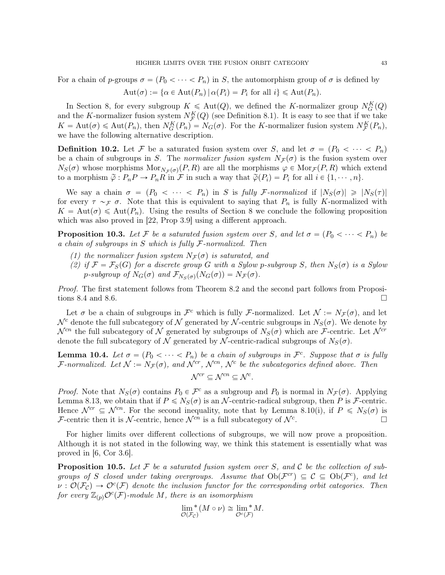For a chain of p-groups  $\sigma = (P_0 < \cdots < P_n)$  in S, the automorphism group of  $\sigma$  is defined by

$$
Aut(\sigma) := {\alpha \in Aut(P_n) | \alpha(P_i) = P_i \text{ for all } i} \le Aut(P_n).
$$

In Section 8, for every subgroup  $K \leq \text{Aut}(Q)$ , we defined the K-normalizer group  $N_G^K(Q)$ and the K-normalizer fusion system  $N_{\mathcal{F}}^{K}(Q)$  (see Definition 8.1). It is easy to see that if we take  $K = \text{Aut}(\sigma) \leq \text{Aut}(P_n)$ , then  $N_G^K(P_n) = N_G(\sigma)$ . For the K-normalizer fusion system  $N_F^K(P_n)$ , we have the following alternative description.

**Definition 10.2.** Let F be a saturated fusion system over S, and let  $\sigma = (P_0 < \cdots < P_n)$ be a chain of subgroups in S. The normalizer fusion system  $N_{\mathcal{F}}(\sigma)$  is the fusion system over  $N_S(\sigma)$  whose morphisms  $Mor_{N_F(\sigma)}(P, R)$  are all the morphisms  $\varphi \in Mor_{\mathcal{F}}(P, R)$  which extend to a morphism  $\tilde{\varphi} : P_n P \to P_n R$  in  $\mathcal F$  in such a way that  $\tilde{\varphi}(P_i) = P_i$  for all  $i \in \{1, \dots, n\}.$ 

We say a chain  $\sigma = (P_0 < \cdots < P_n)$  in S is fully F-normalized if  $|N_S(\sigma)| \geq |N_S(\tau)|$ for every  $\tau \sim_{\mathcal{F}} \sigma$ . Note that this is equivalent to saying that  $P_n$  is fully K-normalized with  $K = \text{Aut}(\sigma) \leq \text{Aut}(P_n)$ . Using the results of Section 8 we conclude the following proposition which was also proved in [22, Prop 3.9] using a different approach.

**Proposition 10.3.** Let F be a saturated fusion system over S, and let  $\sigma = (P_0 < \cdots < P_n)$  be a chain of subgroups in  $S$  which is fully  $\mathcal F$ -normalized. Then

- (1) the normalizer fusion system  $N_F(\sigma)$  is saturated, and
- (2) if  $\mathcal{F} = \mathcal{F}_S(G)$  for a discrete group G with a Sylow p-subgroup S, then  $N_S(\sigma)$  is a Sylow p-subgroup of  $N_G(\sigma)$  and  $\mathcal{F}_{N_S(\sigma)}(N_G(\sigma)) = N_{\mathcal{F}}(\sigma)$ .

Proof. The first statement follows from Theorem 8.2 and the second part follows from Propositions 8.4 and 8.6.

Let  $\sigma$  be a chain of subgroups in  $\mathcal{F}^c$  which is fully F-normalized. Let  $\mathcal{N} := N_{\mathcal{F}}(\sigma)$ , and let  $\mathcal{N}^c$  denote the full subcategory of  $\mathcal N$  generated by  $\mathcal N$ -centric subgroups in  $N_S(\sigma)$ . We denote by  $\mathcal{N}^{cn}$  the full subcategory of N generated by subgroups of  $N_S(\sigma)$  which are F-centric. Let  $\mathcal{N}^{cr}$ denote the full subcategory of N generated by N-centric-radical subgroups of  $N<sub>S</sub>(\sigma)$ .

**Lemma 10.4.** Let  $\sigma = (P_0 < \cdots < P_n)$  be a chain of subgroups in  $\mathcal{F}^c$ . Suppose that  $\sigma$  is fully F-normalized. Let  $\mathcal{N} := N_{\mathcal{F}}(\sigma)$ , and  $\mathcal{N}^{cr}$ ,  $\mathcal{N}^{cn}$ ,  $\mathcal{N}^c$  be the subcategories defined above. Then

$$
\mathcal{N}^{cr} \subseteq \mathcal{N}^{cn} \subseteq \mathcal{N}^c.
$$

*Proof.* Note that  $N_S(\sigma)$  contains  $P_0 \in \mathcal{F}^c$  as a subgroup and  $P_0$  is normal in  $N_{\mathcal{F}}(\sigma)$ . Applying Lemma 8.13, we obtain that if  $P \le N_S(\sigma)$  is an N-centric-radical subgroup, then P is F-centric. Hence  $\mathcal{N}^{cr} \subseteq \mathcal{N}^{cn}$ . For the second inequality, note that by Lemma 8.10(i), if  $P \leq N_S(\sigma)$  is F-centric then it is N-centric, hence  $\mathcal{N}^{cn}$  is a full subcategory of  $\mathcal{N}^c$ .

For higher limits over different collections of subgroups, we will now prove a proposition. Although it is not stated in the following way, we think this statement is essentially what was proved in [6, Cor 3.6].

**Proposition 10.5.** Let F be a saturated fusion system over S, and C be the collection of subgroups of S closed under taking overgroups. Assume that  $Ob(\mathcal{F}^{cr}) \subseteq \mathcal{C} \subseteq Ob(\mathcal{F}^c)$ , and let  $\nu: \mathcal{O}(\mathcal{F}_{\mathcal{C}}) \to \mathcal{O}^c(\mathcal{F})$  denote the inclusion functor for the corresponding orbit categories. Then for every  $\mathbb{Z}_{(p)}\mathcal{O}^c(\mathcal{F})$ -module  $M$ , there is an isomorphism

$$
\lim_{\mathcal{O}(\mathcal{F}_{\mathcal{C}})}^*(M \circ \nu) \cong \lim_{\mathcal{O}^c(\mathcal{F})}^*M.
$$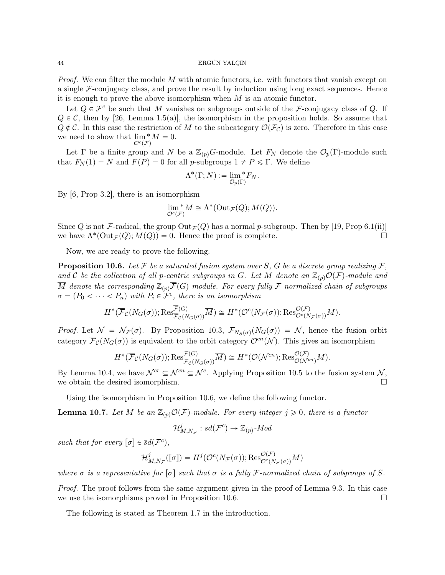*Proof.* We can filter the module M with atomic functors, i.e. with functors that vanish except on a single  $\mathcal{F}\text{-conjugacy class}$ , and prove the result by induction using long exact sequences. Hence it is enough to prove the above isomorphism when  $M$  is an atomic functor.

Let  $Q \in \mathcal{F}^c$  be such that M vanishes on subgroups outside of the F-conjugacy class of Q. If  $Q \in \mathcal{C}$ , then by [26, Lemma 1.5(a)], the isomorphism in the proposition holds. So assume that  $Q \notin \mathcal{C}$ . In this case the restriction of M to the subcategory  $\mathcal{O}(\mathcal{F}_{\mathcal{C}})$  is zero. Therefore in this case we need to show that  $\lim_{n \to \infty} M = 0$ .  $\mathcal{O}^c(\mathcal{F})$ 

Let Γ be a finite group and N be a  $\mathbb{Z}_{(p)}G$ -module. Let  $F_N$  denote the  $\mathcal{O}_p(\Gamma)$ -module such that  $F_N(1) = N$  and  $F(P) = 0$  for all p-subgroups  $1 \neq P \leq \Gamma$ . We define

$$
\Lambda^*(\Gamma;N):=\lim_{\mathcal{O}_p(\Gamma)}{}^*F_N.
$$

By [6, Prop 3.2], there is an isomorphism

$$
\lim_{\mathcal{O}^c(\mathcal{F})}^*M\cong \Lambda^*(\mathrm{Out}_\mathcal{F}(Q);M(Q)).
$$

Since Q is not F-radical, the group  $Out_{\mathcal{F}}(Q)$  has a normal p-subgroup. Then by [19, Prop 6.1(ii)] we have  $\Lambda^*(\text{Out}_{\mathcal{F}}(Q); M(Q)) = 0$ . Hence the proof is complete.

Now, we are ready to prove the following.

**Proposition 10.6.** Let F be a saturated fusion system over S, G be a discrete group realizing  $\mathcal{F}$ , and C be the collection of all p-centric subgroups in G. Let M denote an  $\mathbb{Z}_{(p)}\mathcal{O}(\mathcal{F})$ -module and  $\overline{M}$  denote the corresponding  $\mathbb{Z}_{(p)}\overline{\mathcal{F}}(G)$ -module. For every fully F-normalized chain of subgroups  $\sigma = (P_0 < \cdots < P_n)$  with  $P_i \in \mathcal{F}^c$ , there is an isomorphism

$$
H^*(\overline{\mathcal{F}}_{\mathcal{C}}(N_G(\sigma)); \text{Res}_{\overline{\mathcal{F}}_{\mathcal{C}}(N_G(\sigma))}^{\overline{\mathcal{F}}(G)}\overline{M}) \cong H^*(\mathcal{O}^c(N_{\mathcal{F}}(\sigma)); \text{Res}_{\mathcal{O}^c(N_{\mathcal{F}}(\sigma))}^{\mathcal{O}(\mathcal{F})}M).
$$

*Proof.* Let  $\mathcal{N} = \mathcal{N}_{\mathcal{F}}(\sigma)$ . By Proposition 10.3,  $\mathcal{F}_{N_S(\sigma)}(N_G(\sigma)) = \mathcal{N}$ , hence the fusion orbit category  $\overline{\mathcal{F}}_{\mathcal{C}}(N_G(\sigma))$  is equivalent to the orbit category  $\mathcal{O}^{cn}(\mathcal{N})$ . This gives an isomorphism

$$
H^*(\overline{\mathcal{F}}_{\mathcal{C}}(N_G(\sigma)); \text{Res}_{\overline{\mathcal{F}}_{\mathcal{C}}(N_G(\sigma))}^{\overline{\mathcal{F}}(G)}\overline{M}) \cong H^*(\mathcal{O}(\mathcal{N}^{cn}); \text{Res}_{\mathcal{O}(\mathcal{N}^{cn})}^{\mathcal{O}(\mathcal{F})}M).
$$

By Lemma 10.4, we have  $\mathcal{N}^{cr} \subseteq \mathcal{N}^{cn} \subseteq \mathcal{N}^c$ . Applying Proposition 10.5 to the fusion system  $\mathcal{N}$ , we obtain the desired isomorphism.  $\Box$ 

Using the isomorphism in Proposition 10.6, we define the following functor.

**Lemma 10.7.** Let M be an  $\mathbb{Z}_{(p)}\mathcal{O}(\mathcal{F})$ -module. For every integer  $j \geq 0$ , there is a functor

$$
\mathcal{H}_{M,N_{\mathcal{F}}}^{j} : \overline{s}d(\mathcal{F}^{c}) \to \mathbb{Z}_{(p)}\text{-}\mathit{Mod}
$$

such that for every  $[\sigma] \in \overline{s}d(\mathcal{F}^c)$ ,

$$
\mathcal{H}_{M,N_{\mathcal{F}}}^{j}([\sigma]) = H^{j}(\mathcal{O}^{c}(N_{\mathcal{F}}(\sigma)); \text{Res}_{\mathcal{O}^{c}(N_{\mathcal{F}}(\sigma))}^{\mathcal{O}(\mathcal{F})}M)
$$

where  $\sigma$  is a representative for  $\lceil \sigma \rceil$  such that  $\sigma$  is a fully F-normalized chain of subgroups of S.

Proof. The proof follows from the same argument given in the proof of Lemma 9.3. In this case we use the isomorphisms proved in Proposition 10.6.

The following is stated as Theorem 1.7 in the introduction.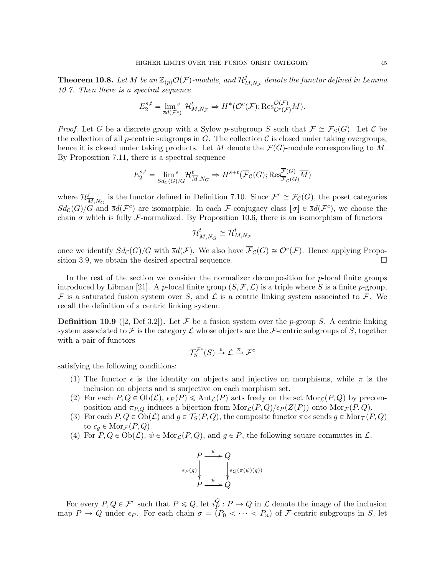**Theorem 10.8.** Let  $M$  be an  $\mathbb{Z}_{(p)}\mathcal{O}(\mathcal{F})$ -module, and  $\mathcal{H}^j_p$  $^{\jmath}_{M,N_{\mathcal F}}$  denote the functor defined in Lemma 10.7. Then there is a spectral sequence

$$
E_2^{s,t} = \lim_{\overline{s}d(\mathcal{F}^c)}^s \mathcal{H}_{M,N_{\mathcal{F}}}^t \Rightarrow H^*(\mathcal{O}^c(\mathcal{F}); \text{Res}_{\mathcal{O}^c(\mathcal{F})}^{\mathcal{O}(\mathcal{F})}M).
$$

*Proof.* Let G be a discrete group with a Sylow p-subgroup S such that  $\mathcal{F} \cong \mathcal{F}_S(G)$ . Let C be the collection of all p-centric subgroups in G. The collection  $\mathcal C$  is closed under taking overgroups, hence it is closed under taking products. Let  $\overline{M}$  denote the  $\overline{\mathcal{F}}(G)$ -module corresponding to M. By Proposition 7.11, there is a spectral sequence

$$
E_2^{s,t} = \lim_{Sd_{\mathcal{C}}(G)/G} \mathcal{H}_{\overline{M},N_G}^t \Rightarrow H^{s+t}(\overline{\mathcal{F}}_{\mathcal{C}}(G); \text{Res}_{\overline{\mathcal{F}}_{\mathcal{C}}(G)}^{\mathcal{F}(G)}\overline{M})
$$

where  $\mathcal{H}^j_{\overline{\lambda}}$  $\frac{J}{M,N_G}$  is the functor defined in Definition 7.10. Since  $\mathcal{F}^c \cong \mathcal{F}_\mathcal{C}(G)$ , the poset categories  $Sd_{\mathcal{C}}(G)/G$  and  $\bar{s}d(\mathcal{F}^c)$  are isomorphic. In each F-conjugacy class  $[\sigma] \in \bar{s}d(\mathcal{F}^c)$ , we choose the chain  $\sigma$  which is fully F-normalized. By Proposition 10.6, there is an isomorphism of functors

$$
\mathcal{H}_{\overline{M},N_G}^t\cong\mathcal{H}_{M,N_{\mathcal{F}}}^t
$$

once we identify  $Sd_{\mathcal{C}}(G)/G$  with  $\bar{s}d(\mathcal{F})$ . We also have  $\bar{\mathcal{F}}_{\mathcal{C}}(G) \cong \mathcal{O}^c(\mathcal{F})$ . Hence applying Proposition 3.9, we obtain the desired spectral sequence.  $\Box$ 

In the rest of the section we consider the normalizer decomposition for p-local finite groups introduced by Libman [21]. A p-local finite group  $(S, \mathcal{F}, \mathcal{L})$  is a triple where S is a finite p-group, F is a saturated fusion system over S, and  $\mathcal L$  is a centric linking system associated to F. We recall the definition of a centric linking system.

**Definition 10.9** ([2, Def 3.2]). Let F be a fusion system over the p-group S. A centric linking system associated to F is the category  $\mathcal L$  whose objects are the F-centric subgroups of S, together with a pair of functors

$$
\mathcal{T}_S^{\mathcal{F}^c}(S) \xrightarrow{\epsilon} \mathcal{L} \xrightarrow{\pi} \mathcal{F}^c
$$

satisfying the following conditions:

- (1) The functor  $\epsilon$  is the identity on objects and injective on morphisms, while  $\pi$  is the inclusion on objects and is surjective on each morphism set.
- (2) For each  $P, Q \in Ob(\mathcal{L}), \epsilon_P(P) \leq Aut_{\mathcal{L}}(P)$  acts freely on the set  $Mor_{\mathcal{L}}(P, Q)$  by precomposition and  $\pi_{P,Q}$  induces a bijection from  $\text{Mor}_{\mathcal{L}}(P,Q)/\epsilon_P(Z(P))$  onto  $\text{Mor}_{\mathcal{F}}(P,Q)$ .
- (3) For each  $P, Q \in Ob(\mathcal{L})$  and  $g \in \mathcal{T}_S(P, Q)$ , the composite functor  $\pi \circ \epsilon$  sends  $g \in Mor_{\mathcal{T}}(P, Q)$ to  $c_q \in \text{Mor}_{\mathcal{F}}(P,Q)$ .
- (4) For  $P, Q \in Ob(\mathcal{L}), \psi \in Mor_{\mathcal{L}}(P, Q)$ , and  $g \in P$ , the following square commutes in  $\mathcal{L}$ .



For every  $P, Q \in \mathcal{F}^c$  such that  $P \leq Q$ , let  $i_P^Q$  $P_P^Q: P \to Q$  in  $\mathcal L$  denote the image of the inclusion map  $P \to Q$  under  $\epsilon_P$ . For each chain  $\sigma = (P_0 < \cdots < P_n)$  of F-centric subgroups in S, let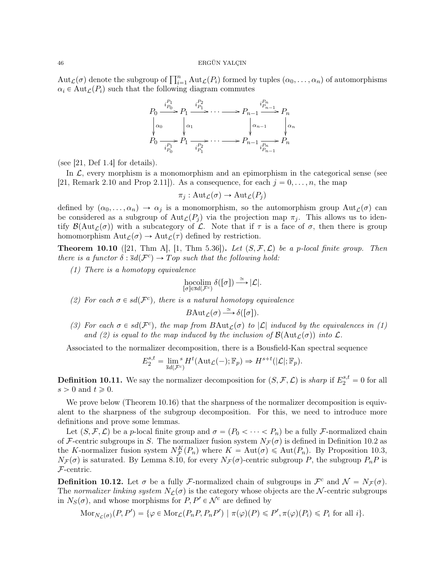$\mathrm{Aut}_{\mathcal{L}}(\sigma)$  denote the subgroup of  $\prod_{i=1}^n \mathrm{Aut}_{\mathcal{L}}(P_i)$  formed by tuples  $(\alpha_0, \ldots, \alpha_n)$  of automorphisms  $\alpha_i \in \text{Aut}_{\mathcal{L}}(P_i)$  such that the following diagram commutes



(see  $[21, \text{Def } 1.4]$  for details).

In  $\mathcal{L}$ , every morphism is a monomorphism and an epimorphism in the categorical sense (see [21, Remark 2.10 and Prop 2.11]). As a consequence, for each  $j = 0, \ldots, n$ , the map

$$
\pi_j: \mathrm{Aut}_{\mathcal{L}}(\sigma) \to \mathrm{Aut}_{\mathcal{L}}(P_j)
$$

defined by  $(\alpha_0, \ldots, \alpha_n) \to \alpha_j$  is a monomorphism, so the automorphism group Aut $\mathcal{L}(\sigma)$  can be considered as a subgroup of  $Aut_{\mathcal{L}}(P_i)$  via the projection map  $\pi_i$ . This allows us to identify  $\mathcal{B}(\text{Aut}_{\mathcal{L}}(\sigma))$  with a subcategory of  $\mathcal{L}$ . Note that if  $\tau$  is a face of  $\sigma$ , then there is group homomorphism  $\text{Aut}_{\mathcal{L}}(\sigma) \to \text{Aut}_{\mathcal{L}}(\tau)$  defined by restriction.

**Theorem 10.10** ([21, Thm A], [1, Thm 5.36]). Let  $(S, \mathcal{F}, \mathcal{L})$  be a p-local finite group. Then there is a functor  $\delta : \overline{s}d(\mathcal{F}^c) \to Top$  such that the following hold:

(1) There is a homotopy equivalence

$$
\underset{[\sigma]\in\overline{s}d(\mathcal{F}^c)}{\operatorname{hocolim}}\,\delta([\sigma])\overset{\simeq}{\longrightarrow}|\mathcal{L}|.
$$

(2) For each  $\sigma \in sd(\mathcal{F}^c)$ , there is a natural homotopy equivalence

$$
B\mathrm{Aut}_{\mathcal{L}}(\sigma) \xrightarrow{\simeq} \delta([\sigma]).
$$

(3) For each  $\sigma \in sd(\mathcal{F}^c)$ , the map from  $BAut_{\mathcal{L}}(\sigma)$  to  $|\mathcal{L}|$  induced by the equivalences in (1) and (2) is equal to the map induced by the inclusion of  $\mathcal{B}(\text{Aut}_{\mathcal{L}}(\sigma))$  into  $\mathcal{L}$ .

Associated to the normalizer decomposition, there is a Bousfield-Kan spectral sequence

$$
E_2^{s,t} = \lim_{\overline{s}d(\mathcal{F}^c)} H^t(\mathrm{Aut}_{\mathcal{L}}(-); \mathbb{F}_p) \Rightarrow H^{s+t}(|\mathcal{L}|; \mathbb{F}_p).
$$

**Definition 10.11.** We say the normalizer decomposition for  $(S, \mathcal{F}, \mathcal{L})$  is sharp if  $E_2^{s,t} = 0$  for all  $s > 0$  and  $t \geqslant 0$ .

We prove below (Theorem 10.16) that the sharpness of the normalizer decomposition is equivalent to the sharpness of the subgroup decomposition. For this, we need to introduce more definitions and prove some lemmas.

Let  $(S, \mathcal{F}, \mathcal{L})$  be a p-local finite group and  $\sigma = (P_0 < \cdots < P_n)$  be a fully F-normalized chain of F-centric subgroups in S. The normalizer fusion system  $N_{\mathcal{F}}(\sigma)$  is defined in Definition 10.2 as the K-normalizer fusion system  $N_{\mathcal{F}}^{K}(P_n)$  where  $K = \text{Aut}(\sigma) \leq \text{Aut}(P_n)$ . By Proposition 10.3,  $N_{\mathcal{F}}(\sigma)$  is saturated. By Lemma 8.10, for every  $N_{\mathcal{F}}(\sigma)$ -centric subgroup P, the subgroup  $P_nP$  is  $\mathcal{F}\text{-centric.}$ 

**Definition 10.12.** Let  $\sigma$  be a fully *F*-normalized chain of subgroups in  $\mathcal{F}^c$  and  $\mathcal{N} = N_{\mathcal{F}}(\sigma)$ . The normalizer linking system  $N_{\mathcal{L}}(\sigma)$  is the category whose objects are the N-centric subgroups in  $N_S(\sigma)$ , and whose morphisms for  $P, P' \in \mathcal{N}^c$  are defined by

$$
\mathrm{Mor}_{N_{\mathcal{L}}(\sigma)}(P, P') = \{ \varphi \in \mathrm{Mor}_{\mathcal{L}}(P_n P, P_n P') \mid \pi(\varphi)(P) \leqslant P', \pi(\varphi)(P_i) \leqslant P_i \text{ for all } i \}.
$$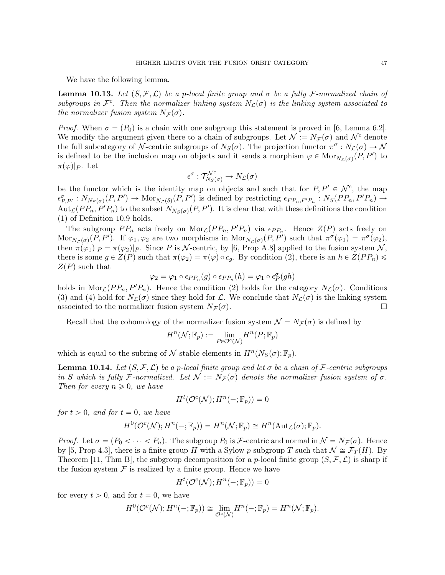We have the following lemma.

**Lemma 10.13.** Let  $(S, \mathcal{F}, \mathcal{L})$  be a p-local finite group and  $\sigma$  be a fully F-normalized chain of subgroups in  $\mathcal{F}^c$ . Then the normalizer linking system  $N_{\mathcal{L}}(\sigma)$  is the linking system associated to the normalizer fusion system  $N_{\mathcal{F}}(\sigma)$ .

*Proof.* When  $\sigma = (P_0)$  is a chain with one subgroup this statement is proved in [6, Lemma 6.2]. We modify the argument given there to a chain of subgroups. Let  $\mathcal{N} := N_{\mathcal{F}}(\sigma)$  and  $\mathcal{N}^c$  denote the full subcategory of N-centric subgroups of  $N_S(\sigma)$ . The projection functor  $\pi^{\sigma}: N_{\mathcal{L}}(\sigma) \to \mathcal{N}$ is defined to be the inclusion map on objects and it sends a morphism  $\varphi \in \text{Mor}_{N_{\mathcal{L}}(\sigma)}(P, P')$  to  $\pi(\varphi)|_P$ . Let

$$
\epsilon^{\sigma}: \mathcal{T}^{\mathcal{N}^c}_{N_S(\sigma)} \to N_{\mathcal{L}}(\sigma)
$$

be the functor which is the identity map on objects and such that for  $P, P' \in \mathcal{N}^c$ , the map  $\epsilon_{P,P'}^{\sigma}: N_{N_S(\sigma)}(P,P') \to \text{Mor}_{N_{\mathcal{L}}(\delta)}(P,P')$  is defined by restricting  $\epsilon_{PP_n,P'P_n}: N_S(PP_n,P'P_n) \to$  $Aut_{\mathcal{L}}(PP_n, P'P_n)$  to the subset  $N_{N_S(\sigma)}(P, P')$ . It is clear that with these definitions the condition (1) of Definition 10.9 holds.

The subgroup  $PP_n$  acts freely on  $\text{Mor}_{\mathcal{L}}(PP_n, P'P_n)$  via  $\epsilon_{PP_n}$ . Hence  $Z(P)$  acts freely on Mor<sub>N<sub>L</sub>( $\sigma$ )</sub>(P, P'). If  $\varphi_1, \varphi_2$  are two morphisms in Mor<sub>N<sub>L</sub>( $\sigma$ )</sub>(P, P') such that  $\pi^{\sigma}(\varphi_1) = \pi^{\sigma}(\varphi_2)$ , then  $\pi(\varphi_1)|_P = \pi(\varphi_2)|_P$ . Since P is N-centric, by [6, Prop A.8] applied to the fusion system N, there is some  $g \in Z(P)$  such that  $\pi(\varphi_2) = \pi(\varphi) \circ c_q$ . By condition (2), there is an  $h \in Z(PP_n)$  $Z(P)$  such that

$$
\varphi_2 = \varphi_1 \circ \epsilon_{PP_n}(g) \circ \epsilon_{PP_n}(h) = \varphi_1 \circ \epsilon_P^{\sigma}(gh)
$$

holds in Mor<sub>C</sub> $(PP_n, P'P_n)$ . Hence the condition (2) holds for the category  $N_c(\sigma)$ . Conditions (3) and (4) hold for  $N_{\mathcal{L}}(\sigma)$  since they hold for  $\mathcal{L}$ . We conclude that  $N_{\mathcal{L}}(\sigma)$  is the linking system associated to the normalizer fusion system  $N_{\mathcal{F}}(\sigma)$ .

Recall that the cohomology of the normalizer fusion system  $\mathcal{N} = N_{\mathcal{F}}(\sigma)$  is defined by

$$
H^n(\mathcal{N}; \mathbb{F}_p) := \lim_{P \in \mathcal{O}^c(\mathcal{N})} H^n(P; \mathbb{F}_p)
$$

which is equal to the subring of N-stable elements in  $H^n(N_S(\sigma);\mathbb{F}_p)$ .

**Lemma 10.14.** Let  $(S, \mathcal{F}, \mathcal{L})$  be a p-local finite group and let  $\sigma$  be a chain of F-centric subgroups in S which is fully F-normalized. Let  $\mathcal{N} := N_{\mathcal{F}}(\sigma)$  denote the normalizer fusion system of  $\sigma$ . Then for every  $n \geqslant 0$ , we have

$$
H^t(\mathcal{O}^c(\mathcal{N}); H^n(-; \mathbb{F}_p)) = 0
$$

for  $t > 0$ , and for  $t = 0$ , we have

$$
H^{0}(\mathcal{O}^{c}(\mathcal{N}); H^{n}(-;\mathbb{F}_{p})) = H^{n}(\mathcal{N}; \mathbb{F}_{p}) \cong H^{n}(\mathrm{Aut}_{\mathcal{L}}(\sigma); \mathbb{F}_{p}).
$$

*Proof.* Let  $\sigma = (P_0 < \cdots < P_n)$ . The subgroup  $P_0$  is F-centric and normal in  $\mathcal{N} = N_{\mathcal{F}}(\sigma)$ . Hence by [5, Prop 4.3], there is a finite group H with a Sylow p-subgroup T such that  $\mathcal{N} \cong \mathcal{F}_T(H)$ . By Theorem [11, Thm B], the subgroup decomposition for a p-local finite group  $(S, \mathcal{F}, \mathcal{L})$  is sharp if the fusion system  $\mathcal F$  is realized by a finite group. Hence we have

$$
H^t(\mathcal{O}^c(\mathcal{N}); H^n(-; \mathbb{F}_p)) = 0
$$

for every  $t > 0$ , and for  $t = 0$ , we have

$$
H^{0}(\mathcal{O}^{c}(\mathcal{N}); H^{n}(-; \mathbb{F}_{p})) \cong \lim_{\mathcal{O}^{c}(\mathcal{N})} H^{n}(-; \mathbb{F}_{p}) = H^{n}(\mathcal{N}; \mathbb{F}_{p}).
$$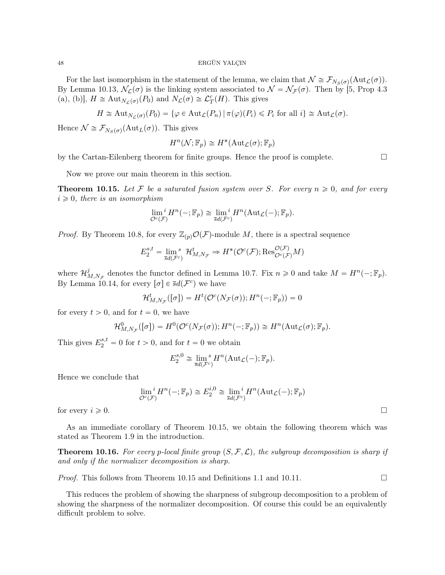For the last isomorphism in the statement of the lemma, we claim that  $\mathcal{N} \cong \mathcal{F}_{N_S(\sigma)}(\text{Aut}_{\mathcal{L}}(\sigma)).$ By Lemma 10.13,  $\mathcal{N}_{\mathcal{L}}(\sigma)$  is the linking system associated to  $\mathcal{N} = \mathcal{N}_{\mathcal{F}}(\sigma)$ . Then by [5, Prop 4.3 (a), (b)],  $H \cong \text{Aut}_{N_{\mathcal{L}}(\sigma)}(P_0)$  and  $N_{\mathcal{L}}(\sigma) \cong \mathcal{L}_T^c(H)$ . This gives

$$
H \cong \mathrm{Aut}_{N_{\mathcal{L}}(\sigma)}(P_0) = \{ \varphi \in \mathrm{Aut}_{\mathcal{L}}(P_n) \mid \pi(\varphi)(P_i) \leq P_i \text{ for all } i \} \cong \mathrm{Aut}_{\mathcal{L}}(\sigma).
$$

Hence  $\mathcal{N} \cong \mathcal{F}_{N_S(\sigma)}(\mathrm{Aut}_L(\sigma))$ . This gives

$$
H^n(\mathcal{N}; \mathbb{F}_p) \cong H^*(\mathrm{Aut}_{\mathcal{L}}(\sigma); \mathbb{F}_p)
$$

by the Cartan-Eilenberg theorem for finite groups. Hence the proof is complete.

Now we prove our main theorem in this section.

**Theorem 10.15.** Let F be a saturated fusion system over S. For every  $n \geq 0$ , and for every  $i \geq 0$ , there is an isomorphism

$$
\lim_{\mathcal{O}^c(\mathcal{F})} {}^i H^n(-;\mathbb{F}_p) \cong \lim_{\overline{s}d(\mathcal{F}^c)} {}^i H^n(\mathrm{Aut}_{\mathcal{L}}(-);\mathbb{F}_p).
$$

*Proof.* By Theorem 10.8, for every  $\mathbb{Z}_{(p)}\mathcal{O}(\mathcal{F})$ -module M, there is a spectral sequence

$$
E_2^{s,t} = \lim_{\bar{s}d(\mathcal{F}^c)} \mathcal{H}_{M,N_{\mathcal{F}}}^t \Rightarrow H^*(\mathcal{O}^c(\mathcal{F}); \text{Res}_{\mathcal{O}^c(\mathcal{F})}^{\mathcal{O}(\mathcal{F})} M)
$$

where  $\mathcal{H}^j_{\scriptscriptstyle \gamma}$  $M_{M,N_{\mathcal{F}}}$  denotes the functor defined in Lemma 10.7. Fix  $n \geq 0$  and take  $M = H^{n}(-; \mathbb{F}_p)$ . By Lemma 10.14, for every  $[\sigma] \in \overline{s}d(\mathcal{F}^c)$  we have

$$
\mathcal{H}_{M,N_{\mathcal{F}}}^{t}([\sigma]) = H^{t}(\mathcal{O}^{c}(N_{\mathcal{F}}(\sigma)); H^{n}(-;\mathbb{F}_{p})) = 0
$$

for every  $t > 0$ , and for  $t = 0$ , we have

$$
\mathcal{H}_{M,N_{\mathcal{F}}}^0([\sigma]) = H^0(\mathcal{O}^c(N_{\mathcal{F}}(\sigma)); H^n(-; \mathbb{F}_p)) \cong H^n(\mathrm{Aut}_{\mathcal{L}}(\sigma); \mathbb{F}_p).
$$

This gives  $E_2^{s,t} = 0$  for  $t > 0$ , and for  $t = 0$  we obtain

$$
E_2^{s,0} \cong \lim_{\overline{s}d(\mathcal{F}^c)} s^m(\text{Aut}_{\mathcal{L}}(-); \mathbb{F}_p).
$$

Hence we conclude that

$$
\lim_{\mathcal{O}^c(\mathcal{F})} {}^i H^n(-; \mathbb{F}_p) \cong E_2^{i, 0} \cong \lim_{\vec{s}d(\mathcal{F}^c)} {}^i H^n(\mathrm{Aut}_{\mathcal{L}}(-); \mathbb{F}_p)
$$

for every  $i \geqslant 0$ .

As an immediate corollary of Theorem 10.15, we obtain the following theorem which was stated as Theorem 1.9 in the introduction.

**Theorem 10.16.** For every p-local finite group  $(S, \mathcal{F}, \mathcal{L})$ , the subgroup decomposition is sharp if and only if the normalizer decomposition is sharp.

*Proof.* This follows from Theorem 10.15 and Definitions 1.1 and 10.11.

This reduces the problem of showing the sharpness of subgroup decomposition to a problem of showing the sharpness of the normalizer decomposition. Of course this could be an equivalently difficult problem to solve.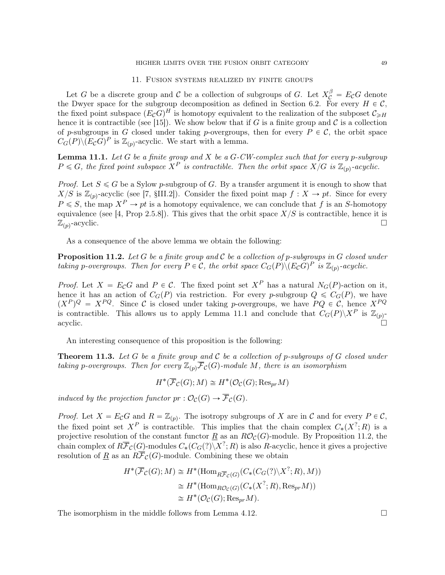## 11. Fusion systems realized by finite groups

Let G be a discrete group and C be a collection of subgroups of G. Let  $X_C^{\beta} = E_C G$  denote the Dwyer space for the subgroup decomposition as defined in Section 6.2. For every  $H \in \mathcal{C}$ , the fixed point subspace  $(E_{\mathcal{C}}G)^{H}$  is homotopy equivalent to the realization of the subposet  $\mathcal{C}_{\geqslant H}$ hence it is contractible (see [15]). We show below that if G is a finite group and C is a collection of p-subgroups in G closed under taking p-overgroups, then for every  $P \in \mathcal{C}$ , the orbit space  $C_G(P) \backslash (E_{\mathcal{C}}G)^P$  is  $\mathbb{Z}_{(p)}$ -acyclic. We start with a lemma.

**Lemma 11.1.** Let  $G$  be a finite group and  $X$  be a  $G$ -CW-complex such that for every p-subgroup  $P \le G$ , the fixed point subspace  $X^P$  is contractible. Then the orbit space  $X/G$  is  $\mathbb{Z}_{(p)}$ -acyclic.

*Proof.* Let  $S \le G$  be a Sylow p-subgroup of G. By a transfer argument it is enough to show that  $X/S$  is  $\mathbb{Z}_{(p)}$ -acyclic (see [7, §III.2]). Consider the fixed point map  $f : X \to pt$ . Since for every  $P \leq S$ , the map  $X^P \to pt$  is a homotopy equivalence, we can conclude that f is an S-homotopy equivalence (see [4, Prop 2.5.8]). This gives that the orbit space  $X/S$  is contractible, hence it is  $\mathbb{Z}_{(p)}$ -acyclic. -acyclic.

As a consequence of the above lemma we obtain the following:

**Proposition 11.2.** Let G be a finite group and C be a collection of p-subgroups in G closed under taking p-overgroups. Then for every  $P \in \mathcal{C}$ , the orbit space  $C_G(P) \setminus (E_{\mathcal{C}}G)^P$  is  $\mathbb{Z}_{(p)}$ -acyclic.

*Proof.* Let  $X = E_{\mathcal{C}}G$  and  $P \in \mathcal{C}$ . The fixed point set  $X^P$  has a natural  $N_G(P)$ -action on it, hence it has an action of  $C_G(P)$  via restriction. For every p-subgroup  $Q \leq C_G(P)$ , we have  $(X^P)^Q = X^{PQ}$ . Since C is closed under taking p-overgroups, we have  $PQ \in \mathcal{C}$ , hence  $X^{PQ}$ is contractible. This allows us to apply Lemma 11.1 and conclude that  $C_G(P)\backslash X^P$  is  $\mathbb{Z}_{(p)}$  $\Box$  acyclic.

An interesting consequence of this proposition is the following:

**Theorem 11.3.** Let G be a finite group and C be a collection of p-subgroups of G closed under taking p-overgroups. Then for every  $\mathbb{Z}_{(p)}\mathcal{F}_{\mathcal{C}}(G)$ -module M, there is an isomorphism

 $H^*(\overline{\mathcal{F}}_{\mathcal{C}}(G); M) \cong H^*(\mathcal{O}_{\mathcal{C}}(G); \text{Res}_{pr}M)$ 

induced by the projection functor  $pr: \mathcal{O}_{\mathcal{C}}(G) \to \overline{\mathcal{F}}_{\mathcal{C}}(G)$ .

*Proof.* Let  $X = E_{\mathcal{C}}G$  and  $R = \mathbb{Z}_{(p)}$ . The isotropy subgroups of X are in  $\mathcal{C}$  and for every  $P \in \mathcal{C}$ , the fixed point set  $X^P$  is contractible. This implies that the chain complex  $C_*(X^?;R)$  is a projective resolution of the constant functor  $R$  as an  $R\mathcal{O}_{\mathcal{C}}(G)$ -module. By Proposition 11.2, the chain complex of  $R\overline{\mathcal{F}}_{\mathcal{C}}(G)$ -modules  $C_*(C_G(?)\backslash X^?; R)$  is also R-acyclic, hence it gives a projective resolution of R as an  $R\overline{\mathcal{F}}_{\mathcal{C}}(G)$ -module. Combining these we obtain

$$
H^*(\overline{\mathcal{F}}_{\mathcal{C}}(G); M) \cong H^*(\text{Hom}_{R\overline{\mathcal{F}}_{\mathcal{C}}(G)}(C_*(C_G(?)\backslash X^?; R), M))
$$
  
\n
$$
\cong H^*(\text{Hom}_{R\mathcal{O}_{\mathcal{C}}(G)}(C_*(X^?; R), \text{Res}_{pr}M))
$$
  
\n
$$
\cong H^*(\mathcal{O}_{\mathcal{C}}(G); \text{Res}_{pr}M).
$$

The isomorphism in the middle follows from Lemma 4.12.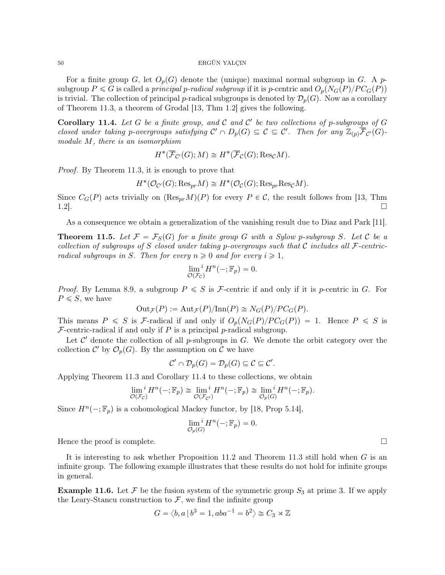For a finite group G, let  $O_p(G)$  denote the (unique) maximal normal subgroup in G. A psubgroup  $P \le G$  is called a principal p-radical subgroup if it is p-centric and  $O_p(N_G(P)/PC_G(P))$ is trivial. The collection of principal p-radical subgroups is denoted by  $\mathcal{D}_p(G)$ . Now as a corollary of Theorem 11.3, a theorem of Grodal [13, Thm 1.2] gives the following.

Corollary 11.4. Let G be a finite group, and C and C' be two collections of p-subgroups of G closed under taking p-overgroups satisfying  $\mathcal{C}' \cap D_p(G) \subseteq \mathcal{C} \subseteq \mathcal{C}'$ . Then for any  $\mathbb{Z}_{(p)}\overline{\mathcal{F}}_{\mathcal{C}'}(G)$ module M, there is an isomorphism

$$
H^*(\overline{\mathcal{F}}_{\mathcal{C}'}(G); M) \cong H^*(\overline{\mathcal{F}}_{\mathcal{C}}(G); \text{Res}_{\mathcal{C}}M).
$$

*Proof.* By Theorem 11.3, it is enough to prove that

$$
H^*(\mathcal{O}_{\mathcal{C}'}(G); \text{Res}_{pr}M) \cong H^*(\mathcal{O}_{\mathcal{C}}(G); \text{Res}_{pr}\text{Res}_{\mathcal{C}}M).
$$

Since  $C_G(P)$  acts trivially on  $(\text{Res}_{pr}M)(P)$  for every  $P \in \mathcal{C}$ , the result follows from [13, Thm 1.2].

As a consequence we obtain a generalization of the vanishing result due to Diaz and Park [11].

**Theorem 11.5.** Let  $\mathcal{F} = \mathcal{F}_S(G)$  for a finite group G with a Sylow p-subgroup S. Let C be a collection of subgroups of S closed under taking p-overgroups such that C includes all  $\mathcal{F}\text{-centric-}$ radical subgroups in S. Then for every  $n \geq 0$  and for every  $i \geq 1$ ,

$$
\lim_{\mathcal{O}(\mathcal{F}_{\mathcal{C}})}{}^{i} H^{n}(-;\mathbb{F}_{p}) = 0.
$$

*Proof.* By Lemma 8.9, a subgroup  $P \leq S$  is *F*-centric if and only if it is *p*-centric in *G*. For  $P \leq S$ , we have

$$
Out_{\mathcal{F}}(P) := Aut_{\mathcal{F}}(P)/Inn(P) \cong N_G(P)/PC_G(P).
$$

This means  $P \leq S$  is F-radical if and only if  $O_p(N_G(P)/PC_G(P)) = 1$ . Hence  $P \leq S$  is  $\mathcal F$ -centric-radical if and only if P is a principal p-radical subgroup.

Let  $\mathcal{C}'$  denote the collection of all p-subgroups in  $G$ . We denote the orbit category over the collection  $\mathcal{C}'$  by  $\mathcal{O}_p(G)$ . By the assumption on  $\mathcal{C}$  we have

$$
\mathcal{C}' \cap \mathcal{D}_p(G) = \mathcal{D}_p(G) \subseteq \mathcal{C} \subseteq \mathcal{C}'.
$$

Applying Theorem 11.3 and Corollary 11.4 to these collections, we obtain

$$
\lim_{\mathcal{O}(\mathcal{F}_{\mathcal{C}})} {}^{i}H^{n}(-;\mathbb{F}_{p}) \cong \lim_{\mathcal{O}(\mathcal{F}_{\mathcal{C}'})} {}^{i}H^{n}(-;\mathbb{F}_{p}) \cong \lim_{\mathcal{O}_{p}(G)} {}^{i}H^{n}(-;\mathbb{F}_{p}).
$$

Since  $H^n(-; \mathbb{F}_p)$  is a cohomological Mackey functor, by [18, Prop 5.14],

$$
\lim_{\mathcal{O}_p(G)}^i H^n(-;\mathbb{F}_p) = 0.
$$

Hence the proof is complete.

It is interesting to ask whether Proposition 11.2 and Theorem 11.3 still hold when G is an infinite group. The following example illustrates that these results do not hold for infinite groups in general.

**Example 11.6.** Let F be the fusion system of the symmetric group  $S_3$  at prime 3. If we apply the Leary-Stancu construction to  $\mathcal{F}$ , we find the infinite group

$$
G = \langle b, a \, | \, b^3 = 1, aba^{-1} = b^2 \rangle \cong C_3 \rtimes \mathbb{Z}
$$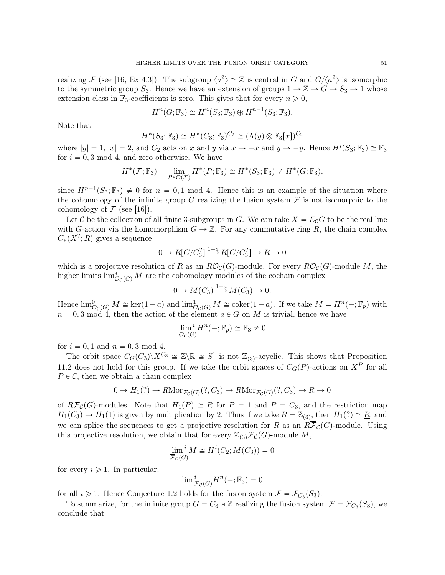realizing F (see [16, Ex 4.3]). The subgroup  $\langle a^2 \rangle \cong \mathbb{Z}$  is central in G and  $G/\langle a^2 \rangle$  is isomorphic to the symmetric group  $S_3$ . Hence we have an extension of groups  $1 \to \mathbb{Z} \to G \to S_3 \to 1$  whose extension class in  $\mathbb{F}_3$ -coefficients is zero. This gives that for every  $n \geq 0$ ,

$$
H^n(G; \mathbb{F}_3) \cong H^n(S_3; \mathbb{F}_3) \oplus H^{n-1}(S_3; \mathbb{F}_3).
$$

Note that

$$
H^*(S_3; \mathbb{F}_3) \cong H^*(C_3; \mathbb{F}_3)^{C_2} \cong (\Lambda(y) \otimes \mathbb{F}_3[x])^{C_2}
$$

where  $|y| = 1$ ,  $|x| = 2$ , and  $C_2$  acts on x and y via  $x \to -x$  and  $y \to -y$ . Hence  $H^i(S_3; \mathbb{F}_3) \cong \mathbb{F}_3$ for  $i = 0, 3 \mod 4$ , and zero otherwise. We have

$$
H^*(\mathcal{F}; \mathbb{F}_3) = \lim_{P \in \mathcal{O}(\mathcal{F})} H^*(P; \mathbb{F}_3) \cong H^*(S_3; \mathbb{F}_3) \neq H^*(G; \mathbb{F}_3),
$$

since  $H^{n-1}(S_3; \mathbb{F}_3) \neq 0$  for  $n = 0, 1 \text{ mod } 4$ . Hence this is an example of the situation where the cohomology of the infinite group G realizing the fusion system  $\mathcal F$  is not isomorphic to the cohomology of  $\mathcal F$  (see [16]).

Let C be the collection of all finite 3-subgroups in G. We can take  $X = E_{\mathcal{C}}G$  to be the real line with G-action via the homomorphism  $G \to \mathbb{Z}$ . For any commutative ring R, the chain complex  $C_*(X^?;R)$  gives a sequence

$$
0 \to R[G/C_3^?] \stackrel{1-a}{\longrightarrow} R[G/C_3^?] \to \underline{R} \to 0
$$

which is a projective resolution of R as an  $R\mathcal{O}_{\mathcal{C}}(G)$ -module. For every  $R\mathcal{O}_{\mathcal{C}}(G)$ -module M, the higher limits  $\lim_{\mathcal{O}_C(G)} M$  are the cohomology modules of the cochain complex

$$
0 \to M(C_3) \xrightarrow{1-a} M(C_3) \to 0.
$$

Hence  $\lim_{\mathcal{O}_C(G)} M \cong \ker(1-a)$  and  $\lim_{\mathcal{O}_C(G)} M \cong \text{coker}(1-a)$ . If we take  $M = H^n(-; \mathbb{F}_p)$  with  $n = 0, 3 \mod 4$ , then the action of the element  $a \in G$  on M is trivial, hence we have

$$
\lim_{\mathcal{O}_{\mathcal{C}}(G)}{}^{i} H^{n}(-;\mathbb{F}_{p}) \cong \mathbb{F}_{3} \neq 0
$$

for  $i = 0, 1$  and  $n = 0, 3 \mod 4$ .

The orbit space  $C_G(C_3)\backslash X^{C_3} \cong \mathbb{Z}\backslash \mathbb{R} \cong S^1$  is not  $\mathbb{Z}_{(3)}$ -acyclic. This shows that Proposition 11.2 does not hold for this group. If we take the orbit spaces of  $C_G(P)$ -actions on  $X^{\tilde{P}}$  for all  $P \in \mathcal{C}$ , then we obtain a chain complex

$$
0 \to H_1(?) \to RMor_{\mathcal{F}_C(G)}(?, C_3) \to RMor_{\mathcal{F}_C(G)}(?, C_3) \to \underline{R} \to 0
$$

of  $R\overline{\mathcal{F}}_{\mathcal{C}}(G)$ -modules. Note that  $H_1(P) \cong R$  for  $P = 1$  and  $P = C_3$ , and the restriction map  $H_1(C_3) \to H_1(1)$  is given by multiplication by 2. Thus if we take  $R = \mathbb{Z}_{(3)}$ , then  $H_1(?) \cong \underline{R}$ , and we can splice the sequences to get a projective resolution for  $\underline{R}$  as an  $R\overline{\mathcal{F}}_{\mathcal{C}}(G)$ -module. Using this projective resolution, we obtain that for every  $\mathbb{Z}_{3}$ ,  $\overline{\mathcal{F}}_{\mathcal{C}}(G)$ -module M,

$$
\lim_{\overline{\mathcal{F}}_{\mathcal{C}}(G)}^i M \cong H^i(C_2; M(C_3)) = 0
$$

for every  $i \geqslant 1$ . In particular,

$$
\lim \frac{i}{\mathcal{F}_\mathcal{C}(G)} H^n(-;\mathbb{F}_3) = 0
$$

for all  $i \geqslant 1$ . Hence Conjecture 1.2 holds for the fusion system  $\mathcal{F} = \mathcal{F}_{C_3}(S_3)$ .

To summarize, for the infinite group  $G = C_3 \rtimes \mathbb{Z}$  realizing the fusion system  $\mathcal{F} = \mathcal{F}_{C_3}(S_3)$ , we conclude that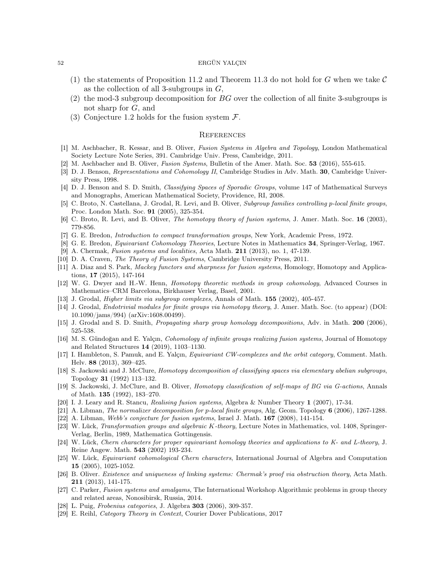- (1) the statements of Proposition 11.2 and Theorem 11.3 do not hold for G when we take  $\mathcal C$ as the collection of all 3-subgroups in  $G$ ,
- (2) the mod-3 subgroup decomposition for  $BG$  over the collection of all finite 3-subgroups is not sharp for G, and
- (3) Conjecture 1.2 holds for the fusion system  $\mathcal{F}$ .

## **REFERENCES**

- [1] M. Aschbacher, R. Kessar, and B. Oliver, Fusion Systems in Algebra and Topology, London Mathematical Society Lecture Note Series, 391. Cambridge Univ. Press, Cambridge, 2011.
- [2] M. Aschbacher and B. Oliver, Fusion Systems, Bulletin of the Amer. Math. Soc. 53 (2016), 555-615.
- [3] D. J. Benson, Representations and Cohomology II, Cambridge Studies in Adv. Math. 30, Cambridge University Press, 1998.
- [4] D. J. Benson and S. D. Smith, Classifying Spaces of Sporadic Groups, volume 147 of Mathematical Surveys and Monographs, American Mathematical Society, Providence, RI, 2008.
- [5] C. Broto, N. Castellana, J. Grodal, R. Levi, and B. Oliver, Subgroup families controlling p-local finite groups, Proc. London Math. Soc. 91 (2005), 325-354.
- [6] C. Broto, R. Levi, and B. Oliver, *The homotopy theory of fusion systems*, J. Amer. Math. Soc. 16 (2003), 779-856.
- [7] G. E. Bredon, Introduction to compact transformation groups, New York, Academic Press, 1972.
- [8] G. E. Bredon, Equivariant Cohomology Theories, Lecture Notes in Mathematics 34, Springer-Verlag, 1967.
- [9] A. Chermak, Fusion systems and localities, Acta Math. 211 (2013), no. 1, 47-139.
- [10] D. A. Craven, The Theory of Fusion Systems, Cambridge University Press, 2011.
- [11] A. Diaz and S. Park, Mackey functors and sharpness for fusion systems, Homology, Homotopy and Applications, 17 (2015), 147-164
- [12] W. G. Dwyer and H.-W. Henn, *Homotopy theoretic methods in group cohomology*, Advanced Courses in Mathematics–CRM Barcelona, Birkhauser Verlag, Basel, 2001.
- [13] J. Grodal, Higher limits via subgroup complexes, Annals of Math. 155 (2002), 405-457.
- [14] J. Grodal, Endotrivial modules for finite groups via homotopy theory, J. Amer. Math. Soc. (to appear) (DOI: 10.1090/jams/994) (arXiv:1608.00499).
- [15] J. Grodal and S. D. Smith, Propagating sharp group homology decompositions, Adv. in Math. 200 (2006), 525-538.
- [16] M. S. Gündoğan and E. Yalçın, Cohomology of infinite groups realizing fusion systems, Journal of Homotopy and Related Structures 14 (2019), 1103–1130.
- [17] I. Hambleton, S. Pamuk, and E. Yalçın, Equivariant CW-complexes and the orbit category, Comment. Math. Helv. 88 (2013), 369–425.
- [18] S. Jackowski and J. McClure, Homotopy decomposition of classifying spaces via elementary abelian subgroups, Topology 31 (1992) 113–132.
- [19] S. Jackowski, J. McClure, and B. Oliver, Homotopy classification of self-maps of BG via G-actions, Annals of Math. 135 (1992), 183–270.
- [20] I. J. Leary and R. Stancu, Realising fusion systems, Algebra & Number Theory 1 (2007), 17-34.
- [21] A. Libman, *The normalizer decomposition for p-local finite groups*, Alg. Geom. Topology 6 (2006), 1267-1288.
- [22] A. Libman, Webb's conjecture for fusion systems, Israel J. Math. **167** (2008), 141-154.
- [23] W. Lück, Transformation groups and algebraic K-theory, Lecture Notes in Mathematics, vol. 1408, Springer-Verlag, Berlin, 1989, Mathematica Gottingensis.
- [24] W. Lück, Chern characters for proper equivariant homology theories and applications to K- and L-theory, J. Reine Angew. Math. 543 (2002) 193-234.
- [25] W. Lück, Equivariant cohomological Chern characters, International Journal of Algebra and Computation 15 (2005), 1025-1052.
- [26] B. Oliver. Existence and uniqueness of linking systems: Chermak's proof via obstruction theory, Acta Math. 211 (2013), 141-175.
- [27] C. Parker, Fusion systems and amalgams, The International Workshop Algorithmic problems in group theory and related areas, Nonosibirsk, Russia, 2014.
- [28] L. Puig, Frobenius categories, J. Algebra 303 (2006), 309-357.
- [29] E. Reihl, Category Theory in Context, Courier Dover Publications, 2017